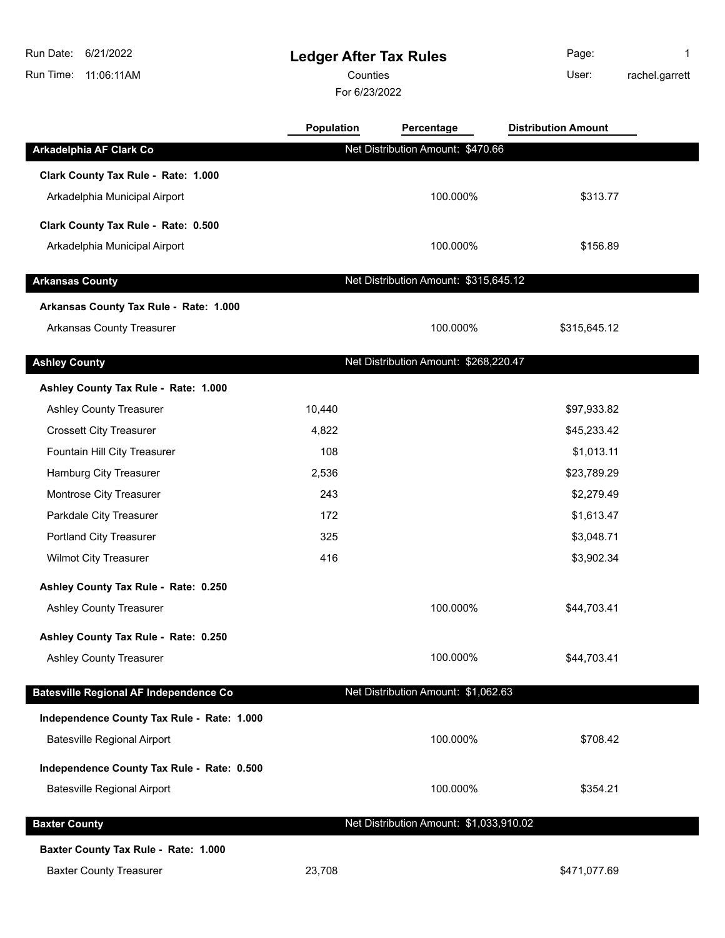# **Ledger After Tax Rules**

Counties **Counties** User:

For 6/23/2022

Page: 1 rachel.garrett

|                                               | <b>Population</b> | Percentage                              | <b>Distribution Amount</b> |  |
|-----------------------------------------------|-------------------|-----------------------------------------|----------------------------|--|
| Arkadelphia AF Clark Co                       |                   | Net Distribution Amount: \$470.66       |                            |  |
| Clark County Tax Rule - Rate: 1.000           |                   |                                         |                            |  |
| Arkadelphia Municipal Airport                 |                   | 100.000%                                | \$313.77                   |  |
| Clark County Tax Rule - Rate: 0.500           |                   |                                         |                            |  |
| Arkadelphia Municipal Airport                 |                   | 100.000%                                | \$156.89                   |  |
| <b>Arkansas County</b>                        |                   | Net Distribution Amount: \$315,645.12   |                            |  |
| Arkansas County Tax Rule - Rate: 1.000        |                   |                                         |                            |  |
| <b>Arkansas County Treasurer</b>              |                   | 100.000%                                | \$315,645.12               |  |
| <b>Ashley County</b>                          |                   | Net Distribution Amount: \$268,220.47   |                            |  |
| Ashley County Tax Rule - Rate: 1.000          |                   |                                         |                            |  |
| <b>Ashley County Treasurer</b>                | 10,440            |                                         | \$97,933.82                |  |
| <b>Crossett City Treasurer</b>                | 4,822             |                                         | \$45,233.42                |  |
| Fountain Hill City Treasurer                  | 108               |                                         | \$1,013.11                 |  |
| Hamburg City Treasurer                        | 2,536             |                                         | \$23,789.29                |  |
| Montrose City Treasurer                       | 243               |                                         | \$2,279.49                 |  |
| Parkdale City Treasurer                       | 172               |                                         | \$1,613.47                 |  |
| Portland City Treasurer                       | 325               |                                         | \$3,048.71                 |  |
| <b>Wilmot City Treasurer</b>                  | 416               |                                         | \$3,902.34                 |  |
| Ashley County Tax Rule - Rate: 0.250          |                   |                                         |                            |  |
| <b>Ashley County Treasurer</b>                |                   | 100.000%                                | \$44,703.41                |  |
| Ashley County Tax Rule - Rate: 0.250          |                   |                                         |                            |  |
| <b>Ashley County Treasurer</b>                |                   | 100.000%                                | \$44,703.41                |  |
| <b>Batesville Regional AF Independence Co</b> |                   | Net Distribution Amount: \$1,062.63     |                            |  |
| Independence County Tax Rule - Rate: 1.000    |                   |                                         |                            |  |
| <b>Batesville Regional Airport</b>            |                   | 100.000%                                | \$708.42                   |  |
| Independence County Tax Rule - Rate: 0.500    |                   |                                         |                            |  |
| <b>Batesville Regional Airport</b>            |                   | 100.000%                                | \$354.21                   |  |
| <b>Baxter County</b>                          |                   | Net Distribution Amount: \$1,033,910.02 |                            |  |
| Baxter County Tax Rule - Rate: 1.000          |                   |                                         |                            |  |
| <b>Baxter County Treasurer</b>                | 23,708            |                                         | \$471,077.69               |  |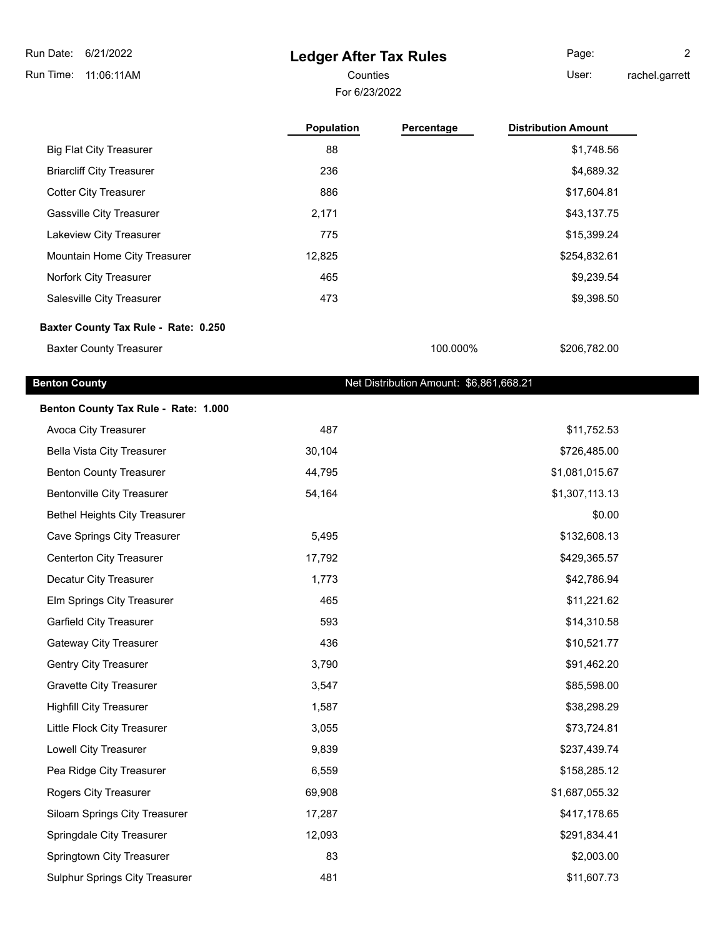## **Ledger After Tax Rules**

For 6/23/2022

Page: 2

Counties **User:** 

chel.garrett

| rachel.garre |  |
|--------------|--|
|--------------|--|

|                                      | <b>Population</b> | Percentage | <b>Distribution Amount</b> |
|--------------------------------------|-------------------|------------|----------------------------|
| <b>Big Flat City Treasurer</b>       | 88                |            | \$1,748.56                 |
| <b>Briarcliff City Treasurer</b>     | 236               |            | \$4,689.32                 |
| <b>Cotter City Treasurer</b>         | 886               |            | \$17,604.81                |
| <b>Gassville City Treasurer</b>      | 2,171             |            | \$43,137.75                |
| Lakeview City Treasurer              | 775               |            | \$15,399.24                |
| Mountain Home City Treasurer         | 12,825            |            | \$254,832.61               |
| Norfork City Treasurer               | 465               |            | \$9,239.54                 |
| Salesville City Treasurer            | 473               |            | \$9,398.50                 |
| Baxter County Tax Rule - Rate: 0.250 |                   |            |                            |
| <b>Baxter County Treasurer</b>       |                   | 100.000%   | \$206,782.00               |

## **Benton County Benton County Benton County Net Distribution Amount: \$6,861,668.21**

| Benton County Tax Rule - Rate: 1.000 |        |                |
|--------------------------------------|--------|----------------|
| Avoca City Treasurer                 | 487    | \$11,752.53    |
| <b>Bella Vista City Treasurer</b>    | 30,104 | \$726,485.00   |
| <b>Benton County Treasurer</b>       | 44,795 | \$1,081,015.67 |
| <b>Bentonville City Treasurer</b>    | 54,164 | \$1,307,113.13 |
| <b>Bethel Heights City Treasurer</b> |        | \$0.00         |
| <b>Cave Springs City Treasurer</b>   | 5,495  | \$132,608.13   |
| Centerton City Treasurer             | 17,792 | \$429,365.57   |
| Decatur City Treasurer               | 1,773  | \$42,786.94    |
| Elm Springs City Treasurer           | 465    | \$11,221.62    |
| <b>Garfield City Treasurer</b>       | 593    | \$14,310.58    |
| Gateway City Treasurer               | 436    | \$10,521.77    |
| <b>Gentry City Treasurer</b>         | 3,790  | \$91,462.20    |
| <b>Gravette City Treasurer</b>       | 3,547  | \$85,598.00    |
| <b>Highfill City Treasurer</b>       | 1,587  | \$38,298.29    |
| Little Flock City Treasurer          | 3,055  | \$73,724.81    |
| Lowell City Treasurer                | 9,839  | \$237,439.74   |
| Pea Ridge City Treasurer             | 6,559  | \$158,285.12   |
| Rogers City Treasurer                | 69,908 | \$1,687,055.32 |
| Siloam Springs City Treasurer        | 17,287 | \$417,178.65   |
| Springdale City Treasurer            | 12,093 | \$291,834.41   |
| Springtown City Treasurer            | 83     | \$2,003.00     |
| Sulphur Springs City Treasurer       | 481    | \$11,607.73    |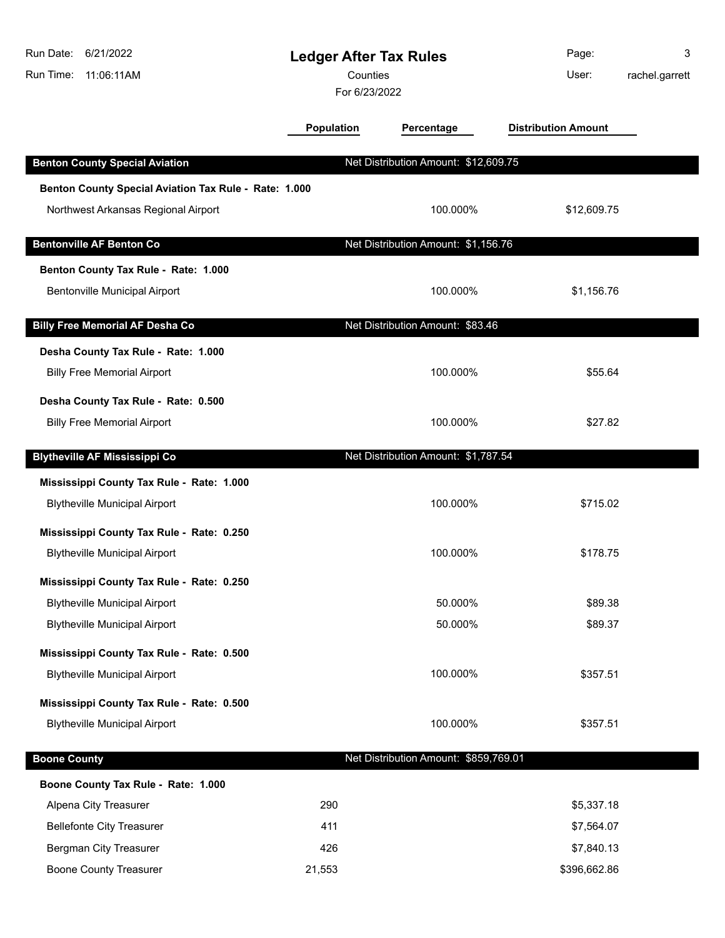| Run Date:<br>Run Time: | 6/21/2022<br>11:06:11AM                               | <b>Ledger After Tax Rules</b><br>Counties<br>For 6/23/2022 |                                       | Page:<br>User:             | 3<br>rachel.garrett |
|------------------------|-------------------------------------------------------|------------------------------------------------------------|---------------------------------------|----------------------------|---------------------|
|                        |                                                       | Population                                                 | Percentage                            | <b>Distribution Amount</b> |                     |
|                        | <b>Benton County Special Aviation</b>                 |                                                            | Net Distribution Amount: \$12,609.75  |                            |                     |
|                        | Benton County Special Aviation Tax Rule - Rate: 1.000 |                                                            |                                       |                            |                     |
|                        | Northwest Arkansas Regional Airport                   |                                                            | 100.000%                              | \$12,609.75                |                     |
|                        | <b>Bentonville AF Benton Co</b>                       |                                                            | Net Distribution Amount: \$1,156.76   |                            |                     |
|                        | Benton County Tax Rule - Rate: 1.000                  |                                                            |                                       |                            |                     |
|                        | Bentonville Municipal Airport                         |                                                            | 100.000%                              | \$1,156.76                 |                     |
|                        | <b>Billy Free Memorial AF Desha Co</b>                |                                                            | Net Distribution Amount: \$83.46      |                            |                     |
|                        | Desha County Tax Rule - Rate: 1.000                   |                                                            |                                       |                            |                     |
|                        | <b>Billy Free Memorial Airport</b>                    |                                                            | 100.000%                              | \$55.64                    |                     |
|                        | Desha County Tax Rule - Rate: 0.500                   |                                                            |                                       |                            |                     |
|                        | <b>Billy Free Memorial Airport</b>                    |                                                            | 100.000%                              | \$27.82                    |                     |
|                        | <b>Blytheville AF Mississippi Co</b>                  |                                                            | Net Distribution Amount: \$1,787.54   |                            |                     |
|                        | Mississippi County Tax Rule - Rate: 1.000             |                                                            |                                       |                            |                     |
|                        | <b>Blytheville Municipal Airport</b>                  |                                                            | 100.000%                              | \$715.02                   |                     |
|                        | Mississippi County Tax Rule - Rate: 0.250             |                                                            |                                       |                            |                     |
|                        | <b>Blytheville Municipal Airport</b>                  |                                                            | 100.000%                              | \$178.75                   |                     |
|                        | Mississippi County Tax Rule - Rate: 0.250             |                                                            |                                       |                            |                     |
|                        | <b>Blytheville Municipal Airport</b>                  |                                                            | 50.000%                               | \$89.38                    |                     |
|                        | <b>Blytheville Municipal Airport</b>                  |                                                            | 50.000%                               | \$89.37                    |                     |
|                        | Mississippi County Tax Rule - Rate: 0.500             |                                                            |                                       |                            |                     |
|                        | <b>Blytheville Municipal Airport</b>                  |                                                            | 100.000%                              | \$357.51                   |                     |
|                        | Mississippi County Tax Rule - Rate: 0.500             |                                                            |                                       |                            |                     |
|                        | <b>Blytheville Municipal Airport</b>                  |                                                            | 100.000%                              | \$357.51                   |                     |
| <b>Boone County</b>    |                                                       |                                                            | Net Distribution Amount: \$859,769.01 |                            |                     |
|                        | Boone County Tax Rule - Rate: 1.000                   |                                                            |                                       |                            |                     |
|                        | Alpena City Treasurer                                 | 290                                                        |                                       | \$5,337.18                 |                     |
|                        | <b>Bellefonte City Treasurer</b>                      | 411                                                        |                                       | \$7,564.07                 |                     |
|                        | Bergman City Treasurer                                | 426                                                        |                                       | \$7,840.13                 |                     |
|                        | <b>Boone County Treasurer</b>                         | 21,553                                                     |                                       | \$396,662.86               |                     |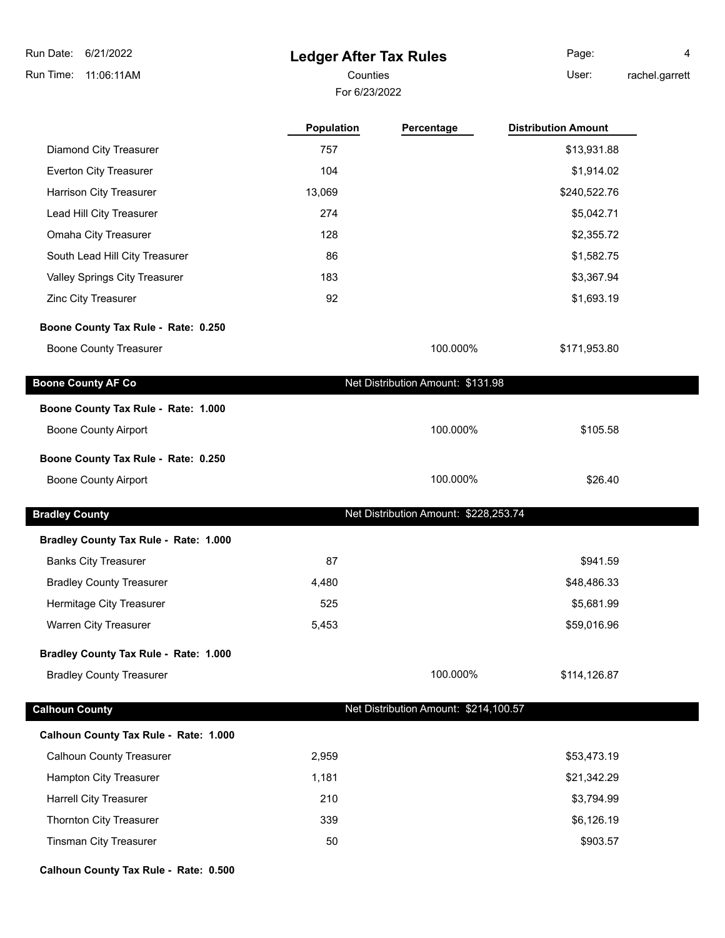**Ledger After Tax Rules** Run Time: 11:06:11AM 6/21/2022 Run Date: For 6/23/2022 Counties User:

Page: 4

**Population Percentage Distribution Amount**

rachel.garrett

| <b>Boone County AF Co</b>           |     | Net Distribution Amount: \$131.98 |              |
|-------------------------------------|-----|-----------------------------------|--------------|
| <b>Boone County Treasurer</b>       |     | 100.000%                          | \$171,953.80 |
| Boone County Tax Rule - Rate: 0.250 |     |                                   |              |
| Zinc City Treasurer                 | 92  |                                   | \$1,693.19   |
| Valley Springs City Treasurer       | 183 |                                   | \$3,367.94   |
| South Lead Hill City Treasurer      | 86  |                                   | \$1,582.75   |
| <b>Omaha City Treasurer</b>         | 128 |                                   | \$2,355.72   |
| Lead Hill City Treasurer            | 274 |                                   | \$5,042.71   |
|                                     |     |                                   |              |

Diamond City Treasurer **1988 13,931.88 13,931.88** Everton City Treasurer 104 **\$1,914.02 \$1,914.02 \$1,914.02** Harrison City Treasurer 13,069 **\$240,522.76** \$240,522.76

| <u>DUUNG UUUNIY AT UU </u>          | <b>Not Biothbation</b> / Miloant. VIOT.00 |          |
|-------------------------------------|-------------------------------------------|----------|
| Boone County Tax Rule - Rate: 1.000 |                                           |          |
| <b>Boone County Airport</b>         | 100.000%                                  | \$105.58 |
| Boone County Tax Rule - Rate: 0.250 |                                           |          |
| Boone County Airport                | 100.000%                                  | \$26.40  |
|                                     |                                           |          |
| <b>Bradley County</b>               | Net Distribution Amount: \$228,253.74     |          |

| Bradley County Tax Rule - Rate: 1.000 |       |          |              |  |
|---------------------------------------|-------|----------|--------------|--|
| <b>Banks City Treasurer</b>           | 87    |          | \$941.59     |  |
| <b>Bradley County Treasurer</b>       | 4,480 |          | \$48,486.33  |  |
| Hermitage City Treasurer              | 525   |          | \$5,681.99   |  |
| <b>Warren City Treasurer</b>          | 5,453 |          | \$59,016.96  |  |
| Bradley County Tax Rule - Rate: 1.000 |       |          |              |  |
| <b>Bradley County Treasurer</b>       |       | 100.000% | \$114,126.87 |  |

| <b>Calhoun County</b> |  |
|-----------------------|--|
|                       |  |

**Calhoun County Net Distribution Amount: \$214,100.57** 

| Net Distribution Amount: \$214,100.57 |  |  |
|---------------------------------------|--|--|

| Calhoun County Tax Rule - Rate: 1.000 |       |             |  |
|---------------------------------------|-------|-------------|--|
| <b>Calhoun County Treasurer</b>       | 2,959 | \$53,473.19 |  |
| Hampton City Treasurer                | 1.181 | \$21,342.29 |  |
| <b>Harrell City Treasurer</b>         | 210   | \$3,794.99  |  |
| <b>Thornton City Treasurer</b>        | 339   | \$6,126.19  |  |
| <b>Tinsman City Treasurer</b>         | 50    | \$903.57    |  |

**Calhoun County Tax Rule - Rate: 0.500**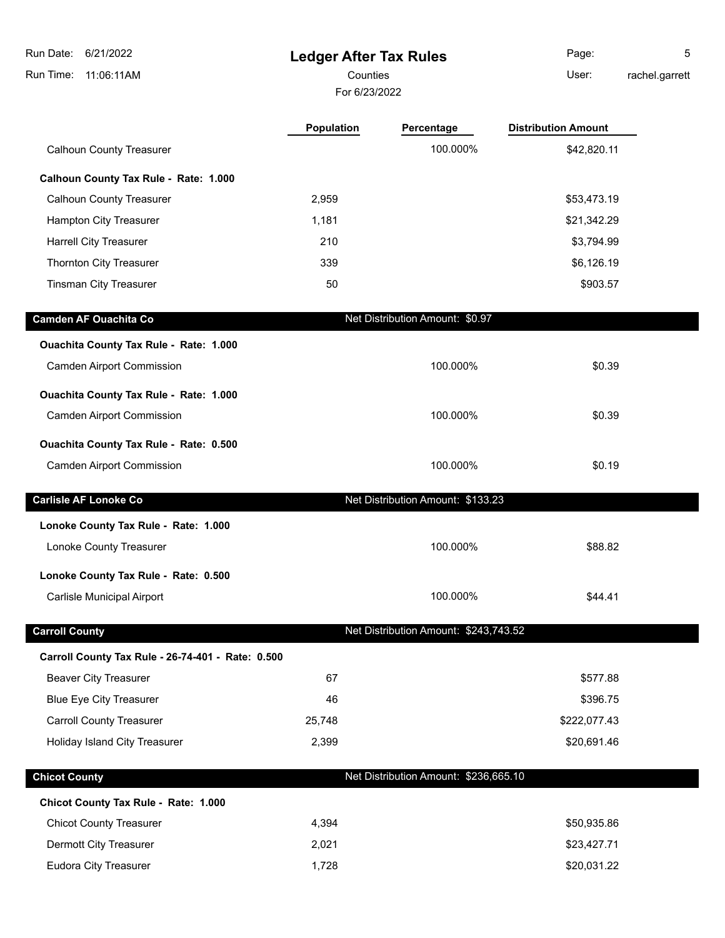**Ledger After Tax Rules** Run Time: 11:06:11AM 6/21/2022 Run Date: For 6/23/2022 Counties **Counties** User: Page: 5 rachel.garrett **Population Percentage Distribution Amount** Calhoun County Treasurer 100.000% \$42,820.11 **Calhoun County Tax Rule - Rate: 1.000** Calhoun County Treasurer 2,959 **2,959** \$53,473.19 Hampton City Treasurer 1,181 **bigger and the City Treasurer 1,181 http://www.fragmu.org/2009.com/** Harrell City Treasurer 210 210 \$3,794.99 Thornton City Treasurer 1986 126.19 (1996) 126.19 (1997) 339 (1998) 126.19 (1998) 126.19 (1998) 126.19 (1998) Tinsman City Treasurer 1980 to the set of the set of the set of the set of the set of the set of the set of the set of the set of the set of the set of the set of the set of the set of the set of the set of the set of the **Camden AF Ouachita Co Net Distribution Amount: \$0.97 Ouachita County Tax Rule - Rate: 1.000** Camden Airport Commission 100.000% \$0.39 **Ouachita County Tax Rule - Rate: 1.000** Camden Airport Commission 100.000% \$0.39 **Ouachita County Tax Rule - Rate: 0.500** Camden Airport Commission 100.000% \$0.19 **Carlisle AF Lonoke Co** Net Distribution Amount: \$133.23 **Lonoke County Tax Rule - Rate: 1.000** Lonoke County Treasurer 100.000% \$88.82 **Lonoke County Tax Rule - Rate: 0.500** Carlisle Municipal Airport 100.000% \$44.41 **Carroll County Carroll County Carroll County Carroll County Net Distribution Amount:** \$243,743.52 **Carroll County Tax Rule - 26-74-401 - Rate: 0.500** Beaver City Treasurer 67 \$577.88 Blue Eye City Treasurer 46 \$396.75 Carroll County Treasurer 25,748 \$222,077.43 Holiday Island City Treasurer 2,399 **\$20,691.46 \$20,691.46 Chicot County Chicot County Net Distribution Amount: \$236,665.10 Chicot County Tax Rule - Rate: 1.000** Chicot County Treasurer 1980 and the county of the county of the county of the county of the county of the county of the county of the county of the county of the county of the county of the county of the county of the cou Dermott City Treasurer 2,021 \$23,427.71 Eudora City Treasurer **1,728** \$20,031.22 \$20,031.22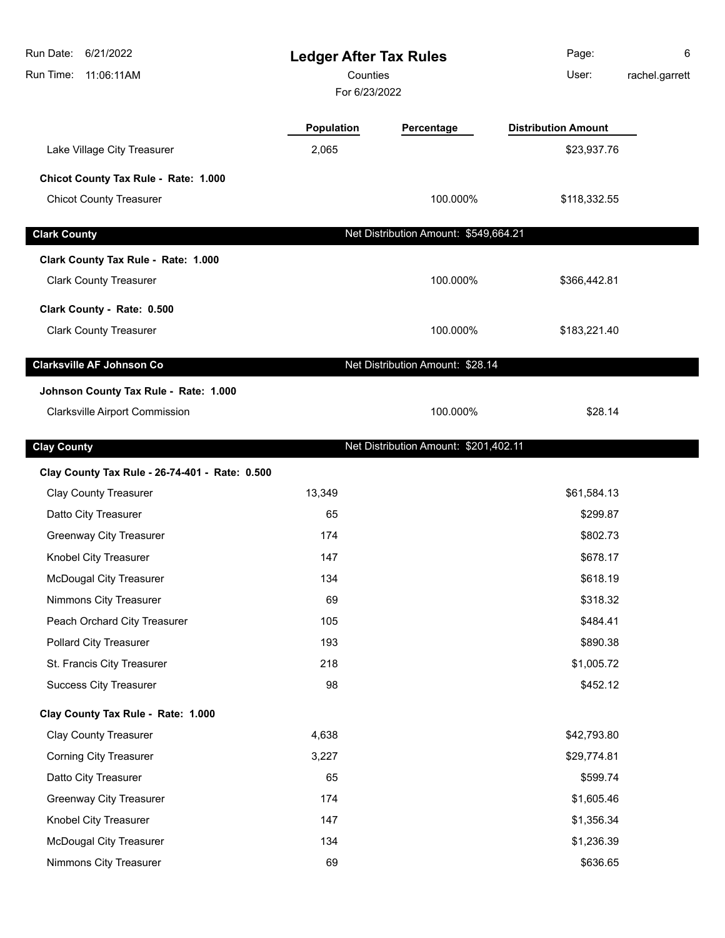| 11:06:11AM<br>Run Time:                        | <b>Ledger After Tax Rules</b><br>Counties<br>For 6/23/2022 |                                       | User:                      | 6<br>rachel.garrett |
|------------------------------------------------|------------------------------------------------------------|---------------------------------------|----------------------------|---------------------|
|                                                | <b>Population</b>                                          | Percentage                            | <b>Distribution Amount</b> |                     |
| Lake Village City Treasurer                    | 2,065                                                      |                                       | \$23,937.76                |                     |
| Chicot County Tax Rule - Rate: 1.000           |                                                            |                                       |                            |                     |
| <b>Chicot County Treasurer</b>                 |                                                            | 100.000%                              | \$118,332.55               |                     |
| <b>Clark County</b>                            |                                                            | Net Distribution Amount: \$549,664.21 |                            |                     |
| Clark County Tax Rule - Rate: 1.000            |                                                            |                                       |                            |                     |
| <b>Clark County Treasurer</b>                  |                                                            | 100.000%                              | \$366,442.81               |                     |
| Clark County - Rate: 0.500                     |                                                            |                                       |                            |                     |
| <b>Clark County Treasurer</b>                  |                                                            | 100.000%                              | \$183,221.40               |                     |
| Clarksville AF Johnson Co                      |                                                            | Net Distribution Amount: \$28.14      |                            |                     |
| Johnson County Tax Rule - Rate: 1.000          |                                                            |                                       |                            |                     |
| <b>Clarksville Airport Commission</b>          |                                                            | 100.000%                              | \$28.14                    |                     |
| <b>Clay County</b>                             |                                                            | Net Distribution Amount: \$201,402.11 |                            |                     |
| Clay County Tax Rule - 26-74-401 - Rate: 0.500 |                                                            |                                       |                            |                     |
| <b>Clay County Treasurer</b>                   | 13,349                                                     |                                       | \$61,584.13                |                     |
| Datto City Treasurer                           | 65                                                         |                                       | \$299.87                   |                     |
| <b>Greenway City Treasurer</b>                 | 174                                                        |                                       | \$802.73                   |                     |
| Knobel City Treasurer                          | 147                                                        |                                       | \$678.17                   |                     |
| <b>McDougal City Treasurer</b>                 | 134                                                        |                                       | \$618.19                   |                     |
| Nimmons City Treasurer                         | 69                                                         |                                       | \$318.32                   |                     |
| Peach Orchard City Treasurer                   | 105                                                        |                                       | \$484.41                   |                     |
| <b>Pollard City Treasurer</b>                  | 193                                                        |                                       | \$890.38                   |                     |
| St. Francis City Treasurer                     | 218                                                        |                                       | \$1,005.72                 |                     |
| <b>Success City Treasurer</b>                  | 98                                                         |                                       | \$452.12                   |                     |
| Clay County Tax Rule - Rate: 1.000             |                                                            |                                       |                            |                     |
| <b>Clay County Treasurer</b>                   | 4,638                                                      |                                       | \$42,793.80                |                     |
| <b>Corning City Treasurer</b>                  | 3,227                                                      |                                       | \$29,774.81                |                     |
| Datto City Treasurer                           | 65                                                         |                                       | \$599.74                   |                     |
| <b>Greenway City Treasurer</b>                 | 174                                                        |                                       | \$1,605.46                 |                     |
| Knobel City Treasurer                          | 147                                                        |                                       | \$1,356.34                 |                     |
| <b>McDougal City Treasurer</b>                 | 134                                                        |                                       | \$1,236.39                 |                     |
| Nimmons City Treasurer                         | 69                                                         |                                       | \$636.65                   |                     |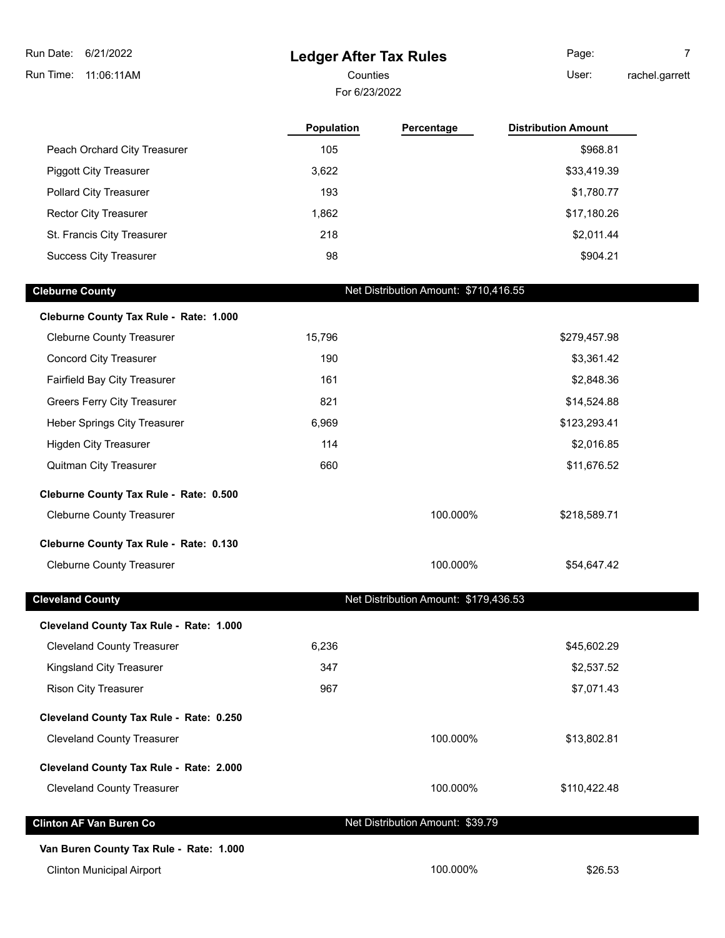| Run Date: 6/21/2022<br>Run Time:<br>11:06:11AM | <b>Ledger After Tax Rules</b><br>Counties |                                       | Page:<br>User:             | $\overline{7}$<br>rachel.garrett |
|------------------------------------------------|-------------------------------------------|---------------------------------------|----------------------------|----------------------------------|
|                                                | For 6/23/2022                             |                                       |                            |                                  |
|                                                | Population                                | Percentage                            | <b>Distribution Amount</b> |                                  |
| Peach Orchard City Treasurer                   | 105                                       |                                       | \$968.81                   |                                  |
| <b>Piggott City Treasurer</b>                  | 3,622                                     |                                       | \$33,419.39                |                                  |
| Pollard City Treasurer                         | 193                                       |                                       | \$1,780.77                 |                                  |
| <b>Rector City Treasurer</b>                   | 1,862                                     |                                       | \$17,180.26                |                                  |
| St. Francis City Treasurer                     | 218                                       |                                       | \$2,011.44                 |                                  |
| <b>Success City Treasurer</b>                  | 98                                        |                                       | \$904.21                   |                                  |
| <b>Cleburne County</b>                         |                                           | Net Distribution Amount: \$710,416.55 |                            |                                  |
| Cleburne County Tax Rule - Rate: 1.000         |                                           |                                       |                            |                                  |
| <b>Cleburne County Treasurer</b>               | 15,796                                    |                                       | \$279,457.98               |                                  |
| <b>Concord City Treasurer</b>                  | 190                                       |                                       | \$3,361.42                 |                                  |
| Fairfield Bay City Treasurer                   | 161                                       |                                       | \$2,848.36                 |                                  |
| Greers Ferry City Treasurer                    | 821                                       |                                       | \$14,524.88                |                                  |
| Heber Springs City Treasurer                   | 6,969                                     |                                       | \$123,293.41               |                                  |
| <b>Higden City Treasurer</b>                   | 114                                       |                                       | \$2,016.85                 |                                  |
| Quitman City Treasurer                         | 660                                       |                                       | \$11,676.52                |                                  |
| Cleburne County Tax Rule - Rate: 0.500         |                                           |                                       |                            |                                  |
| <b>Cleburne County Treasurer</b>               |                                           | 100.000%                              | \$218,589.71               |                                  |
| Cleburne County Tax Rule - Rate: 0.130         |                                           |                                       |                            |                                  |
| <b>Cleburne County Treasurer</b>               |                                           | 100.000%                              | \$54,647.42                |                                  |
| <b>Cleveland County</b>                        |                                           | Net Distribution Amount: \$179,436.53 |                            |                                  |
| Cleveland County Tax Rule - Rate: 1.000        |                                           |                                       |                            |                                  |
| <b>Cleveland County Treasurer</b>              | 6,236                                     |                                       | \$45,602.29                |                                  |
| Kingsland City Treasurer                       | 347                                       |                                       | \$2,537.52                 |                                  |
| <b>Rison City Treasurer</b>                    | 967                                       |                                       | \$7,071.43                 |                                  |
| Cleveland County Tax Rule - Rate: 0.250        |                                           |                                       |                            |                                  |
| <b>Cleveland County Treasurer</b>              |                                           | 100.000%                              | \$13,802.81                |                                  |
| Cleveland County Tax Rule - Rate: 2.000        |                                           |                                       |                            |                                  |
| <b>Cleveland County Treasurer</b>              |                                           | 100.000%                              | \$110,422.48               |                                  |
| <b>Clinton AF Van Buren Co</b>                 |                                           | Net Distribution Amount: \$39.79      |                            |                                  |
| Van Buren County Tax Rule - Rate: 1.000        |                                           |                                       |                            |                                  |
| <b>Clinton Municipal Airport</b>               |                                           | 100.000%                              | \$26.53                    |                                  |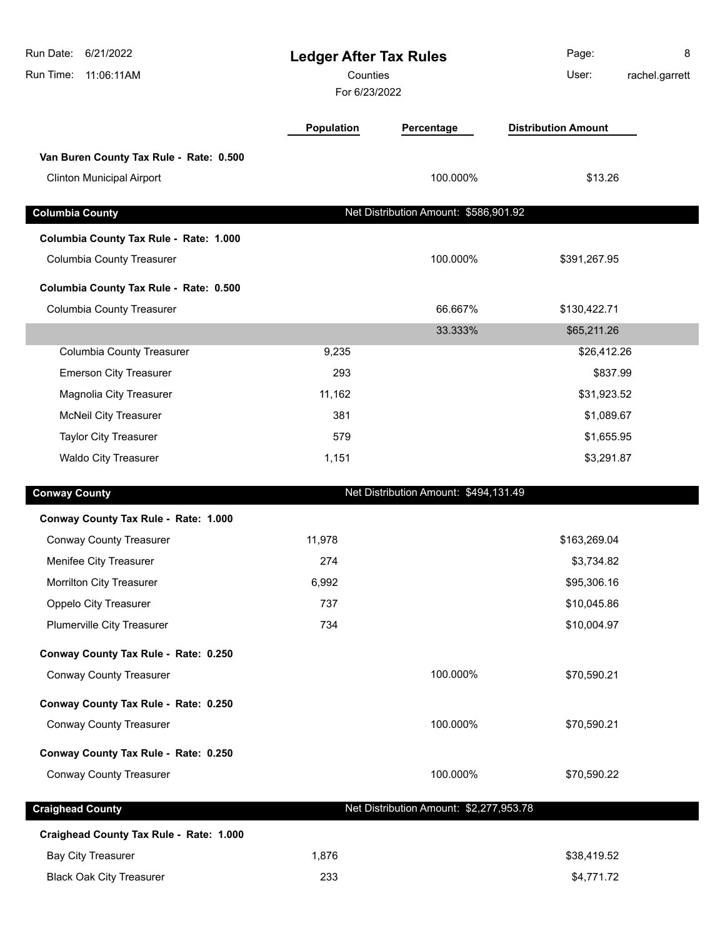| Run Date:<br>6/21/2022<br>11:06:11AM<br>Run Time:                           | <b>Ledger After Tax Rules</b><br>Counties<br>For 6/23/2022 |                                         | Page:<br>8<br>User:<br>rachel.garrett |
|-----------------------------------------------------------------------------|------------------------------------------------------------|-----------------------------------------|---------------------------------------|
|                                                                             | <b>Population</b>                                          | Percentage                              | <b>Distribution Amount</b>            |
| Van Buren County Tax Rule - Rate: 0.500<br><b>Clinton Municipal Airport</b> |                                                            | 100.000%                                | \$13.26                               |
| <b>Columbia County</b>                                                      |                                                            | Net Distribution Amount: \$586,901.92   |                                       |
| Columbia County Tax Rule - Rate: 1.000                                      |                                                            |                                         |                                       |
| <b>Columbia County Treasurer</b>                                            |                                                            | 100.000%                                | \$391,267.95                          |
| Columbia County Tax Rule - Rate: 0.500                                      |                                                            |                                         |                                       |
| <b>Columbia County Treasurer</b>                                            |                                                            | 66.667%                                 | \$130,422.71                          |
|                                                                             |                                                            | 33.333%                                 | \$65,211.26                           |
| <b>Columbia County Treasurer</b>                                            | 9,235                                                      |                                         | \$26,412.26                           |
| <b>Emerson City Treasurer</b>                                               | 293                                                        |                                         | \$837.99                              |
| Magnolia City Treasurer                                                     | 11,162                                                     |                                         | \$31,923.52                           |
| <b>McNeil City Treasurer</b>                                                | 381                                                        |                                         | \$1,089.67                            |
| <b>Taylor City Treasurer</b>                                                | 579                                                        |                                         | \$1,655.95                            |
| <b>Waldo City Treasurer</b>                                                 | 1,151                                                      |                                         | \$3,291.87                            |
| <b>Conway County</b>                                                        |                                                            | Net Distribution Amount: \$494,131.49   |                                       |
| Conway County Tax Rule - Rate: 1.000                                        |                                                            |                                         |                                       |
| <b>Conway County Treasurer</b>                                              | 11,978                                                     |                                         | \$163,269.04                          |
| Menifee City Treasurer                                                      | 274                                                        |                                         | \$3,734.82                            |
| Morrilton City Treasurer                                                    | 6,992                                                      |                                         | \$95,306.16                           |
| Oppelo City Treasurer                                                       | 737                                                        |                                         | \$10,045.86                           |
| Plumerville City Treasurer                                                  | 734                                                        |                                         | \$10,004.97                           |
| Conway County Tax Rule - Rate: 0.250                                        |                                                            |                                         |                                       |
| <b>Conway County Treasurer</b>                                              |                                                            | 100.000%                                | \$70,590.21                           |
| Conway County Tax Rule - Rate: 0.250                                        |                                                            |                                         |                                       |
| <b>Conway County Treasurer</b>                                              |                                                            | 100.000%                                | \$70,590.21                           |
| Conway County Tax Rule - Rate: 0.250                                        |                                                            |                                         |                                       |
| <b>Conway County Treasurer</b>                                              |                                                            | 100.000%                                | \$70,590.22                           |
| <b>Craighead County</b>                                                     |                                                            | Net Distribution Amount: \$2,277,953.78 |                                       |
| Craighead County Tax Rule - Rate: 1.000                                     |                                                            |                                         |                                       |
| <b>Bay City Treasurer</b>                                                   | 1,876                                                      |                                         | \$38,419.52                           |
| <b>Black Oak City Treasurer</b>                                             | 233                                                        |                                         | \$4,771.72                            |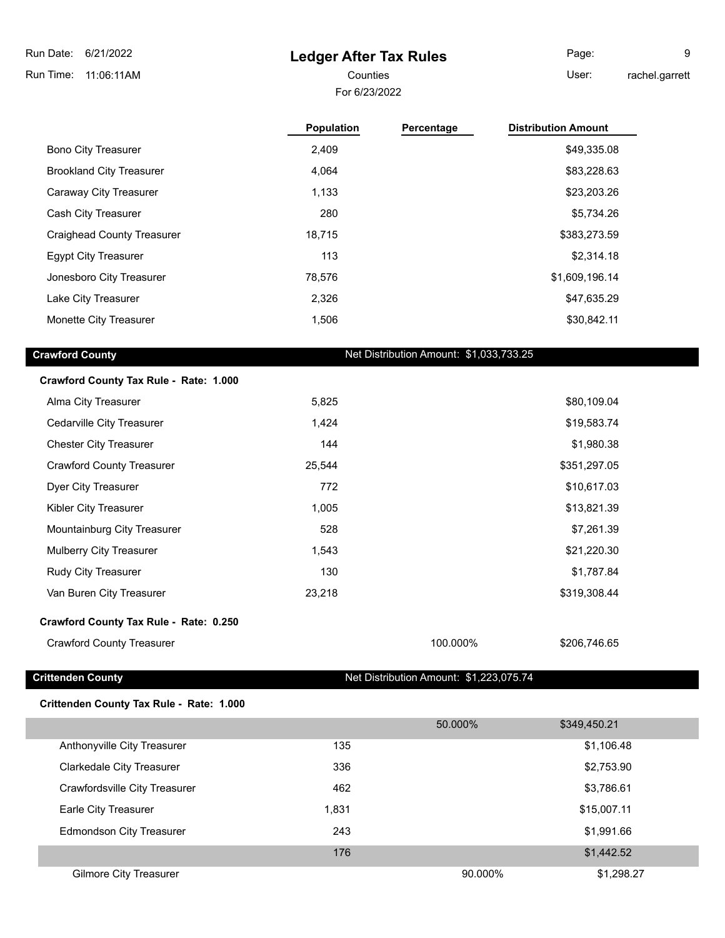## **Ledger After Tax Rules**

For 6/23/2022

Page: 9

Counties User:

rachel.garrett

|                                   | <b>Population</b> | Percentage                              | <b>Distribution Amount</b> |
|-----------------------------------|-------------------|-----------------------------------------|----------------------------|
| <b>Bono City Treasurer</b>        | 2,409             |                                         | \$49,335.08                |
| <b>Brookland City Treasurer</b>   | 4,064             |                                         | \$83,228.63                |
| Caraway City Treasurer            | 1,133             |                                         | \$23,203.26                |
| Cash City Treasurer               | 280               |                                         | \$5,734.26                 |
| <b>Craighead County Treasurer</b> | 18,715            |                                         | \$383,273.59               |
| <b>Egypt City Treasurer</b>       | 113               |                                         | \$2,314.18                 |
| Jonesboro City Treasurer          | 78,576            |                                         | \$1,609,196.14             |
| Lake City Treasurer               | 2,326             |                                         | \$47,635.29                |
| Monette City Treasurer            | 1,506             |                                         | \$30,842.11                |
|                                   |                   |                                         |                            |
| <b>Crawford County</b>            |                   | Net Distribution Amount: \$1,033,733.25 |                            |

| Crawford County Tax Rule - Rate: 1.000 |        |          |              |
|----------------------------------------|--------|----------|--------------|
| Alma City Treasurer                    | 5,825  |          | \$80,109.04  |
| Cedarville City Treasurer              | 1,424  |          | \$19,583.74  |
| <b>Chester City Treasurer</b>          | 144    |          | \$1,980.38   |
| <b>Crawford County Treasurer</b>       | 25,544 |          | \$351,297.05 |
| Dyer City Treasurer                    | 772    |          | \$10,617.03  |
| Kibler City Treasurer                  | 1,005  |          | \$13,821.39  |
| Mountainburg City Treasurer            | 528    |          | \$7,261.39   |
| <b>Mulberry City Treasurer</b>         | 1,543  |          | \$21,220.30  |
| <b>Rudy City Treasurer</b>             | 130    |          | \$1,787.84   |
| Van Buren City Treasurer               | 23,218 |          | \$319,308.44 |
| Crawford County Tax Rule - Rate: 0.250 |        |          |              |
| <b>Crawford County Treasurer</b>       |        | 100.000% | \$206,746.65 |

**Crittenden County** Crittenden County **Crittenden County** Net Distribution Amount: \$1,223,075.74

### **Crittenden County Tax Rule - Rate: 1.000**

|                                  |       | 50.000% | \$349,450.21 |
|----------------------------------|-------|---------|--------------|
| Anthonyville City Treasurer      | 135   |         | \$1,106.48   |
| <b>Clarkedale City Treasurer</b> | 336   |         | \$2,753.90   |
| Crawfordsville City Treasurer    | 462   |         | \$3,786.61   |
| Earle City Treasurer             | 1,831 |         | \$15,007.11  |
| <b>Edmondson City Treasurer</b>  | 243   |         | \$1,991.66   |
|                                  | 176   |         | \$1,442.52   |
| <b>Gilmore City Treasurer</b>    |       | 90.000% | \$1,298.27   |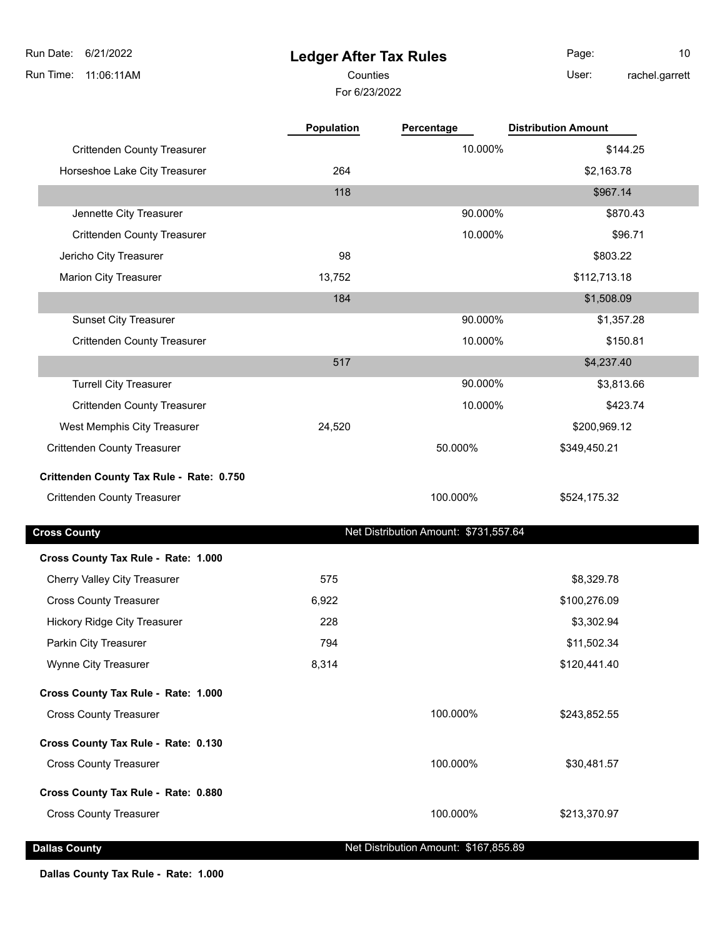**Ledger After Tax Rules** Run Time: 11:06:11AM 6/21/2022 Run Date: For 6/23/2022 Counties User: Page: 10 rachel.garrett

|                                          | Population | Percentage                            | <b>Distribution Amount</b> |  |
|------------------------------------------|------------|---------------------------------------|----------------------------|--|
| <b>Crittenden County Treasurer</b>       |            | 10.000%                               | \$144.25                   |  |
| Horseshoe Lake City Treasurer            | 264        |                                       | \$2,163.78                 |  |
|                                          | 118        |                                       | \$967.14                   |  |
| Jennette City Treasurer                  |            | 90.000%                               | \$870.43                   |  |
| <b>Crittenden County Treasurer</b>       |            | 10.000%                               | \$96.71                    |  |
| Jericho City Treasurer                   | 98         |                                       | \$803.22                   |  |
| <b>Marion City Treasurer</b>             | 13,752     |                                       | \$112,713.18               |  |
|                                          | 184        |                                       | \$1,508.09                 |  |
| <b>Sunset City Treasurer</b>             |            | 90.000%                               | \$1,357.28                 |  |
| <b>Crittenden County Treasurer</b>       |            | 10.000%                               | \$150.81                   |  |
|                                          | 517        |                                       | \$4,237.40                 |  |
| <b>Turrell City Treasurer</b>            |            | 90.000%                               | \$3,813.66                 |  |
| <b>Crittenden County Treasurer</b>       |            | 10.000%                               | \$423.74                   |  |
| West Memphis City Treasurer              | 24,520     |                                       | \$200,969.12               |  |
| <b>Crittenden County Treasurer</b>       |            | 50.000%                               | \$349,450.21               |  |
| Crittenden County Tax Rule - Rate: 0.750 |            |                                       |                            |  |
| <b>Crittenden County Treasurer</b>       |            | 100.000%                              | \$524,175.32               |  |
| <b>Cross County</b>                      |            | Net Distribution Amount: \$731,557.64 |                            |  |
| Cross County Tax Rule - Rate: 1.000      |            |                                       |                            |  |
| Cherry Valley City Treasurer             | 575        |                                       | \$8,329.78                 |  |
| <b>Cross County Treasurer</b>            | 6,922      |                                       | \$100,276.09               |  |
| Hickory Ridge City Treasurer             | 228        |                                       | \$3,302.94                 |  |
| Parkin City Treasurer                    | 794        |                                       | \$11,502.34                |  |
| Wynne City Treasurer                     | 8,314      |                                       | \$120,441.40               |  |
| Cross County Tax Rule - Rate: 1.000      |            |                                       |                            |  |
| <b>Cross County Treasurer</b>            |            | 100.000%                              | \$243,852.55               |  |
| Cross County Tax Rule - Rate: 0.130      |            |                                       |                            |  |
| <b>Cross County Treasurer</b>            |            | 100.000%                              | \$30,481.57                |  |
| Cross County Tax Rule - Rate: 0.880      |            |                                       |                            |  |
| <b>Cross County Treasurer</b>            |            | 100.000%                              | \$213,370.97               |  |
| <b>Dallas County</b>                     |            | Net Distribution Amount: \$167,855.89 |                            |  |

**Dallas County Tax Rule - Rate: 1.000**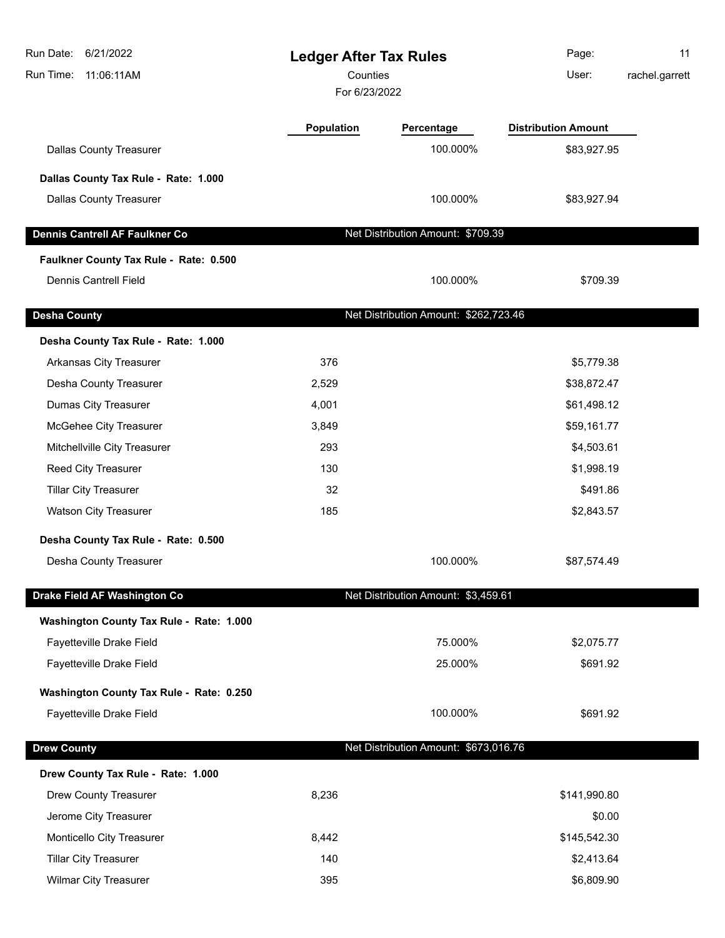| 6/21/2022<br>Run Date:<br>Run Time:<br>11:06:11AM | <b>Ledger After Tax Rules</b><br>Counties<br>For 6/23/2022 |                                       | Page:<br>User:             | 11<br>rachel.garrett |
|---------------------------------------------------|------------------------------------------------------------|---------------------------------------|----------------------------|----------------------|
|                                                   | <b>Population</b>                                          | Percentage                            | <b>Distribution Amount</b> |                      |
| <b>Dallas County Treasurer</b>                    |                                                            | 100.000%                              | \$83,927.95                |                      |
| Dallas County Tax Rule - Rate: 1.000              |                                                            |                                       |                            |                      |
| <b>Dallas County Treasurer</b>                    |                                                            | 100.000%                              | \$83,927.94                |                      |
| Dennis Cantrell AF Faulkner Co                    |                                                            | Net Distribution Amount: \$709.39     |                            |                      |
| Faulkner County Tax Rule - Rate: 0.500            |                                                            |                                       |                            |                      |
| <b>Dennis Cantrell Field</b>                      |                                                            | 100.000%                              | \$709.39                   |                      |
|                                                   |                                                            |                                       |                            |                      |
| <b>Desha County</b>                               |                                                            | Net Distribution Amount: \$262,723.46 |                            |                      |
| Desha County Tax Rule - Rate: 1.000               |                                                            |                                       |                            |                      |
| Arkansas City Treasurer                           | 376                                                        |                                       | \$5,779.38                 |                      |
| Desha County Treasurer                            | 2,529                                                      |                                       | \$38,872.47                |                      |
| <b>Dumas City Treasurer</b>                       | 4,001                                                      |                                       | \$61,498.12                |                      |
| McGehee City Treasurer                            | 3,849                                                      |                                       | \$59,161.77                |                      |
| Mitchellville City Treasurer                      | 293                                                        |                                       | \$4,503.61                 |                      |
| Reed City Treasurer                               | 130                                                        |                                       | \$1,998.19                 |                      |
| <b>Tillar City Treasurer</b>                      | 32                                                         |                                       | \$491.86                   |                      |
| Watson City Treasurer                             | 185                                                        |                                       | \$2,843.57                 |                      |
| Desha County Tax Rule - Rate: 0.500               |                                                            |                                       |                            |                      |
| Desha County Treasurer                            |                                                            | 100.000%                              | \$87,574.49                |                      |
| Drake Field AF Washington Co                      |                                                            | Net Distribution Amount: \$3,459.61   |                            |                      |
| Washington County Tax Rule - Rate: 1.000          |                                                            |                                       |                            |                      |
| Fayetteville Drake Field                          |                                                            | 75.000%                               | \$2,075.77                 |                      |
| Fayetteville Drake Field                          |                                                            | 25.000%                               | \$691.92                   |                      |
| Washington County Tax Rule - Rate: 0.250          |                                                            |                                       |                            |                      |
| Fayetteville Drake Field                          |                                                            | 100.000%                              | \$691.92                   |                      |
| <b>Drew County</b>                                |                                                            | Net Distribution Amount: \$673,016.76 |                            |                      |
| Drew County Tax Rule - Rate: 1.000                |                                                            |                                       |                            |                      |
| <b>Drew County Treasurer</b>                      | 8,236                                                      |                                       | \$141,990.80               |                      |
| Jerome City Treasurer                             |                                                            |                                       | \$0.00                     |                      |
| Monticello City Treasurer                         | 8,442                                                      |                                       | \$145,542.30               |                      |
| <b>Tillar City Treasurer</b>                      | 140                                                        |                                       | \$2,413.64                 |                      |
| <b>Wilmar City Treasurer</b>                      | 395                                                        |                                       | \$6,809.90                 |                      |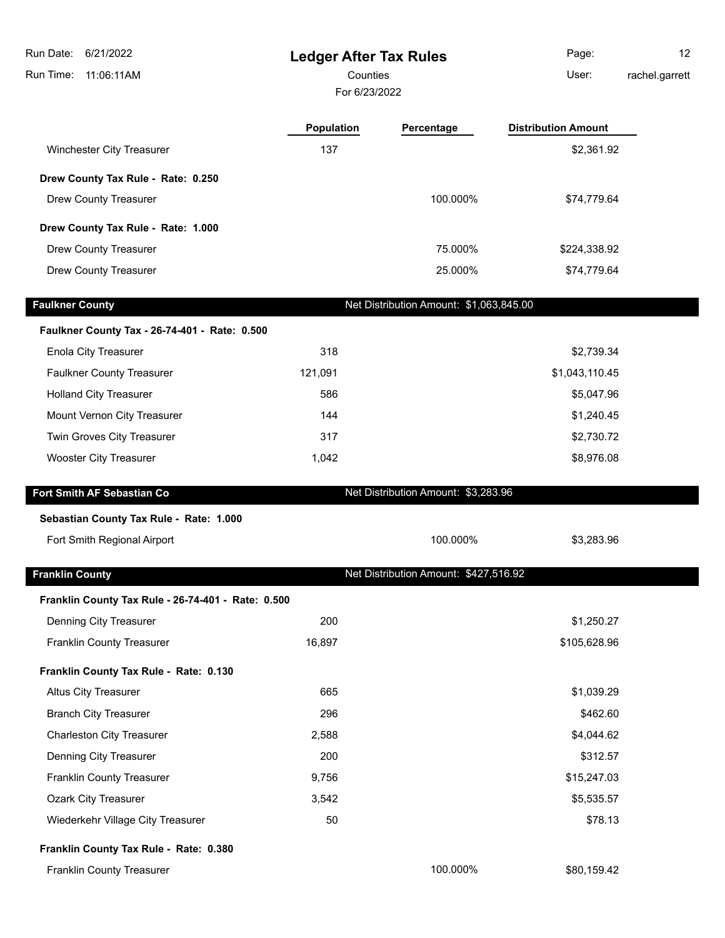| Run Date:<br>6/21/2022                             | <b>Ledger After Tax Rules</b> |                                         | Page:                        | 12             |
|----------------------------------------------------|-------------------------------|-----------------------------------------|------------------------------|----------------|
| Run Time:<br>11:06:11AM                            | Counties<br>For 6/23/2022     |                                         | User:                        | rachel.garrett |
|                                                    |                               |                                         |                              |                |
|                                                    | <b>Population</b>             | Percentage                              | <b>Distribution Amount</b>   |                |
| <b>Winchester City Treasurer</b>                   | 137                           |                                         | \$2,361.92                   |                |
| Drew County Tax Rule - Rate: 0.250                 |                               |                                         |                              |                |
| Drew County Treasurer                              |                               | 100.000%                                | \$74,779.64                  |                |
| Drew County Tax Rule - Rate: 1.000                 |                               |                                         |                              |                |
| Drew County Treasurer                              |                               | 75.000%                                 | \$224,338.92                 |                |
| Drew County Treasurer                              |                               | 25.000%                                 | \$74,779.64                  |                |
|                                                    |                               | Net Distribution Amount: \$1,063,845.00 |                              |                |
| <b>Faulkner County</b>                             |                               |                                         |                              |                |
| Faulkner County Tax - 26-74-401 - Rate: 0.500      | 318                           |                                         |                              |                |
| <b>Enola City Treasurer</b>                        |                               |                                         | \$2,739.34<br>\$1,043,110.45 |                |
| <b>Faulkner County Treasurer</b>                   | 121,091                       |                                         |                              |                |
| <b>Holland City Treasurer</b>                      | 586                           |                                         | \$5,047.96                   |                |
| Mount Vernon City Treasurer                        | 144                           |                                         | \$1,240.45                   |                |
| Twin Groves City Treasurer                         | 317                           |                                         | \$2,730.72                   |                |
| <b>Wooster City Treasurer</b>                      | 1,042                         |                                         | \$8,976.08                   |                |
| Fort Smith AF Sebastian Co                         |                               | Net Distribution Amount: \$3,283.96     |                              |                |
| Sebastian County Tax Rule - Rate: 1.000            |                               |                                         |                              |                |
| Fort Smith Regional Airport                        |                               | 100.000%                                | \$3,283.96                   |                |
| <b>Franklin County</b>                             |                               | Net Distribution Amount: \$427,516.92   |                              |                |
| Franklin County Tax Rule - 26-74-401 - Rate: 0.500 |                               |                                         |                              |                |
| Denning City Treasurer                             | 200                           |                                         | \$1,250.27                   |                |
| <b>Franklin County Treasurer</b>                   | 16,897                        |                                         | \$105,628.96                 |                |
| Franklin County Tax Rule - Rate: 0.130             |                               |                                         |                              |                |
| Altus City Treasurer                               | 665                           |                                         | \$1,039.29                   |                |
| <b>Branch City Treasurer</b>                       | 296                           |                                         | \$462.60                     |                |
| <b>Charleston City Treasurer</b>                   | 2,588                         |                                         | \$4,044.62                   |                |
| Denning City Treasurer                             | 200                           |                                         | \$312.57                     |                |
| Franklin County Treasurer                          | 9,756                         |                                         | \$15,247.03                  |                |
| <b>Ozark City Treasurer</b>                        | 3,542                         |                                         | \$5,535.57                   |                |
| Wiederkehr Village City Treasurer                  | 50                            |                                         | \$78.13                      |                |
|                                                    |                               |                                         |                              |                |
| Franklin County Tax Rule - Rate: 0.380             |                               | 100.000%                                |                              |                |
| Franklin County Treasurer                          |                               |                                         | \$80,159.42                  |                |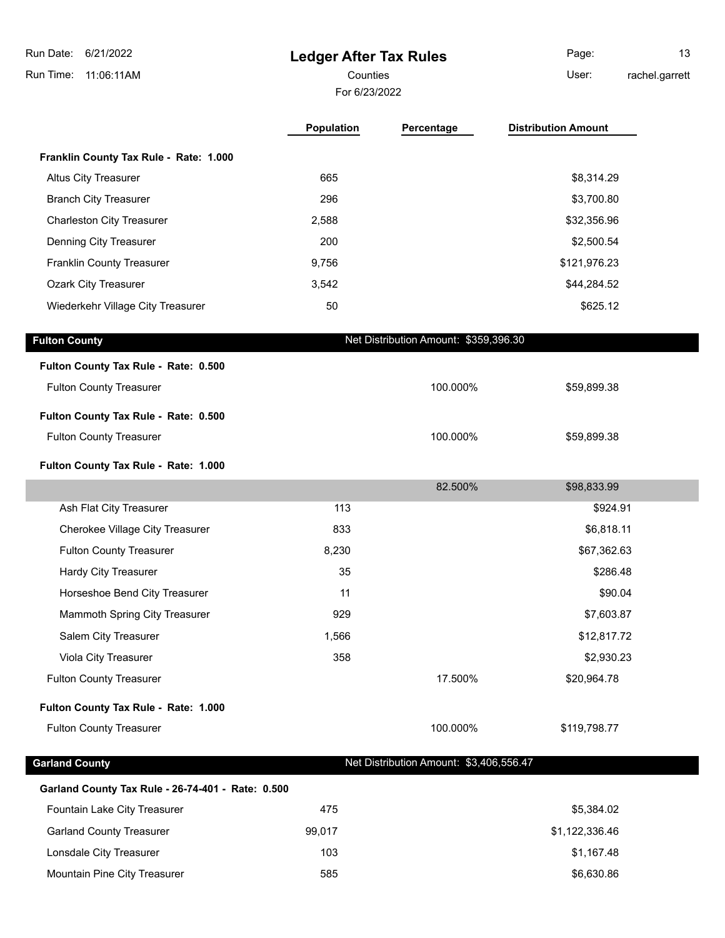| Run Date:<br>6/21/2022                            | <b>Ledger After Tax Rules</b> |                                         | Page:                      | 13             |
|---------------------------------------------------|-------------------------------|-----------------------------------------|----------------------------|----------------|
| Run Time:<br>11:06:11AM                           | Counties                      |                                         | User:                      | rachel.garrett |
|                                                   | For 6/23/2022                 |                                         |                            |                |
|                                                   | <b>Population</b>             | Percentage                              | <b>Distribution Amount</b> |                |
| Franklin County Tax Rule - Rate: 1.000            |                               |                                         |                            |                |
| <b>Altus City Treasurer</b>                       | 665                           |                                         | \$8,314.29                 |                |
| <b>Branch City Treasurer</b>                      | 296                           |                                         | \$3,700.80                 |                |
| <b>Charleston City Treasurer</b>                  | 2,588                         |                                         | \$32,356.96                |                |
| Denning City Treasurer                            | 200                           |                                         | \$2,500.54                 |                |
| Franklin County Treasurer                         | 9,756                         |                                         | \$121,976.23               |                |
| Ozark City Treasurer                              | 3,542                         |                                         | \$44,284.52                |                |
| Wiederkehr Village City Treasurer                 | 50                            |                                         | \$625.12                   |                |
| <b>Fulton County</b>                              |                               | Net Distribution Amount: \$359,396.30   |                            |                |
| Fulton County Tax Rule - Rate: 0.500              |                               |                                         |                            |                |
| <b>Fulton County Treasurer</b>                    |                               | 100.000%                                | \$59,899.38                |                |
| Fulton County Tax Rule - Rate: 0.500              |                               |                                         |                            |                |
| <b>Fulton County Treasurer</b>                    |                               | 100.000%                                | \$59,899.38                |                |
| Fulton County Tax Rule - Rate: 1.000              |                               |                                         |                            |                |
|                                                   |                               | 82.500%                                 | \$98,833.99                |                |
| Ash Flat City Treasurer                           | 113                           |                                         | \$924.91                   |                |
| Cherokee Village City Treasurer                   | 833                           |                                         | \$6,818.11                 |                |
| <b>Fulton County Treasurer</b>                    | 8,230                         |                                         | \$67,362.63                |                |
| Hardy City Treasurer                              | 35                            |                                         | \$286.48                   |                |
| Horseshoe Bend City Treasurer                     | 11                            |                                         | \$90.04                    |                |
| Mammoth Spring City Treasurer                     | 929                           |                                         | \$7,603.87                 |                |
| Salem City Treasurer                              | 1,566                         |                                         | \$12,817.72                |                |
| Viola City Treasurer                              | 358                           |                                         | \$2,930.23                 |                |
| <b>Fulton County Treasurer</b>                    |                               | 17.500%                                 | \$20,964.78                |                |
| Fulton County Tax Rule - Rate: 1.000              |                               |                                         |                            |                |
| <b>Fulton County Treasurer</b>                    |                               | 100.000%                                | \$119,798.77               |                |
| <b>Garland County</b>                             |                               | Net Distribution Amount: \$3,406,556.47 |                            |                |
| Garland County Tax Rule - 26-74-401 - Rate: 0.500 |                               |                                         |                            |                |
| Fountain Lake City Treasurer                      | 475                           |                                         | \$5,384.02                 |                |
| <b>Garland County Treasurer</b>                   | 99,017                        |                                         | \$1,122,336.46             |                |
| Lonsdale City Treasurer                           | 103                           |                                         | \$1,167.48                 |                |
| Mountain Pine City Treasurer                      | 585                           |                                         | \$6,630.86                 |                |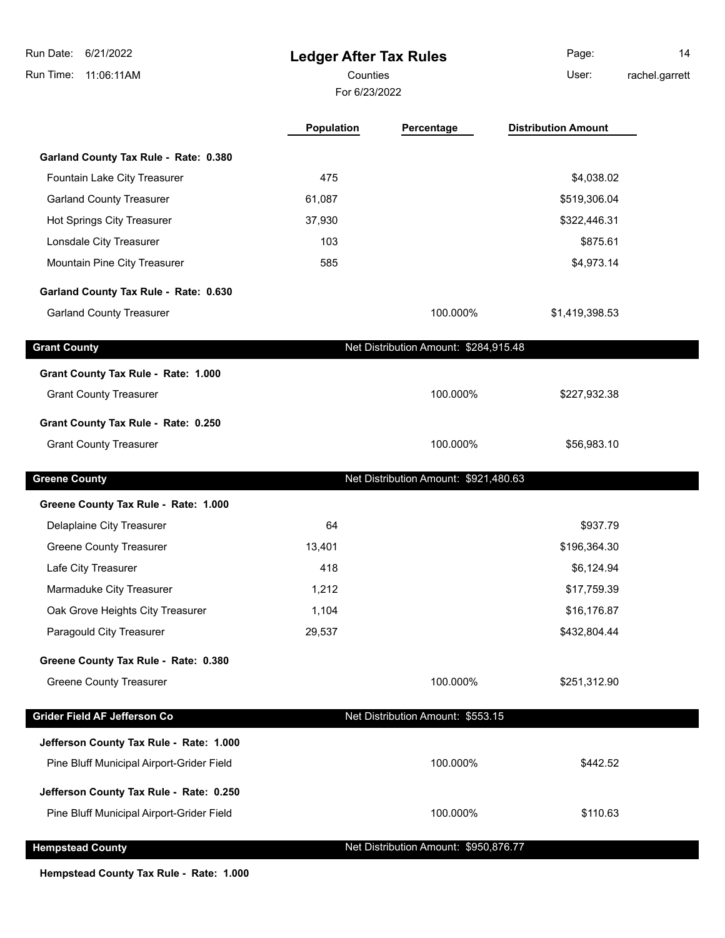| Run Date:<br>6/21/2022<br>Run Time:<br>11:06:11AM | <b>Ledger After Tax Rules</b><br>Counties<br>For 6/23/2022 |                                       | Page:<br>User:             | 14<br>rachel.garrett |
|---------------------------------------------------|------------------------------------------------------------|---------------------------------------|----------------------------|----------------------|
|                                                   | Population                                                 | Percentage                            | <b>Distribution Amount</b> |                      |
| Garland County Tax Rule - Rate: 0.380             |                                                            |                                       |                            |                      |
| Fountain Lake City Treasurer                      | 475                                                        |                                       | \$4,038.02                 |                      |
| <b>Garland County Treasurer</b>                   | 61,087                                                     |                                       | \$519,306.04               |                      |
| Hot Springs City Treasurer                        | 37,930                                                     |                                       | \$322,446.31               |                      |
| Lonsdale City Treasurer                           | 103                                                        |                                       | \$875.61                   |                      |
| Mountain Pine City Treasurer                      | 585                                                        |                                       | \$4,973.14                 |                      |
| Garland County Tax Rule - Rate: 0.630             |                                                            |                                       |                            |                      |
| <b>Garland County Treasurer</b>                   |                                                            | 100.000%                              | \$1,419,398.53             |                      |
| <b>Grant County</b>                               |                                                            | Net Distribution Amount: \$284,915.48 |                            |                      |
| Grant County Tax Rule - Rate: 1.000               |                                                            |                                       |                            |                      |
| <b>Grant County Treasurer</b>                     |                                                            | 100.000%                              | \$227,932.38               |                      |
| Grant County Tax Rule - Rate: 0.250               |                                                            |                                       |                            |                      |
| <b>Grant County Treasurer</b>                     |                                                            | 100.000%                              | \$56,983.10                |                      |
| <b>Greene County</b>                              |                                                            | Net Distribution Amount: \$921,480.63 |                            |                      |
| Greene County Tax Rule - Rate: 1.000              |                                                            |                                       |                            |                      |
| Delaplaine City Treasurer                         | 64                                                         |                                       | \$937.79                   |                      |
| <b>Greene County Treasurer</b>                    | 13,401                                                     |                                       | \$196,364.30               |                      |
| Lafe City Treasurer                               | 418                                                        |                                       | \$6,124.94                 |                      |
| Marmaduke City Treasurer                          | 1,212                                                      |                                       | \$17,759.39                |                      |
| Oak Grove Heights City Treasurer                  | 1,104                                                      |                                       | \$16,176.87                |                      |
| Paragould City Treasurer                          | 29,537                                                     |                                       | \$432,804.44               |                      |
| Greene County Tax Rule - Rate: 0.380              |                                                            |                                       |                            |                      |
| <b>Greene County Treasurer</b>                    |                                                            | 100.000%                              | \$251,312.90               |                      |
| Grider Field AF Jefferson Co                      |                                                            | Net Distribution Amount: \$553.15     |                            |                      |
| Jefferson County Tax Rule - Rate: 1.000           |                                                            |                                       |                            |                      |
| Pine Bluff Municipal Airport-Grider Field         |                                                            | 100.000%                              | \$442.52                   |                      |
| Jefferson County Tax Rule - Rate: 0.250           |                                                            |                                       |                            |                      |
| Pine Bluff Municipal Airport-Grider Field         |                                                            | 100.000%                              | \$110.63                   |                      |
| <b>Hempstead County</b>                           |                                                            | Net Distribution Amount: \$950,876.77 |                            |                      |
|                                                   |                                                            |                                       |                            |                      |

**Hempstead County Tax Rule - Rate: 1.000**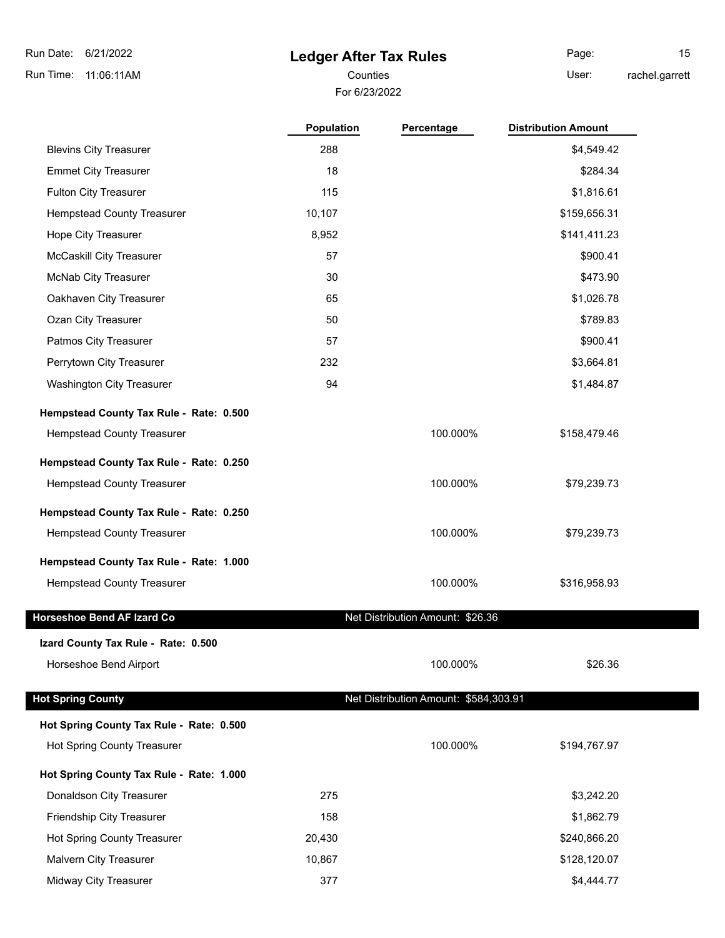# **Ledger After Tax Rules**

For 6/23/2022

Page: 15

Counties **Counties** User:

rachel.garrett

|                                          | <b>Population</b> | Percentage                            | <b>Distribution Amount</b> |
|------------------------------------------|-------------------|---------------------------------------|----------------------------|
| <b>Blevins City Treasurer</b>            | 288               |                                       | \$4,549.42                 |
| <b>Emmet City Treasurer</b>              | 18                |                                       | \$284.34                   |
| <b>Fulton City Treasurer</b>             | 115               |                                       | \$1,816.61                 |
| <b>Hempstead County Treasurer</b>        | 10,107            |                                       | \$159,656.31               |
| Hope City Treasurer                      | 8,952             |                                       | \$141,411.23               |
| <b>McCaskill City Treasurer</b>          | 57                |                                       | \$900.41                   |
| McNab City Treasurer                     | 30                |                                       | \$473.90                   |
| Oakhaven City Treasurer                  | 65                |                                       | \$1,026.78                 |
| Ozan City Treasurer                      | 50                |                                       | \$789.83                   |
| Patmos City Treasurer                    | 57                |                                       | \$900.41                   |
| Perrytown City Treasurer                 | 232               |                                       | \$3,664.81                 |
| <b>Washington City Treasurer</b>         | 94                |                                       | \$1,484.87                 |
| Hempstead County Tax Rule - Rate: 0.500  |                   |                                       |                            |
| <b>Hempstead County Treasurer</b>        |                   | 100.000%                              | \$158,479.46               |
| Hempstead County Tax Rule - Rate: 0.250  |                   |                                       |                            |
| <b>Hempstead County Treasurer</b>        |                   | 100.000%                              | \$79,239.73                |
| Hempstead County Tax Rule - Rate: 0.250  |                   |                                       |                            |
| Hempstead County Treasurer               |                   | 100.000%                              | \$79,239.73                |
| Hempstead County Tax Rule - Rate: 1.000  |                   |                                       |                            |
| <b>Hempstead County Treasurer</b>        |                   | 100.000%                              | \$316,958.93               |
| Horseshoe Bend AF Izard Co               |                   | Net Distribution Amount: \$26.36      |                            |
| Izard County Tax Rule - Rate: 0.500      |                   |                                       |                            |
| Horseshoe Bend Airport                   |                   | 100.000%                              | \$26.36                    |
| <b>Hot Spring County</b>                 |                   | Net Distribution Amount: \$584,303.91 |                            |
| Hot Spring County Tax Rule - Rate: 0.500 |                   |                                       |                            |
| Hot Spring County Treasurer              |                   | 100.000%                              | \$194,767.97               |
| Hot Spring County Tax Rule - Rate: 1.000 |                   |                                       |                            |
| Donaldson City Treasurer                 | 275               |                                       | \$3,242.20                 |
| Friendship City Treasurer                | 158               |                                       | \$1,862.79                 |
| Hot Spring County Treasurer              | 20,430            |                                       | \$240,866.20               |
| Malvern City Treasurer                   | 10,867            |                                       | \$128,120.07               |
| Midway City Treasurer                    | 377               |                                       | \$4,444.77                 |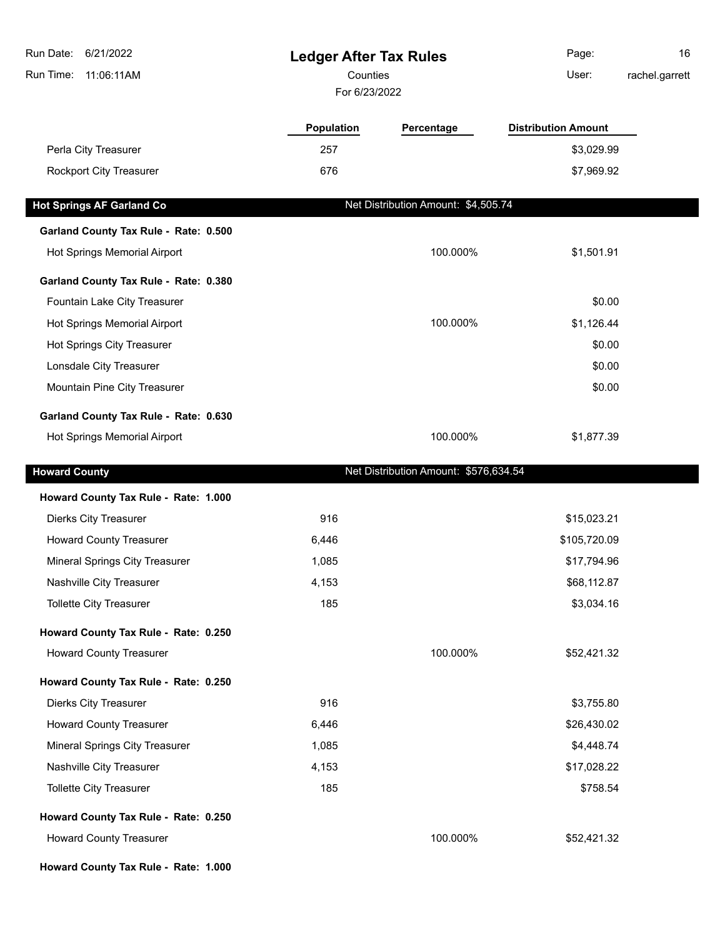| Run Date:<br>6/21/2022<br><b>Ledger After Tax Rules</b><br>11:06:11AM<br>Counties<br>Run Time:<br>For 6/23/2022 |            |                                       | Page:<br>User:             | 16<br>rachel.garrett |
|-----------------------------------------------------------------------------------------------------------------|------------|---------------------------------------|----------------------------|----------------------|
|                                                                                                                 | Population | Percentage                            | <b>Distribution Amount</b> |                      |
| Perla City Treasurer                                                                                            | 257        |                                       | \$3,029.99                 |                      |
| Rockport City Treasurer                                                                                         | 676        |                                       | \$7,969.92                 |                      |
| <b>Hot Springs AF Garland Co</b>                                                                                |            | Net Distribution Amount: \$4,505.74   |                            |                      |
| Garland County Tax Rule - Rate: 0.500                                                                           |            |                                       |                            |                      |
| Hot Springs Memorial Airport                                                                                    |            | 100.000%                              | \$1,501.91                 |                      |
| Garland County Tax Rule - Rate: 0.380                                                                           |            |                                       |                            |                      |
| Fountain Lake City Treasurer                                                                                    |            |                                       | \$0.00                     |                      |
| Hot Springs Memorial Airport                                                                                    |            | 100.000%                              | \$1,126.44                 |                      |
| <b>Hot Springs City Treasurer</b>                                                                               |            |                                       | \$0.00                     |                      |
| Lonsdale City Treasurer                                                                                         |            |                                       | \$0.00                     |                      |
| Mountain Pine City Treasurer                                                                                    |            |                                       | \$0.00                     |                      |
| Garland County Tax Rule - Rate: 0.630                                                                           |            |                                       |                            |                      |
| Hot Springs Memorial Airport                                                                                    |            | 100.000%                              | \$1,877.39                 |                      |
| <b>Howard County</b>                                                                                            |            | Net Distribution Amount: \$576,634.54 |                            |                      |
| Howard County Tax Rule - Rate: 1.000                                                                            |            |                                       |                            |                      |
| <b>Dierks City Treasurer</b>                                                                                    | 916        |                                       | \$15,023.21                |                      |
| <b>Howard County Treasurer</b>                                                                                  | 6,446      |                                       | \$105,720.09               |                      |
| Mineral Springs City Treasurer                                                                                  | 1,085      |                                       | \$17,794.96                |                      |
| Nashville City Treasurer                                                                                        | 4,153      |                                       | \$68,112.87                |                      |
| <b>Tollette City Treasurer</b>                                                                                  | 185        |                                       | \$3,034.16                 |                      |
| Howard County Tax Rule - Rate: 0.250                                                                            |            |                                       |                            |                      |
| <b>Howard County Treasurer</b>                                                                                  |            | 100.000%                              | \$52,421.32                |                      |
| Howard County Tax Rule - Rate: 0.250                                                                            |            |                                       |                            |                      |
| <b>Dierks City Treasurer</b>                                                                                    | 916        |                                       | \$3,755.80                 |                      |
| <b>Howard County Treasurer</b>                                                                                  | 6,446      |                                       | \$26,430.02                |                      |
| Mineral Springs City Treasurer                                                                                  | 1,085      |                                       | \$4,448.74                 |                      |
| Nashville City Treasurer                                                                                        | 4,153      |                                       | \$17,028.22                |                      |
| <b>Tollette City Treasurer</b>                                                                                  | 185        |                                       | \$758.54                   |                      |
| Howard County Tax Rule - Rate: 0.250                                                                            |            |                                       |                            |                      |
| <b>Howard County Treasurer</b>                                                                                  |            | 100.000%                              | \$52,421.32                |                      |
| Howard County Tax Rule - Rate: 1.000                                                                            |            |                                       |                            |                      |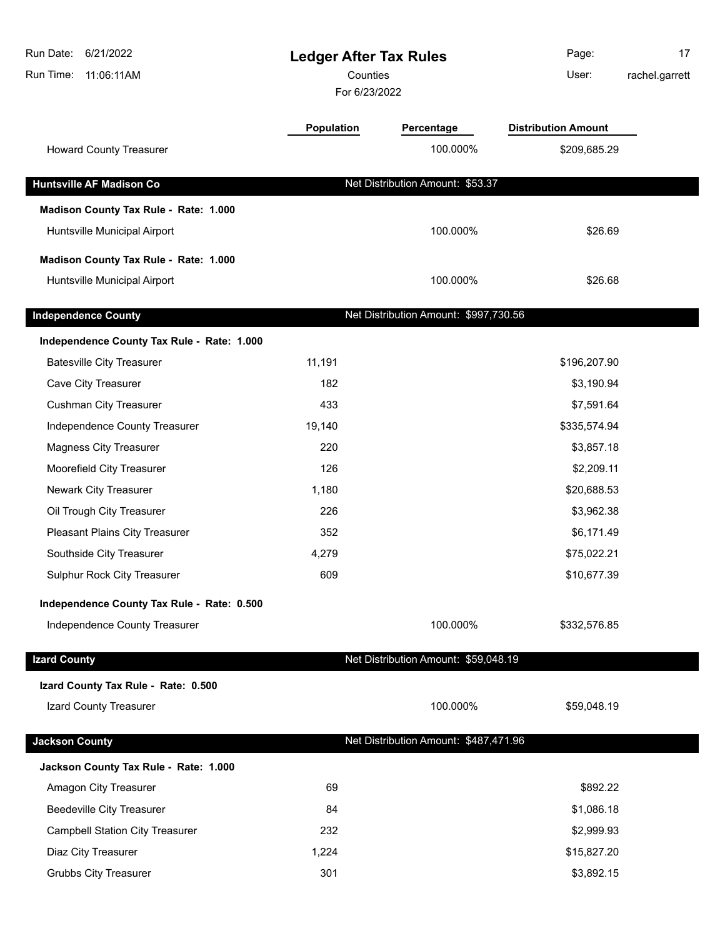| Run Date:<br>6/21/2022<br>Run Time:<br>11:06:11AM | <b>Ledger After Tax Rules</b><br>Counties<br>For 6/23/2022 |                                       | Page:<br>User:             | 17<br>rachel.garrett |
|---------------------------------------------------|------------------------------------------------------------|---------------------------------------|----------------------------|----------------------|
|                                                   | <b>Population</b>                                          | Percentage                            | <b>Distribution Amount</b> |                      |
| <b>Howard County Treasurer</b>                    |                                                            | 100.000%                              | \$209,685.29               |                      |
| <b>Huntsville AF Madison Co</b>                   |                                                            | Net Distribution Amount: \$53.37      |                            |                      |
| Madison County Tax Rule - Rate: 1.000             |                                                            |                                       |                            |                      |
| Huntsville Municipal Airport                      |                                                            | 100.000%                              | \$26.69                    |                      |
| Madison County Tax Rule - Rate: 1.000             |                                                            |                                       |                            |                      |
| Huntsville Municipal Airport                      |                                                            | 100.000%                              | \$26.68                    |                      |
| <b>Independence County</b>                        |                                                            | Net Distribution Amount: \$997,730.56 |                            |                      |
| Independence County Tax Rule - Rate: 1.000        |                                                            |                                       |                            |                      |
| <b>Batesville City Treasurer</b>                  | 11,191                                                     |                                       | \$196,207.90               |                      |
| Cave City Treasurer                               | 182                                                        |                                       | \$3,190.94                 |                      |
| <b>Cushman City Treasurer</b>                     | 433                                                        |                                       | \$7,591.64                 |                      |
| Independence County Treasurer                     | 19,140                                                     |                                       | \$335,574.94               |                      |
| <b>Magness City Treasurer</b>                     | 220                                                        |                                       | \$3,857.18                 |                      |
| Moorefield City Treasurer                         | 126                                                        |                                       | \$2,209.11                 |                      |
| Newark City Treasurer                             | 1,180                                                      |                                       | \$20,688.53                |                      |
| Oil Trough City Treasurer                         | 226                                                        |                                       | \$3,962.38                 |                      |
| Pleasant Plains City Treasurer                    | 352                                                        |                                       | \$6,171.49                 |                      |
| Southside City Treasurer                          | 4,279                                                      |                                       | \$75,022.21                |                      |
| Sulphur Rock City Treasurer                       | 609                                                        |                                       | \$10,677.39                |                      |
| Independence County Tax Rule - Rate: 0.500        |                                                            |                                       |                            |                      |
| Independence County Treasurer                     |                                                            | 100.000%                              | \$332,576.85               |                      |
| <b>Izard County</b>                               |                                                            | Net Distribution Amount: \$59,048.19  |                            |                      |
| Izard County Tax Rule - Rate: 0.500               |                                                            |                                       |                            |                      |
| Izard County Treasurer                            |                                                            | 100.000%                              | \$59,048.19                |                      |
| <b>Jackson County</b>                             |                                                            | Net Distribution Amount: \$487,471.96 |                            |                      |
| Jackson County Tax Rule - Rate: 1.000             |                                                            |                                       |                            |                      |
| Amagon City Treasurer                             | 69                                                         |                                       | \$892.22                   |                      |
| <b>Beedeville City Treasurer</b>                  | 84                                                         |                                       | \$1,086.18                 |                      |
| <b>Campbell Station City Treasurer</b>            | 232                                                        |                                       | \$2,999.93                 |                      |
| Diaz City Treasurer                               | 1,224                                                      |                                       | \$15,827.20                |                      |
| <b>Grubbs City Treasurer</b>                      | 301                                                        |                                       | \$3,892.15                 |                      |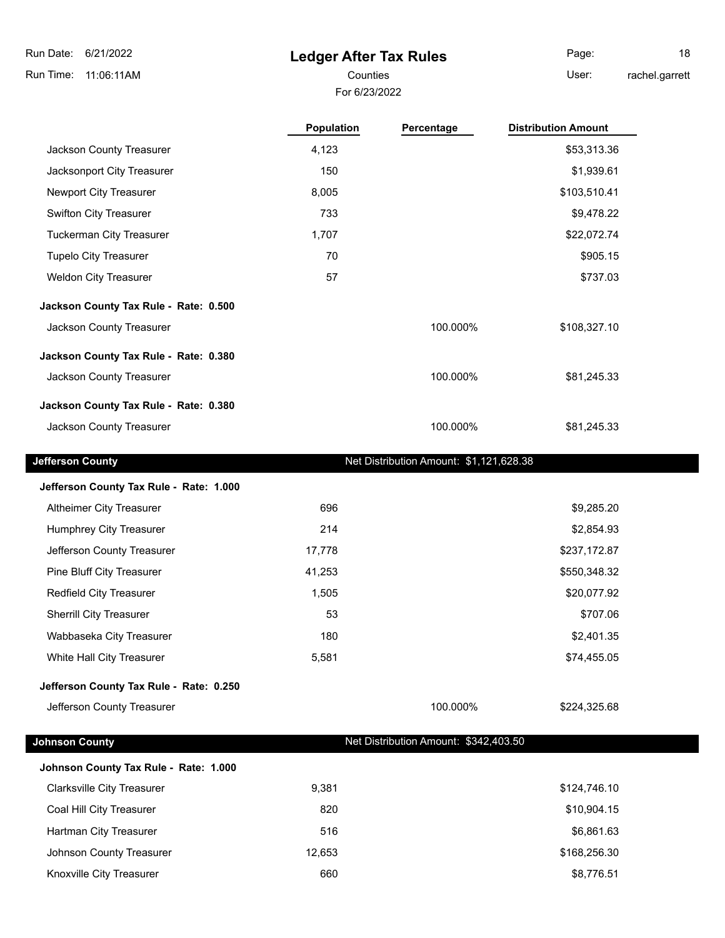## **Ledger After Tax Rules**

Page: 18 rachel.garrett

For 6/23/2022 Counties **User:** 

|                                         | Population | Percentage                              | <b>Distribution Amount</b> |
|-----------------------------------------|------------|-----------------------------------------|----------------------------|
| Jackson County Treasurer                | 4,123      |                                         | \$53,313.36                |
| Jacksonport City Treasurer              | 150        |                                         | \$1,939.61                 |
| Newport City Treasurer                  | 8,005      |                                         | \$103,510.41               |
| Swifton City Treasurer                  | 733        |                                         | \$9,478.22                 |
| <b>Tuckerman City Treasurer</b>         | 1,707      |                                         | \$22,072.74                |
| <b>Tupelo City Treasurer</b>            | 70         |                                         | \$905.15                   |
| <b>Weldon City Treasurer</b>            | 57         |                                         | \$737.03                   |
| Jackson County Tax Rule - Rate: 0.500   |            |                                         |                            |
| Jackson County Treasurer                |            | 100.000%                                | \$108,327.10               |
| Jackson County Tax Rule - Rate: 0.380   |            |                                         |                            |
| Jackson County Treasurer                |            | 100.000%                                | \$81,245.33                |
| Jackson County Tax Rule - Rate: 0.380   |            |                                         |                            |
| Jackson County Treasurer                |            | 100.000%                                | \$81,245.33                |
| <b>Jefferson County</b>                 |            | Net Distribution Amount: \$1,121,628.38 |                            |
| Jefferson County Tax Rule - Rate: 1.000 |            |                                         |                            |
| Altheimer City Treasurer                | 696        |                                         | \$9,285.20                 |
| Humphrey City Treasurer                 | 214        |                                         | \$2,854.93                 |
| Jefferson County Treasurer              | 17,778     |                                         | \$237,172.87               |
| Pine Bluff City Treasurer               | 41,253     |                                         | \$550,348.32               |
| Redfield City Treasurer                 | 1,505      |                                         | \$20,077.92                |
| Sherrill City Treasurer                 | 53         |                                         | \$707.06                   |
| Wabbaseka City Treasurer                | 180        |                                         | \$2,401.35                 |
| White Hall City Treasurer               | 5,581      |                                         | \$74,455.05                |
| Jefferson County Tax Rule - Rate: 0.250 |            |                                         |                            |
| Jefferson County Treasurer              |            | 100.000%                                | \$224,325.68               |
| <b>Johnson County</b>                   |            | Net Distribution Amount: \$342,403.50   |                            |
| Johnson County Tax Rule - Rate: 1.000   |            |                                         |                            |
| <b>Clarksville City Treasurer</b>       | 9,381      |                                         | \$124,746.10               |
| Coal Hill City Treasurer                | 820        |                                         | \$10,904.15                |
| Hartman City Treasurer                  | 516        |                                         | \$6,861.63                 |

Johnson County Treasurer 12,653 **\$168,256.30** \$168,256.30 Knoxville City Treasurer **660** \$8,776.51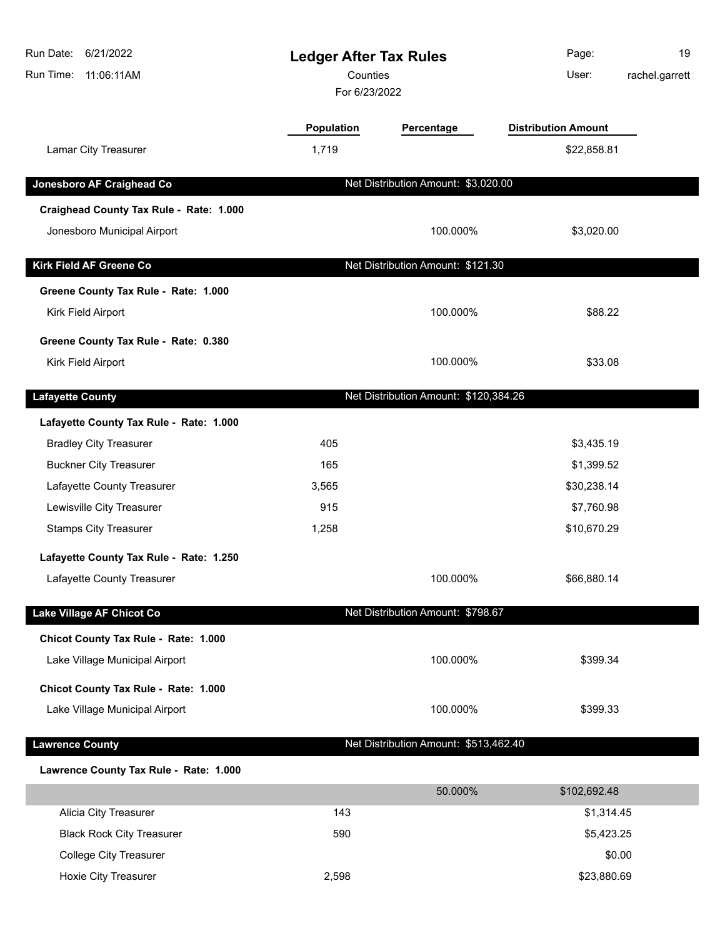| Run Date:<br>6/21/2022<br>Run Time:<br>11:06:11AM | <b>Ledger After Tax Rules</b><br>Counties<br>For 6/23/2022 |                                       | Page:<br>User:                            | 19<br>rachel.garrett |
|---------------------------------------------------|------------------------------------------------------------|---------------------------------------|-------------------------------------------|----------------------|
| Lamar City Treasurer                              | Population<br>1,719                                        | Percentage                            | <b>Distribution Amount</b><br>\$22,858.81 |                      |
| Jonesboro AF Craighead Co                         |                                                            | Net Distribution Amount: \$3,020.00   |                                           |                      |
| Craighead County Tax Rule - Rate: 1.000           |                                                            |                                       |                                           |                      |
| Jonesboro Municipal Airport                       |                                                            | 100.000%                              | \$3,020.00                                |                      |
| Kirk Field AF Greene Co                           |                                                            | Net Distribution Amount: \$121.30     |                                           |                      |
| Greene County Tax Rule - Rate: 1.000              |                                                            |                                       |                                           |                      |
| Kirk Field Airport                                |                                                            | 100.000%                              | \$88.22                                   |                      |
| Greene County Tax Rule - Rate: 0.380              |                                                            |                                       |                                           |                      |
| Kirk Field Airport                                |                                                            | 100.000%                              | \$33.08                                   |                      |
| <b>Lafayette County</b>                           |                                                            | Net Distribution Amount: \$120,384.26 |                                           |                      |
| Lafayette County Tax Rule - Rate: 1.000           |                                                            |                                       |                                           |                      |
| <b>Bradley City Treasurer</b>                     | 405                                                        |                                       | \$3,435.19                                |                      |
| <b>Buckner City Treasurer</b>                     | 165                                                        |                                       | \$1,399.52                                |                      |
| Lafayette County Treasurer                        | 3,565                                                      |                                       | \$30,238.14                               |                      |
| Lewisville City Treasurer                         | 915                                                        |                                       | \$7,760.98                                |                      |
| <b>Stamps City Treasurer</b>                      | 1,258                                                      |                                       | \$10,670.29                               |                      |
| Lafayette County Tax Rule - Rate: 1.250           |                                                            |                                       |                                           |                      |
| Lafayette County Treasurer                        |                                                            | 100.000%                              | \$66,880.14                               |                      |
| Lake Village AF Chicot Co                         |                                                            | Net Distribution Amount: \$798.67     |                                           |                      |
| Chicot County Tax Rule - Rate: 1.000              |                                                            |                                       |                                           |                      |
| Lake Village Municipal Airport                    |                                                            | 100.000%                              | \$399.34                                  |                      |
| Chicot County Tax Rule - Rate: 1.000              |                                                            |                                       |                                           |                      |
| Lake Village Municipal Airport                    |                                                            | 100.000%                              | \$399.33                                  |                      |
| <b>Lawrence County</b>                            |                                                            | Net Distribution Amount: \$513,462.40 |                                           |                      |
| Lawrence County Tax Rule - Rate: 1.000            |                                                            |                                       |                                           |                      |
|                                                   |                                                            | 50.000%                               | \$102,692.48                              |                      |
| Alicia City Treasurer                             | 143                                                        |                                       | \$1,314.45                                |                      |
| <b>Black Rock City Treasurer</b>                  | 590                                                        |                                       | \$5,423.25                                |                      |
| <b>College City Treasurer</b>                     |                                                            |                                       | \$0.00                                    |                      |
| Hoxie City Treasurer                              | 2,598                                                      |                                       | \$23,880.69                               |                      |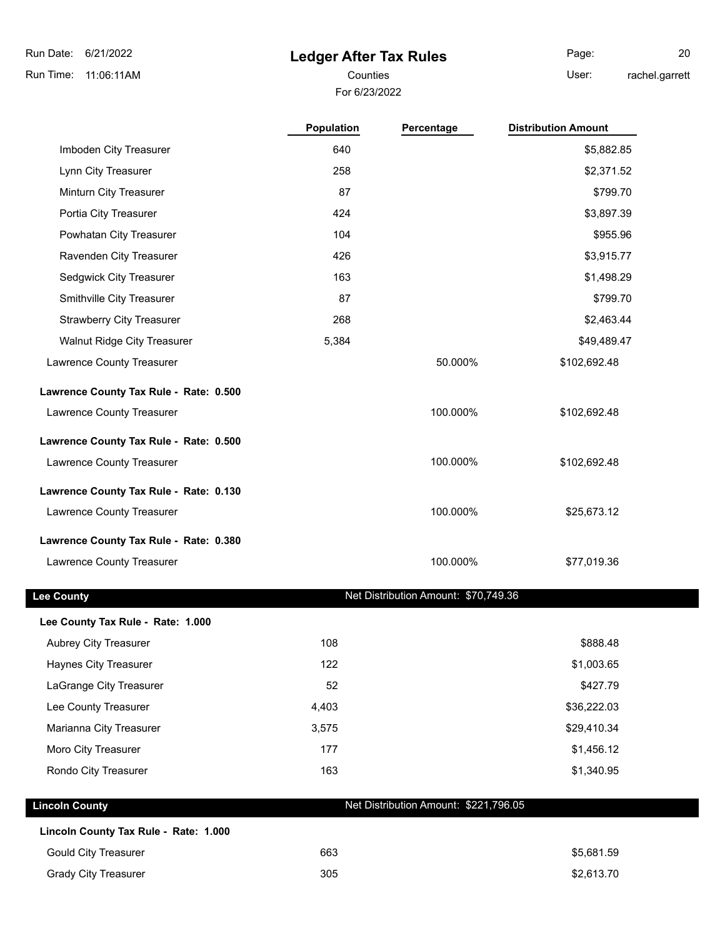Imboden City Treasurer

## **Ledger After Tax Rules**

For 6/23/2022

Page: 20 rachel.garrett

Counties **User:** 

| <b>Population</b> | Percentage | <b>Distribution Amount</b> |
|-------------------|------------|----------------------------|
| 640               |            | \$5,882.85                 |
| 258               |            | \$2,371.52                 |
| 87                |            | \$799.70                   |
| 424               |            | \$3,897.39                 |
| 104               |            | \$955.96                   |
| 426               |            | \$3,915.77                 |
| 163               |            | \$1,498.29                 |
| 87                |            | \$799.70                   |

| Lynn City Treasurer                    | 258   |          | \$2,371.52   |
|----------------------------------------|-------|----------|--------------|
| Minturn City Treasurer                 | 87    |          | \$799.70     |
| Portia City Treasurer                  | 424   |          | \$3,897.39   |
| Powhatan City Treasurer                | 104   |          | \$955.96     |
| Ravenden City Treasurer                | 426   |          | \$3,915.77   |
| Sedgwick City Treasurer                | 163   |          | \$1,498.29   |
| Smithville City Treasurer              | 87    |          | \$799.70     |
| <b>Strawberry City Treasurer</b>       | 268   |          | \$2,463.44   |
| <b>Walnut Ridge City Treasurer</b>     | 5,384 |          | \$49,489.47  |
| Lawrence County Treasurer              |       | 50.000%  | \$102,692.48 |
| Lawrence County Tax Rule - Rate: 0.500 |       |          |              |
| Lawrence County Treasurer              |       | 100.000% | \$102,692.48 |
| Lawrence County Tax Rule - Rate: 0.500 |       |          |              |
| Lawrence County Treasurer              |       | 100.000% | \$102,692.48 |
| Lawrence County Tax Rule - Rate: 0.130 |       |          |              |
| Lawrence County Treasurer              |       | 100.000% | \$25,673.12  |
| Lawrence County Tax Rule - Rate: 0.380 |       |          |              |
| Lawrence County Treasurer              |       | 100.000% | \$77,019.36  |
|                                        |       |          |              |

## **Lee County Lee County Net Distribution Amount: \$70,749.36**

| Lee County Tax Rule - Rate: 1.000 |       |             |
|-----------------------------------|-------|-------------|
| Aubrey City Treasurer             | 108   | \$888.48    |
| Haynes City Treasurer             | 122   | \$1,003.65  |
| LaGrange City Treasurer           | 52    | \$427.79    |
| Lee County Treasurer              | 4,403 | \$36,222.03 |
| Marianna City Treasurer           | 3.575 | \$29,410.34 |
| Moro City Treasurer               | 177   | \$1,456.12  |
| Rondo City Treasurer              | 163   | \$1,340.95  |

| <b>Lincoln County</b>                 | Net Distribution Amount: \$221,796.05 |            |
|---------------------------------------|---------------------------------------|------------|
| Lincoln County Tax Rule - Rate: 1.000 |                                       |            |
| <b>Gould City Treasurer</b>           | 663                                   | \$5.681.59 |
| <b>Grady City Treasurer</b>           | 305                                   | \$2,613.70 |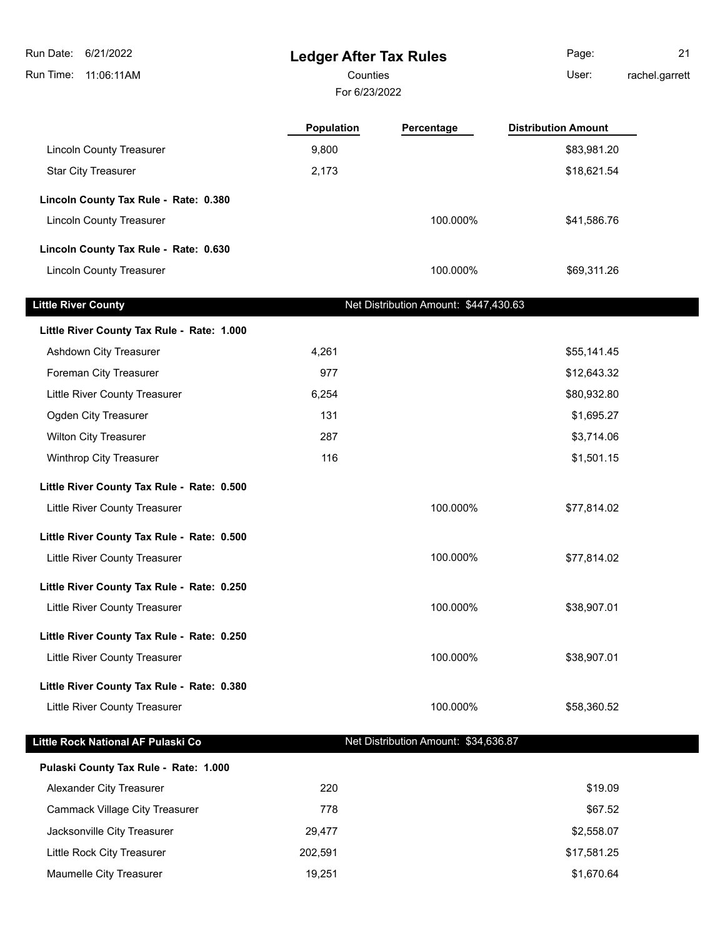| Run Date:<br>6/21/2022<br>11:06:11AM<br>Run Time:                        | <b>Ledger After Tax Rules</b><br>Counties |                                       | Page:<br>User:             | 21<br>rachel.garrett |
|--------------------------------------------------------------------------|-------------------------------------------|---------------------------------------|----------------------------|----------------------|
|                                                                          | For 6/23/2022                             |                                       |                            |                      |
|                                                                          | <b>Population</b>                         | Percentage                            | <b>Distribution Amount</b> |                      |
| <b>Lincoln County Treasurer</b>                                          | 9,800                                     |                                       | \$83,981.20                |                      |
| <b>Star City Treasurer</b>                                               | 2,173                                     |                                       | \$18,621.54                |                      |
| Lincoln County Tax Rule - Rate: 0.380                                    |                                           |                                       |                            |                      |
| <b>Lincoln County Treasurer</b>                                          |                                           | 100.000%                              | \$41,586.76                |                      |
|                                                                          |                                           |                                       |                            |                      |
| Lincoln County Tax Rule - Rate: 0.630<br><b>Lincoln County Treasurer</b> |                                           | 100.000%                              | \$69,311.26                |                      |
|                                                                          |                                           |                                       |                            |                      |
| <b>Little River County</b>                                               |                                           | Net Distribution Amount: \$447,430.63 |                            |                      |
| Little River County Tax Rule - Rate: 1.000                               |                                           |                                       |                            |                      |
| Ashdown City Treasurer                                                   | 4,261                                     |                                       | \$55,141.45                |                      |
| Foreman City Treasurer                                                   | 977                                       |                                       | \$12,643.32                |                      |
| Little River County Treasurer                                            | 6,254                                     |                                       | \$80,932.80                |                      |
| Ogden City Treasurer                                                     | 131                                       |                                       | \$1,695.27                 |                      |
| <b>Wilton City Treasurer</b>                                             | 287                                       |                                       | \$3,714.06                 |                      |
| Winthrop City Treasurer                                                  | 116                                       |                                       | \$1,501.15                 |                      |
| Little River County Tax Rule - Rate: 0.500                               |                                           |                                       |                            |                      |
| <b>Little River County Treasurer</b>                                     |                                           | 100.000%                              | \$77,814.02                |                      |
| Little River County Tax Rule - Rate: 0.500                               |                                           |                                       |                            |                      |
| Little River County Treasurer                                            |                                           | 100.000%                              | \$77,814.02                |                      |
| Little River County Tax Rule - Rate: 0.250                               |                                           |                                       |                            |                      |
| Little River County Treasurer                                            |                                           | 100.000%                              | \$38,907.01                |                      |
| Little River County Tax Rule - Rate: 0.250                               |                                           |                                       |                            |                      |
| <b>Little River County Treasurer</b>                                     |                                           | 100.000%                              | \$38,907.01                |                      |
| Little River County Tax Rule - Rate: 0.380                               |                                           |                                       |                            |                      |
| Little River County Treasurer                                            |                                           | 100.000%                              | \$58,360.52                |                      |
|                                                                          |                                           |                                       |                            |                      |
| Little Rock National AF Pulaski Co                                       |                                           | Net Distribution Amount: \$34,636.87  |                            |                      |
| Pulaski County Tax Rule - Rate: 1.000                                    |                                           |                                       |                            |                      |
| Alexander City Treasurer                                                 | 220                                       |                                       | \$19.09                    |                      |
| <b>Cammack Village City Treasurer</b>                                    | 778                                       |                                       | \$67.52                    |                      |
| Jacksonville City Treasurer                                              | 29,477                                    |                                       | \$2,558.07                 |                      |
| Little Rock City Treasurer                                               | 202,591                                   |                                       | \$17,581.25                |                      |
| Maumelle City Treasurer                                                  | 19,251                                    |                                       | \$1,670.64                 |                      |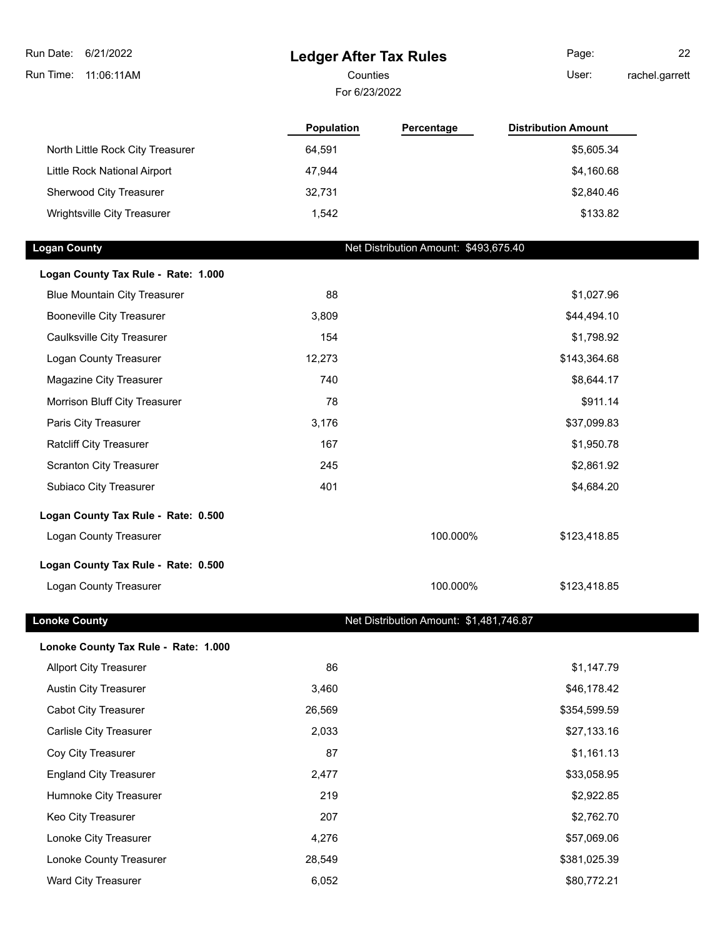| Run Date:<br>6/21/2022               | <b>Ledger After Tax Rules</b> |                                         | Page:                      | 22             |
|--------------------------------------|-------------------------------|-----------------------------------------|----------------------------|----------------|
| Run Time:<br>11:06:11AM              | Counties                      |                                         | User:                      | rachel.garrett |
|                                      | For 6/23/2022                 |                                         |                            |                |
|                                      | Population                    | Percentage                              | <b>Distribution Amount</b> |                |
| North Little Rock City Treasurer     | 64,591                        |                                         | \$5,605.34                 |                |
| Little Rock National Airport         | 47,944                        |                                         | \$4,160.68                 |                |
| Sherwood City Treasurer              | 32,731                        |                                         | \$2,840.46                 |                |
| Wrightsville City Treasurer          | 1,542                         |                                         | \$133.82                   |                |
| <b>Logan County</b>                  |                               | Net Distribution Amount: \$493,675.40   |                            |                |
| Logan County Tax Rule - Rate: 1.000  |                               |                                         |                            |                |
| <b>Blue Mountain City Treasurer</b>  | 88                            |                                         | \$1,027.96                 |                |
| <b>Booneville City Treasurer</b>     | 3,809                         |                                         | \$44,494.10                |                |
| Caulksville City Treasurer           | 154                           |                                         | \$1,798.92                 |                |
| Logan County Treasurer               | 12,273                        |                                         | \$143,364.68               |                |
| Magazine City Treasurer              | 740                           |                                         | \$8,644.17                 |                |
| Morrison Bluff City Treasurer        | 78                            |                                         | \$911.14                   |                |
| Paris City Treasurer                 | 3,176                         |                                         | \$37,099.83                |                |
| <b>Ratcliff City Treasurer</b>       | 167                           |                                         | \$1,950.78                 |                |
| <b>Scranton City Treasurer</b>       | 245                           |                                         | \$2,861.92                 |                |
| Subiaco City Treasurer               | 401                           |                                         | \$4,684.20                 |                |
| Logan County Tax Rule - Rate: 0.500  |                               |                                         |                            |                |
| Logan County Treasurer               |                               | 100.000%                                | \$123,418.85               |                |
| Logan County Tax Rule - Rate: 0.500  |                               |                                         |                            |                |
| Logan County Treasurer               |                               | 100.000%                                | \$123,418.85               |                |
| <b>Lonoke County</b>                 |                               | Net Distribution Amount: \$1,481,746.87 |                            |                |
| Lonoke County Tax Rule - Rate: 1.000 |                               |                                         |                            |                |
| <b>Allport City Treasurer</b>        | 86                            |                                         | \$1,147.79                 |                |
| <b>Austin City Treasurer</b>         | 3,460                         |                                         | \$46,178.42                |                |
| <b>Cabot City Treasurer</b>          | 26,569                        |                                         | \$354,599.59               |                |
| Carlisle City Treasurer              | 2,033                         |                                         | \$27,133.16                |                |
| Coy City Treasurer                   | 87                            |                                         | \$1,161.13                 |                |
| <b>England City Treasurer</b>        | 2,477                         |                                         | \$33,058.95                |                |
| Humnoke City Treasurer               | 219                           |                                         | \$2,922.85                 |                |
| Keo City Treasurer                   | 207                           |                                         | \$2,762.70                 |                |
| Lonoke City Treasurer                | 4,276                         |                                         | \$57,069.06                |                |
| Lonoke County Treasurer              | 28,549                        |                                         | \$381,025.39               |                |
| Ward City Treasurer                  | 6,052                         |                                         | \$80,772.21                |                |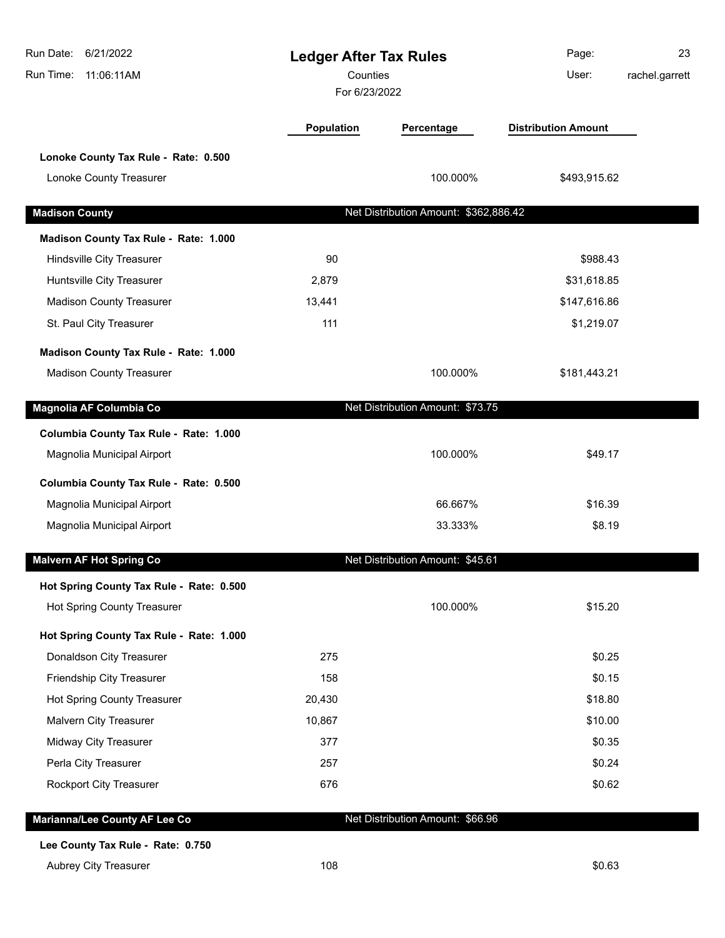| Run Date:<br>6/21/2022<br>Run Time:<br>11:06:11AM | <b>Ledger After Tax Rules</b><br>Counties<br>For 6/23/2022 |                                       | Page:<br>User:             | 23<br>rachel.garrett |
|---------------------------------------------------|------------------------------------------------------------|---------------------------------------|----------------------------|----------------------|
|                                                   | <b>Population</b>                                          | Percentage                            | <b>Distribution Amount</b> |                      |
| Lonoke County Tax Rule - Rate: 0.500              |                                                            |                                       |                            |                      |
| Lonoke County Treasurer                           |                                                            | 100.000%                              | \$493,915.62               |                      |
| <b>Madison County</b>                             |                                                            | Net Distribution Amount: \$362,886.42 |                            |                      |
| Madison County Tax Rule - Rate: 1.000             |                                                            |                                       |                            |                      |
| Hindsville City Treasurer                         | 90                                                         |                                       | \$988.43                   |                      |
| Huntsville City Treasurer                         | 2,879                                                      |                                       | \$31,618.85                |                      |
| <b>Madison County Treasurer</b>                   | 13,441                                                     |                                       | \$147,616.86               |                      |
| St. Paul City Treasurer                           | 111                                                        |                                       | \$1,219.07                 |                      |
| Madison County Tax Rule - Rate: 1.000             |                                                            |                                       |                            |                      |
| <b>Madison County Treasurer</b>                   |                                                            | 100.000%                              | \$181,443.21               |                      |
| Magnolia AF Columbia Co                           |                                                            | Net Distribution Amount: \$73.75      |                            |                      |
| Columbia County Tax Rule - Rate: 1.000            |                                                            |                                       |                            |                      |
| Magnolia Municipal Airport                        |                                                            | 100.000%                              | \$49.17                    |                      |
| Columbia County Tax Rule - Rate: 0.500            |                                                            |                                       |                            |                      |
| Magnolia Municipal Airport                        |                                                            | 66.667%                               | \$16.39                    |                      |
| Magnolia Municipal Airport                        |                                                            | 33.333%                               | \$8.19                     |                      |
| <b>Malvern AF Hot Spring Co</b>                   |                                                            | Net Distribution Amount: \$45.61      |                            |                      |
| Hot Spring County Tax Rule - Rate: 0.500          |                                                            |                                       |                            |                      |
| Hot Spring County Treasurer                       |                                                            | 100.000%                              | \$15.20                    |                      |
| Hot Spring County Tax Rule - Rate: 1.000          |                                                            |                                       |                            |                      |
| Donaldson City Treasurer                          | 275                                                        |                                       | \$0.25                     |                      |
| Friendship City Treasurer                         | 158                                                        |                                       | \$0.15                     |                      |
| <b>Hot Spring County Treasurer</b>                | 20,430                                                     |                                       | \$18.80                    |                      |
| Malvern City Treasurer                            | 10,867                                                     |                                       | \$10.00                    |                      |
| Midway City Treasurer                             | 377                                                        |                                       | \$0.35                     |                      |
| Perla City Treasurer                              | 257                                                        |                                       | \$0.24                     |                      |
| <b>Rockport City Treasurer</b>                    | 676                                                        |                                       | \$0.62                     |                      |
| Marianna/Lee County AF Lee Co                     |                                                            | Net Distribution Amount: \$66.96      |                            |                      |
| Lee County Tax Rule - Rate: 0.750                 |                                                            |                                       |                            |                      |
| Aubrey City Treasurer                             | 108                                                        |                                       | \$0.63                     |                      |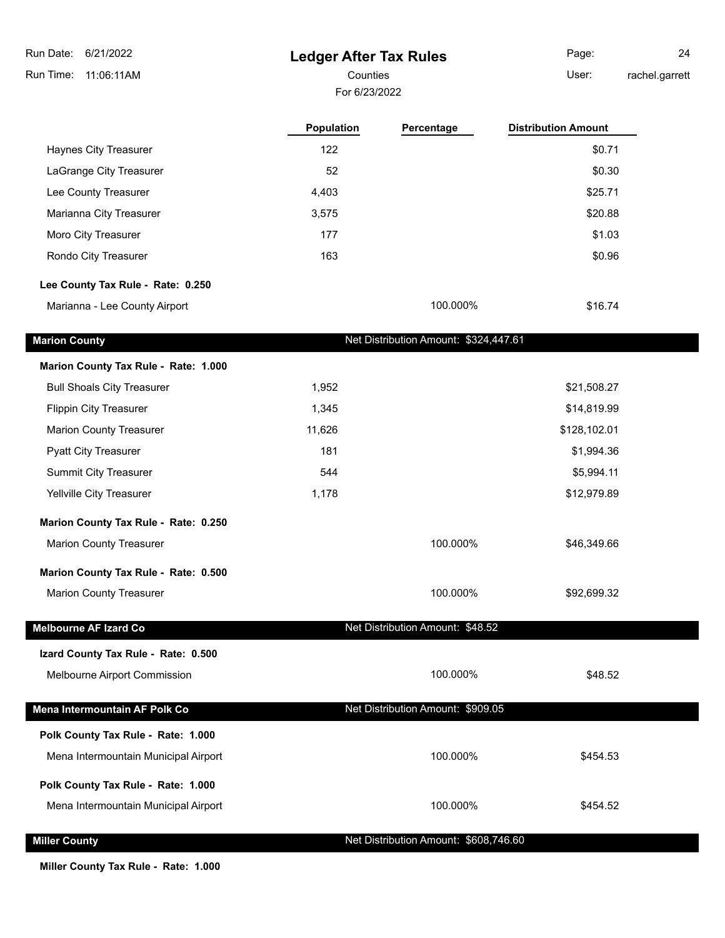| Run Date:<br>6/21/2022               | <b>Ledger After Tax Rules</b> |                                       | Page:                      | 24             |
|--------------------------------------|-------------------------------|---------------------------------------|----------------------------|----------------|
| Run Time:<br>11:06:11AM              | Counties                      |                                       | User:                      | rachel.garrett |
|                                      | For 6/23/2022                 |                                       |                            |                |
|                                      | Population                    | Percentage                            | <b>Distribution Amount</b> |                |
| Haynes City Treasurer                | 122                           |                                       | \$0.71                     |                |
| LaGrange City Treasurer              | 52                            |                                       | \$0.30                     |                |
| Lee County Treasurer                 | 4,403                         |                                       | \$25.71                    |                |
| Marianna City Treasurer              | 3,575                         |                                       | \$20.88                    |                |
| Moro City Treasurer                  | 177                           |                                       | \$1.03                     |                |
| Rondo City Treasurer                 | 163                           |                                       | \$0.96                     |                |
| Lee County Tax Rule - Rate: 0.250    |                               |                                       |                            |                |
| Marianna - Lee County Airport        |                               | 100.000%                              | \$16.74                    |                |
| <b>Marion County</b>                 |                               | Net Distribution Amount: \$324,447.61 |                            |                |
| Marion County Tax Rule - Rate: 1.000 |                               |                                       |                            |                |
| <b>Bull Shoals City Treasurer</b>    | 1,952                         |                                       | \$21,508.27                |                |
| <b>Flippin City Treasurer</b>        | 1,345                         |                                       | \$14,819.99                |                |
| <b>Marion County Treasurer</b>       | 11,626                        |                                       | \$128,102.01               |                |
| <b>Pyatt City Treasurer</b>          | 181                           |                                       | \$1,994.36                 |                |
| <b>Summit City Treasurer</b>         | 544                           |                                       | \$5,994.11                 |                |
| Yellville City Treasurer             | 1,178                         |                                       | \$12,979.89                |                |
| Marion County Tax Rule - Rate: 0.250 |                               |                                       |                            |                |
| <b>Marion County Treasurer</b>       |                               | 100.000%                              | \$46,349.66                |                |
| Marion County Tax Rule - Rate: 0.500 |                               |                                       |                            |                |
| <b>Marion County Treasurer</b>       |                               | 100.000%                              | \$92,699.32                |                |
| Melbourne AF Izard Co                |                               | Net Distribution Amount: \$48.52      |                            |                |
| Izard County Tax Rule - Rate: 0.500  |                               |                                       |                            |                |
| Melbourne Airport Commission         |                               | 100.000%                              | \$48.52                    |                |
| Mena Intermountain AF Polk Co        |                               | Net Distribution Amount: \$909.05     |                            |                |
| Polk County Tax Rule - Rate: 1.000   |                               |                                       |                            |                |
| Mena Intermountain Municipal Airport |                               | 100.000%                              | \$454.53                   |                |
| Polk County Tax Rule - Rate: 1.000   |                               |                                       |                            |                |
| Mena Intermountain Municipal Airport |                               | 100.000%                              | \$454.52                   |                |
| <b>Miller County</b>                 |                               | Net Distribution Amount: \$608,746.60 |                            |                |

**Miller County Tax Rule - Rate: 1.000**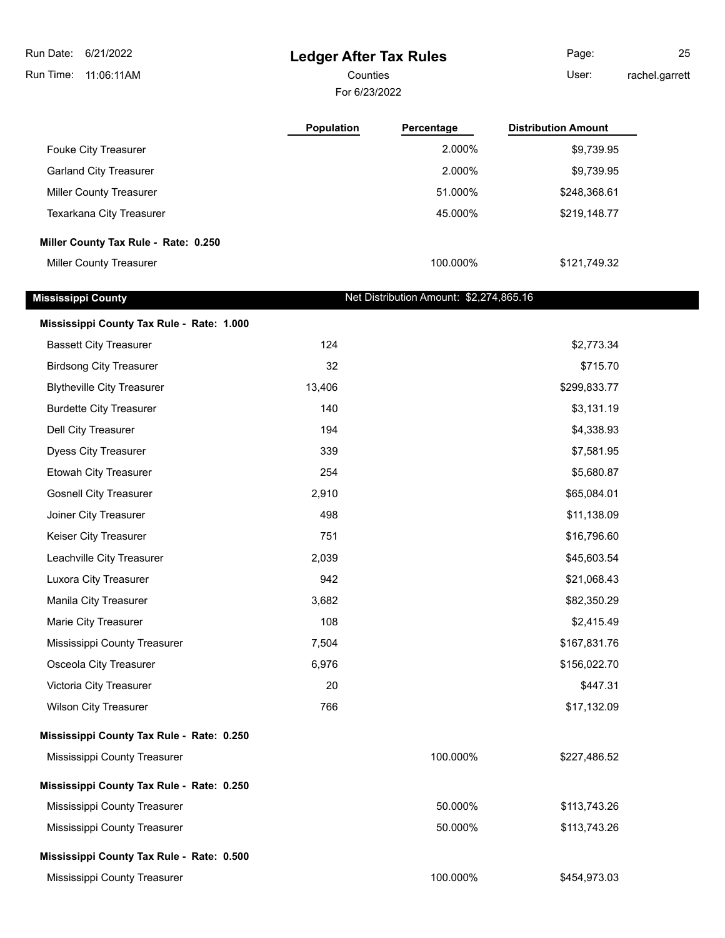# **Ledger After Tax Rules**

Counties **Counties** User:

For 6/23/2022

Page: 25 rachel.garrett

|                                           | Population | Percentage                              | <b>Distribution Amount</b> |
|-------------------------------------------|------------|-----------------------------------------|----------------------------|
| Fouke City Treasurer                      |            | 2.000%                                  | \$9,739.95                 |
| <b>Garland City Treasurer</b>             |            | 2.000%                                  | \$9,739.95                 |
| <b>Miller County Treasurer</b>            |            | 51.000%                                 | \$248,368.61               |
| Texarkana City Treasurer                  |            | 45.000%                                 | \$219,148.77               |
| Miller County Tax Rule - Rate: 0.250      |            |                                         |                            |
| <b>Miller County Treasurer</b>            |            | 100.000%                                | \$121,749.32               |
| <b>Mississippi County</b>                 |            | Net Distribution Amount: \$2,274,865.16 |                            |
| Mississippi County Tax Rule - Rate: 1.000 |            |                                         |                            |
| <b>Bassett City Treasurer</b>             | 124        |                                         | \$2,773.34                 |
| <b>Birdsong City Treasurer</b>            | 32         |                                         | \$715.70                   |
| <b>Blytheville City Treasurer</b>         | 13,406     |                                         | \$299,833.77               |
| <b>Burdette City Treasurer</b>            | 140        |                                         | \$3,131.19                 |
| Dell City Treasurer                       | 194        |                                         | \$4,338.93                 |
| <b>Dyess City Treasurer</b>               | 339        |                                         | \$7,581.95                 |
| Etowah City Treasurer                     | 254        |                                         | \$5,680.87                 |
| <b>Gosnell City Treasurer</b>             | 2,910      |                                         | \$65,084.01                |
| Joiner City Treasurer                     | 498        |                                         | \$11,138.09                |
| Keiser City Treasurer                     | 751        |                                         | \$16,796.60                |
| Leachville City Treasurer                 | 2,039      |                                         | \$45,603.54                |
| Luxora City Treasurer                     | 942        |                                         | \$21,068.43                |
| Manila City Treasurer                     | 3,682      |                                         | \$82,350.29                |
| Marie City Treasurer                      | 108        |                                         | \$2,415.49                 |
| Mississippi County Treasurer              | 7,504      |                                         | \$167,831.76               |
| Osceola City Treasurer                    | 6,976      |                                         | \$156,022.70               |
| Victoria City Treasurer                   | 20         |                                         | \$447.31                   |
| <b>Wilson City Treasurer</b>              | 766        |                                         | \$17,132.09                |
| Mississippi County Tax Rule - Rate: 0.250 |            |                                         |                            |
| Mississippi County Treasurer              |            | 100.000%                                | \$227,486.52               |
| Mississippi County Tax Rule - Rate: 0.250 |            |                                         |                            |
| Mississippi County Treasurer              |            | 50.000%                                 | \$113,743.26               |
| Mississippi County Treasurer              |            | 50.000%                                 | \$113,743.26               |
| Mississippi County Tax Rule - Rate: 0.500 |            |                                         |                            |
| Mississippi County Treasurer              |            | 100.000%                                | \$454,973.03               |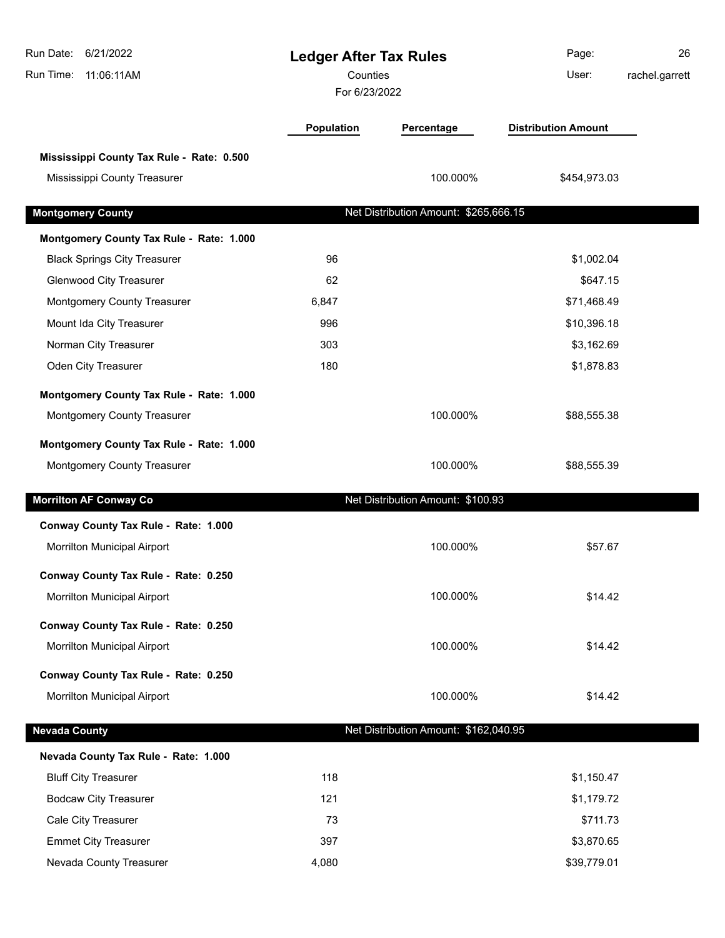| Run Date: 6/21/2022<br>Run Time:<br>11:06:11AM | <b>Ledger After Tax Rules</b><br>Counties<br>For 6/23/2022 |                                       | Page:<br>User:             | 26<br>rachel.garrett |
|------------------------------------------------|------------------------------------------------------------|---------------------------------------|----------------------------|----------------------|
|                                                | Population                                                 | Percentage                            | <b>Distribution Amount</b> |                      |
| Mississippi County Tax Rule - Rate: 0.500      |                                                            |                                       |                            |                      |
| Mississippi County Treasurer                   |                                                            | 100.000%                              | \$454,973.03               |                      |
| <b>Montgomery County</b>                       |                                                            | Net Distribution Amount: \$265,666.15 |                            |                      |
| Montgomery County Tax Rule - Rate: 1.000       |                                                            |                                       |                            |                      |
| <b>Black Springs City Treasurer</b>            | 96                                                         |                                       | \$1,002.04                 |                      |
| <b>Glenwood City Treasurer</b>                 | 62                                                         |                                       | \$647.15                   |                      |
| Montgomery County Treasurer                    | 6,847                                                      |                                       | \$71,468.49                |                      |
| Mount Ida City Treasurer                       | 996                                                        |                                       | \$10,396.18                |                      |
| Norman City Treasurer                          | 303                                                        |                                       | \$3,162.69                 |                      |
| Oden City Treasurer                            | 180                                                        |                                       | \$1,878.83                 |                      |
| Montgomery County Tax Rule - Rate: 1.000       |                                                            |                                       |                            |                      |
| Montgomery County Treasurer                    |                                                            | 100.000%                              | \$88,555.38                |                      |
| Montgomery County Tax Rule - Rate: 1.000       |                                                            |                                       |                            |                      |
| Montgomery County Treasurer                    |                                                            | 100.000%                              | \$88,555.39                |                      |
| <b>Morrilton AF Conway Co</b>                  |                                                            | Net Distribution Amount: \$100.93     |                            |                      |
| Conway County Tax Rule - Rate: 1.000           |                                                            |                                       |                            |                      |
| <b>Morrilton Municipal Airport</b>             |                                                            | 100.000%                              | \$57.67                    |                      |
| Conway County Tax Rule - Rate: 0.250           |                                                            |                                       |                            |                      |
| Morrilton Municipal Airport                    |                                                            | 100.000%                              | \$14.42                    |                      |
| Conway County Tax Rule - Rate: 0.250           |                                                            |                                       |                            |                      |
| Morrilton Municipal Airport                    |                                                            | 100.000%                              | \$14.42                    |                      |
| Conway County Tax Rule - Rate: 0.250           |                                                            |                                       |                            |                      |
| Morrilton Municipal Airport                    |                                                            | 100.000%                              | \$14.42                    |                      |
| <b>Nevada County</b>                           |                                                            | Net Distribution Amount: \$162,040.95 |                            |                      |
| Nevada County Tax Rule - Rate: 1.000           |                                                            |                                       |                            |                      |
| <b>Bluff City Treasurer</b>                    | 118                                                        |                                       | \$1,150.47                 |                      |
| <b>Bodcaw City Treasurer</b>                   | 121                                                        |                                       | \$1,179.72                 |                      |
| Cale City Treasurer                            | 73                                                         |                                       | \$711.73                   |                      |
| <b>Emmet City Treasurer</b>                    | 397                                                        |                                       | \$3,870.65                 |                      |
| Nevada County Treasurer                        | 4,080                                                      |                                       | \$39,779.01                |                      |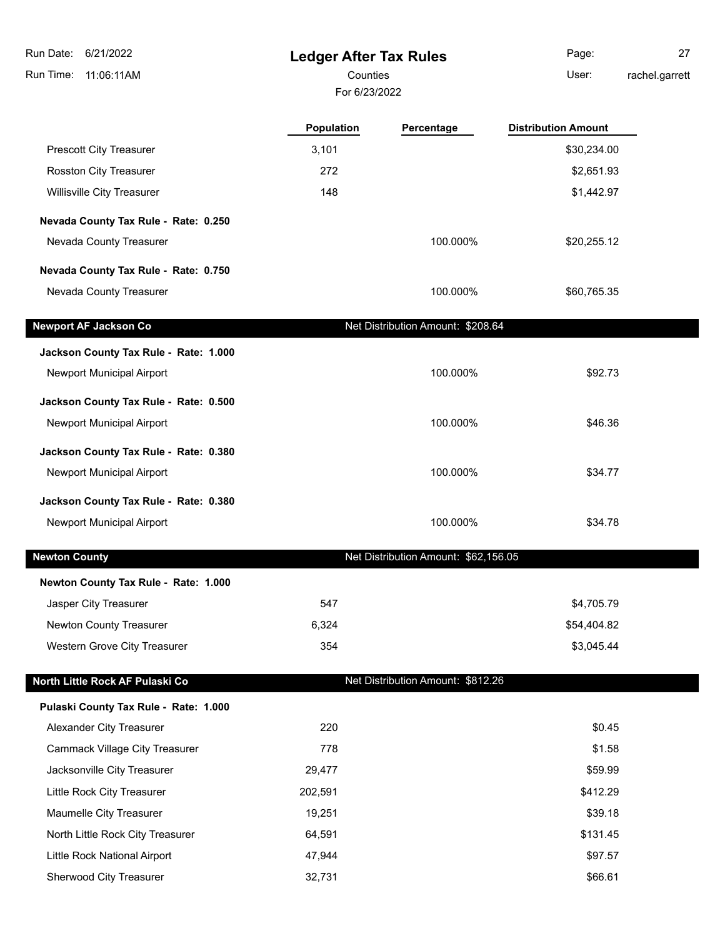| 6/21/2022<br>Run Date:                                             | <b>Ledger After Tax Rules</b> |                                      | Page:                      | 27             |
|--------------------------------------------------------------------|-------------------------------|--------------------------------------|----------------------------|----------------|
| Counties<br>Run Time:<br>11:06:11AM                                |                               |                                      | User:                      | rachel.garrett |
|                                                                    | For 6/23/2022                 |                                      |                            |                |
|                                                                    | <b>Population</b>             | Percentage                           | <b>Distribution Amount</b> |                |
| Prescott City Treasurer                                            | 3,101                         |                                      | \$30,234.00                |                |
| Rosston City Treasurer                                             | 272                           |                                      | \$2,651.93                 |                |
| <b>Willisville City Treasurer</b>                                  | 148                           |                                      | \$1,442.97                 |                |
| Nevada County Tax Rule - Rate: 0.250                               |                               |                                      |                            |                |
| Nevada County Treasurer                                            |                               | 100.000%                             | \$20,255.12                |                |
| Nevada County Tax Rule - Rate: 0.750                               |                               |                                      |                            |                |
| Nevada County Treasurer                                            |                               | 100.000%                             | \$60,765.35                |                |
| <b>Newport AF Jackson Co</b>                                       |                               | Net Distribution Amount: \$208.64    |                            |                |
|                                                                    |                               |                                      |                            |                |
| Jackson County Tax Rule - Rate: 1.000<br>Newport Municipal Airport |                               | 100.000%                             | \$92.73                    |                |
| Jackson County Tax Rule - Rate: 0.500                              |                               |                                      |                            |                |
| Newport Municipal Airport                                          |                               | 100.000%                             | \$46.36                    |                |
| Jackson County Tax Rule - Rate: 0.380                              |                               |                                      |                            |                |
| Newport Municipal Airport                                          |                               | 100.000%                             | \$34.77                    |                |
| Jackson County Tax Rule - Rate: 0.380                              |                               |                                      |                            |                |
| Newport Municipal Airport                                          |                               | 100.000%                             | \$34.78                    |                |
| <b>Newton County</b>                                               |                               | Net Distribution Amount: \$62,156.05 |                            |                |
| Newton County Tax Rule - Rate: 1.000                               |                               |                                      |                            |                |
| Jasper City Treasurer                                              | 547                           |                                      | \$4,705.79                 |                |
| Newton County Treasurer                                            | 6,324                         |                                      | \$54,404.82                |                |
| Western Grove City Treasurer                                       | 354                           |                                      | \$3,045.44                 |                |
| North Little Rock AF Pulaski Co                                    |                               | Net Distribution Amount: \$812.26    |                            |                |
| Pulaski County Tax Rule - Rate: 1.000                              |                               |                                      |                            |                |
| Alexander City Treasurer                                           | 220                           |                                      | \$0.45                     |                |
| <b>Cammack Village City Treasurer</b>                              | 778                           |                                      | \$1.58                     |                |
| Jacksonville City Treasurer                                        | 29,477                        |                                      | \$59.99                    |                |
| Little Rock City Treasurer                                         | 202,591                       |                                      | \$412.29                   |                |
| Maumelle City Treasurer                                            | 19,251                        |                                      | \$39.18                    |                |
| North Little Rock City Treasurer                                   | 64,591                        |                                      | \$131.45                   |                |
| Little Rock National Airport                                       | 47,944                        |                                      | \$97.57                    |                |
| Sherwood City Treasurer                                            | 32,731                        |                                      | \$66.61                    |                |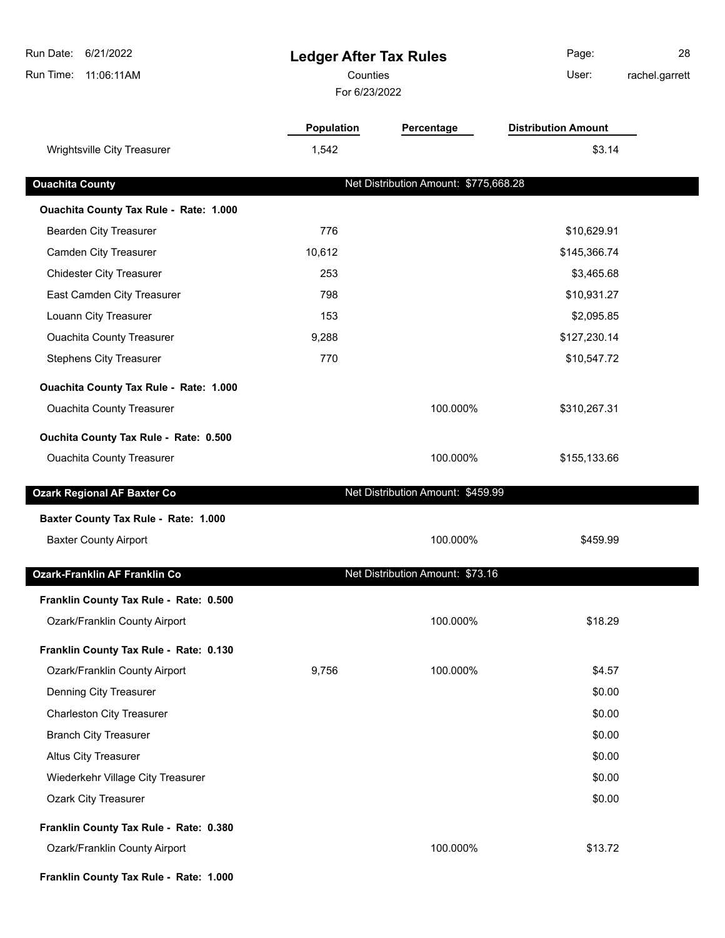| Run Date:<br>6/21/2022<br>Run Time:<br>11:06:11AM | <b>Ledger After Tax Rules</b><br>Counties<br>For 6/23/2022 |                                       | Page:<br>User:             | 28<br>rachel.garrett |
|---------------------------------------------------|------------------------------------------------------------|---------------------------------------|----------------------------|----------------------|
|                                                   | <b>Population</b>                                          | Percentage                            | <b>Distribution Amount</b> |                      |
| Wrightsville City Treasurer                       | 1,542                                                      |                                       | \$3.14                     |                      |
| <b>Ouachita County</b>                            |                                                            | Net Distribution Amount: \$775,668.28 |                            |                      |
| Ouachita County Tax Rule - Rate: 1.000            |                                                            |                                       |                            |                      |
| <b>Bearden City Treasurer</b>                     | 776                                                        |                                       | \$10,629.91                |                      |
| Camden City Treasurer                             | 10,612                                                     |                                       | \$145,366.74               |                      |
| <b>Chidester City Treasurer</b>                   | 253                                                        |                                       | \$3,465.68                 |                      |
| East Camden City Treasurer                        | 798                                                        |                                       | \$10,931.27                |                      |
| Louann City Treasurer                             | 153                                                        |                                       | \$2,095.85                 |                      |
| <b>Ouachita County Treasurer</b>                  | 9,288                                                      |                                       | \$127,230.14               |                      |
| <b>Stephens City Treasurer</b>                    | 770                                                        |                                       | \$10,547.72                |                      |
| Ouachita County Tax Rule - Rate: 1.000            |                                                            |                                       |                            |                      |
| <b>Ouachita County Treasurer</b>                  |                                                            | 100.000%                              | \$310,267.31               |                      |
| Ouchita County Tax Rule - Rate: 0.500             |                                                            |                                       |                            |                      |
| <b>Ouachita County Treasurer</b>                  |                                                            | 100.000%                              | \$155,133.66               |                      |
| <b>Ozark Regional AF Baxter Co</b>                |                                                            | Net Distribution Amount: \$459.99     |                            |                      |
| Baxter County Tax Rule - Rate: 1.000              |                                                            |                                       |                            |                      |
| <b>Baxter County Airport</b>                      |                                                            | 100.000%                              | \$459.99                   |                      |
| <b>Ozark-Franklin AF Franklin Co</b>              |                                                            | Net Distribution Amount: \$73.16      |                            |                      |
| Franklin County Tax Rule - Rate: 0.500            |                                                            |                                       |                            |                      |
| Ozark/Franklin County Airport                     |                                                            | 100.000%                              | \$18.29                    |                      |
| Franklin County Tax Rule - Rate: 0.130            |                                                            |                                       |                            |                      |
| Ozark/Franklin County Airport                     | 9,756                                                      | 100.000%                              | \$4.57                     |                      |
| Denning City Treasurer                            |                                                            |                                       | \$0.00                     |                      |
| <b>Charleston City Treasurer</b>                  |                                                            |                                       | \$0.00                     |                      |
| <b>Branch City Treasurer</b>                      |                                                            |                                       | \$0.00                     |                      |
| <b>Altus City Treasurer</b>                       |                                                            |                                       | \$0.00                     |                      |
| Wiederkehr Village City Treasurer                 |                                                            |                                       | \$0.00                     |                      |
| <b>Ozark City Treasurer</b>                       |                                                            |                                       | \$0.00                     |                      |
| Franklin County Tax Rule - Rate: 0.380            |                                                            |                                       |                            |                      |
| Ozark/Franklin County Airport                     |                                                            | 100.000%                              | \$13.72                    |                      |
| Franklin County Tax Rule - Rate: 1.000            |                                                            |                                       |                            |                      |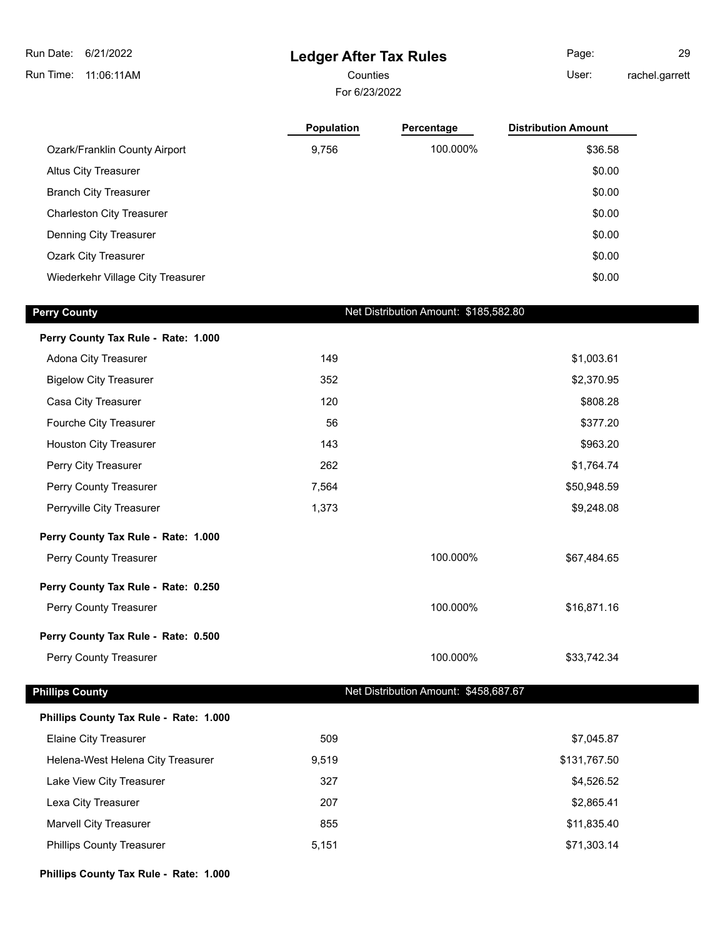| Run Date:<br>6/21/2022                 | <b>Ledger After Tax Rules</b> |                                       | Page:                      | 29             |
|----------------------------------------|-------------------------------|---------------------------------------|----------------------------|----------------|
| Run Time:<br>11:06:11AM                | Counties                      |                                       | User:                      | rachel.garrett |
|                                        | For 6/23/2022                 |                                       |                            |                |
|                                        | Population                    | Percentage                            | <b>Distribution Amount</b> |                |
| Ozark/Franklin County Airport          | 9,756                         | 100.000%                              | \$36.58                    |                |
| <b>Altus City Treasurer</b>            |                               |                                       | \$0.00                     |                |
| <b>Branch City Treasurer</b>           |                               |                                       | \$0.00                     |                |
| <b>Charleston City Treasurer</b>       |                               |                                       | \$0.00                     |                |
| Denning City Treasurer                 |                               |                                       | \$0.00                     |                |
| <b>Ozark City Treasurer</b>            |                               |                                       | \$0.00                     |                |
| Wiederkehr Village City Treasurer      |                               |                                       | \$0.00                     |                |
| <b>Perry County</b>                    |                               | Net Distribution Amount: \$185,582.80 |                            |                |
| Perry County Tax Rule - Rate: 1.000    |                               |                                       |                            |                |
| Adona City Treasurer                   | 149                           |                                       | \$1,003.61                 |                |
| <b>Bigelow City Treasurer</b>          | 352                           |                                       | \$2,370.95                 |                |
| Casa City Treasurer                    | 120                           |                                       | \$808.28                   |                |
| Fourche City Treasurer                 | 56                            |                                       | \$377.20                   |                |
| <b>Houston City Treasurer</b>          | 143                           |                                       | \$963.20                   |                |
| Perry City Treasurer                   | 262                           |                                       | \$1,764.74                 |                |
| Perry County Treasurer                 | 7,564                         |                                       | \$50,948.59                |                |
| Perryville City Treasurer              | 1,373                         |                                       | \$9,248.08                 |                |
| Perry County Tax Rule - Rate: 1.000    |                               |                                       |                            |                |
| Perry County Treasurer                 |                               | 100.000%                              | \$67,484.65                |                |
| Perry County Tax Rule - Rate: 0.250    |                               |                                       |                            |                |
| Perry County Treasurer                 |                               | 100.000%                              | \$16,871.16                |                |
| Perry County Tax Rule - Rate: 0.500    |                               |                                       |                            |                |
| Perry County Treasurer                 |                               | 100.000%                              | \$33,742.34                |                |
| <b>Phillips County</b>                 |                               | Net Distribution Amount: \$458,687.67 |                            |                |
| Phillips County Tax Rule - Rate: 1.000 |                               |                                       |                            |                |
| <b>Elaine City Treasurer</b>           | 509                           |                                       | \$7,045.87                 |                |
| Helena-West Helena City Treasurer      | 9,519                         |                                       | \$131,767.50               |                |
| Lake View City Treasurer               | 327                           |                                       | \$4,526.52                 |                |
| Lexa City Treasurer                    | 207                           |                                       | \$2,865.41                 |                |
| Marvell City Treasurer                 | 855                           |                                       | \$11,835.40                |                |

٠

Phillips County Treasurer 6,151 5,151 \$71,303.14

**Phillips County Tax Rule - Rate: 1.000**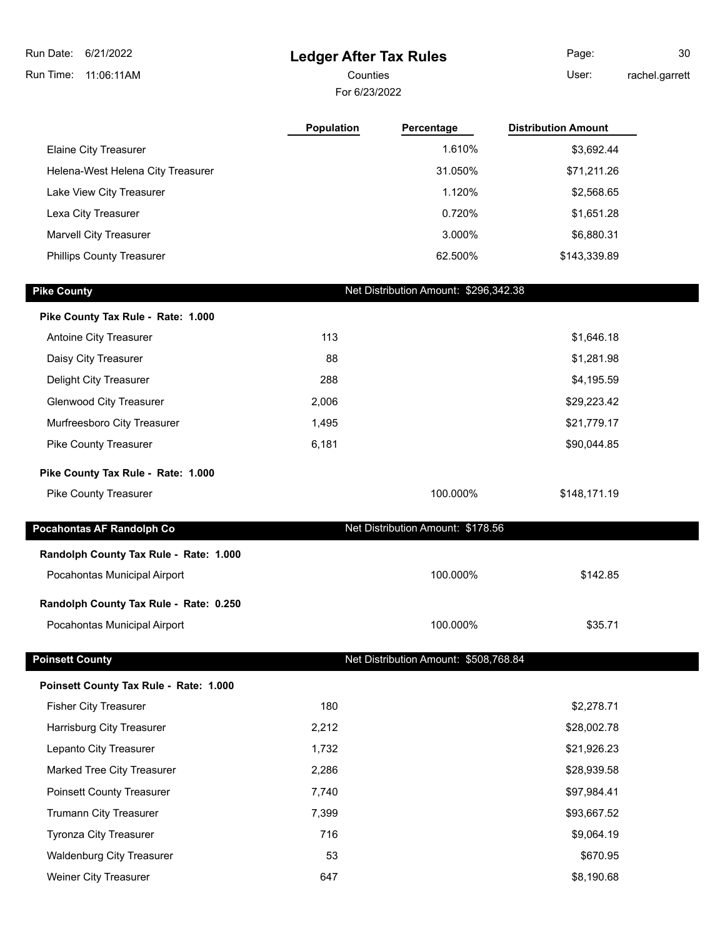| Counties<br>For 6/23/2022<br><b>Distribution Amount</b><br>Population<br>Percentage<br>1.610%<br>\$3,692.44<br><b>Elaine City Treasurer</b><br>Helena-West Helena City Treasurer<br>31.050%<br>\$71,211.26<br>1.120%<br>Lake View City Treasurer<br>\$2,568.65<br>Lexa City Treasurer<br>0.720%<br>\$1,651.28<br><b>Marvell City Treasurer</b><br>3.000%<br>\$6,880.31<br><b>Phillips County Treasurer</b><br>62.500%<br>\$143,339.89<br>Net Distribution Amount: \$296,342.38<br><b>Pike County</b><br>Pike County Tax Rule - Rate: 1.000<br>113<br>Antoine City Treasurer<br>\$1,646.18<br>Daisy City Treasurer<br>88<br>\$1,281.98<br>Delight City Treasurer<br>288<br>\$4,195.59<br><b>Glenwood City Treasurer</b><br>\$29,223.42<br>2,006<br>Murfreesboro City Treasurer<br>1,495<br>\$21,779.17<br>6,181<br>Pike County Treasurer<br>\$90,044.85<br>Pike County Tax Rule - Rate: 1.000<br>Pike County Treasurer<br>100.000%<br>\$148,171.19<br><b>Pocahontas AF Randolph Co</b><br>Net Distribution Amount: \$178.56<br>Randolph County Tax Rule - Rate: 1.000<br>Pocahontas Municipal Airport<br>100.000%<br>\$142.85<br>Randolph County Tax Rule - Rate: 0.250<br>100.000%<br>Pocahontas Municipal Airport<br>\$35.71<br>Net Distribution Amount: \$508,768.84<br><b>Poinsett County</b><br>Poinsett County Tax Rule - Rate: 1.000<br><b>Fisher City Treasurer</b><br>180<br>\$2,278.71<br>Harrisburg City Treasurer<br>2,212<br>\$28,002.78<br>Lepanto City Treasurer<br>1,732<br>\$21,926.23<br>Marked Tree City Treasurer<br>2,286<br>\$28,939.58<br><b>Poinsett County Treasurer</b><br>7,740<br>\$97,984.41<br>Trumann City Treasurer<br>7,399<br>\$93,667.52<br>Tyronza City Treasurer<br>716<br>\$9,064.19<br><b>Waldenburg City Treasurer</b><br>53<br>\$670.95<br>\$8,190.68<br>Weiner City Treasurer<br>647 | 6/21/2022<br>Run Date:  | <b>Ledger After Tax Rules</b> | Page: | 30             |
|-------------------------------------------------------------------------------------------------------------------------------------------------------------------------------------------------------------------------------------------------------------------------------------------------------------------------------------------------------------------------------------------------------------------------------------------------------------------------------------------------------------------------------------------------------------------------------------------------------------------------------------------------------------------------------------------------------------------------------------------------------------------------------------------------------------------------------------------------------------------------------------------------------------------------------------------------------------------------------------------------------------------------------------------------------------------------------------------------------------------------------------------------------------------------------------------------------------------------------------------------------------------------------------------------------------------------------------------------------------------------------------------------------------------------------------------------------------------------------------------------------------------------------------------------------------------------------------------------------------------------------------------------------------------------------------------------------------------------------------------------------------------------------------------------------------------------------|-------------------------|-------------------------------|-------|----------------|
|                                                                                                                                                                                                                                                                                                                                                                                                                                                                                                                                                                                                                                                                                                                                                                                                                                                                                                                                                                                                                                                                                                                                                                                                                                                                                                                                                                                                                                                                                                                                                                                                                                                                                                                                                                                                                               | Run Time:<br>11:06:11AM |                               | User: | rachel.garrett |
|                                                                                                                                                                                                                                                                                                                                                                                                                                                                                                                                                                                                                                                                                                                                                                                                                                                                                                                                                                                                                                                                                                                                                                                                                                                                                                                                                                                                                                                                                                                                                                                                                                                                                                                                                                                                                               |                         |                               |       |                |
|                                                                                                                                                                                                                                                                                                                                                                                                                                                                                                                                                                                                                                                                                                                                                                                                                                                                                                                                                                                                                                                                                                                                                                                                                                                                                                                                                                                                                                                                                                                                                                                                                                                                                                                                                                                                                               |                         |                               |       |                |
|                                                                                                                                                                                                                                                                                                                                                                                                                                                                                                                                                                                                                                                                                                                                                                                                                                                                                                                                                                                                                                                                                                                                                                                                                                                                                                                                                                                                                                                                                                                                                                                                                                                                                                                                                                                                                               |                         |                               |       |                |
|                                                                                                                                                                                                                                                                                                                                                                                                                                                                                                                                                                                                                                                                                                                                                                                                                                                                                                                                                                                                                                                                                                                                                                                                                                                                                                                                                                                                                                                                                                                                                                                                                                                                                                                                                                                                                               |                         |                               |       |                |
|                                                                                                                                                                                                                                                                                                                                                                                                                                                                                                                                                                                                                                                                                                                                                                                                                                                                                                                                                                                                                                                                                                                                                                                                                                                                                                                                                                                                                                                                                                                                                                                                                                                                                                                                                                                                                               |                         |                               |       |                |
|                                                                                                                                                                                                                                                                                                                                                                                                                                                                                                                                                                                                                                                                                                                                                                                                                                                                                                                                                                                                                                                                                                                                                                                                                                                                                                                                                                                                                                                                                                                                                                                                                                                                                                                                                                                                                               |                         |                               |       |                |
|                                                                                                                                                                                                                                                                                                                                                                                                                                                                                                                                                                                                                                                                                                                                                                                                                                                                                                                                                                                                                                                                                                                                                                                                                                                                                                                                                                                                                                                                                                                                                                                                                                                                                                                                                                                                                               |                         |                               |       |                |
|                                                                                                                                                                                                                                                                                                                                                                                                                                                                                                                                                                                                                                                                                                                                                                                                                                                                                                                                                                                                                                                                                                                                                                                                                                                                                                                                                                                                                                                                                                                                                                                                                                                                                                                                                                                                                               |                         |                               |       |                |
|                                                                                                                                                                                                                                                                                                                                                                                                                                                                                                                                                                                                                                                                                                                                                                                                                                                                                                                                                                                                                                                                                                                                                                                                                                                                                                                                                                                                                                                                                                                                                                                                                                                                                                                                                                                                                               |                         |                               |       |                |
|                                                                                                                                                                                                                                                                                                                                                                                                                                                                                                                                                                                                                                                                                                                                                                                                                                                                                                                                                                                                                                                                                                                                                                                                                                                                                                                                                                                                                                                                                                                                                                                                                                                                                                                                                                                                                               |                         |                               |       |                |
|                                                                                                                                                                                                                                                                                                                                                                                                                                                                                                                                                                                                                                                                                                                                                                                                                                                                                                                                                                                                                                                                                                                                                                                                                                                                                                                                                                                                                                                                                                                                                                                                                                                                                                                                                                                                                               |                         |                               |       |                |
|                                                                                                                                                                                                                                                                                                                                                                                                                                                                                                                                                                                                                                                                                                                                                                                                                                                                                                                                                                                                                                                                                                                                                                                                                                                                                                                                                                                                                                                                                                                                                                                                                                                                                                                                                                                                                               |                         |                               |       |                |
|                                                                                                                                                                                                                                                                                                                                                                                                                                                                                                                                                                                                                                                                                                                                                                                                                                                                                                                                                                                                                                                                                                                                                                                                                                                                                                                                                                                                                                                                                                                                                                                                                                                                                                                                                                                                                               |                         |                               |       |                |
|                                                                                                                                                                                                                                                                                                                                                                                                                                                                                                                                                                                                                                                                                                                                                                                                                                                                                                                                                                                                                                                                                                                                                                                                                                                                                                                                                                                                                                                                                                                                                                                                                                                                                                                                                                                                                               |                         |                               |       |                |
|                                                                                                                                                                                                                                                                                                                                                                                                                                                                                                                                                                                                                                                                                                                                                                                                                                                                                                                                                                                                                                                                                                                                                                                                                                                                                                                                                                                                                                                                                                                                                                                                                                                                                                                                                                                                                               |                         |                               |       |                |
|                                                                                                                                                                                                                                                                                                                                                                                                                                                                                                                                                                                                                                                                                                                                                                                                                                                                                                                                                                                                                                                                                                                                                                                                                                                                                                                                                                                                                                                                                                                                                                                                                                                                                                                                                                                                                               |                         |                               |       |                |
|                                                                                                                                                                                                                                                                                                                                                                                                                                                                                                                                                                                                                                                                                                                                                                                                                                                                                                                                                                                                                                                                                                                                                                                                                                                                                                                                                                                                                                                                                                                                                                                                                                                                                                                                                                                                                               |                         |                               |       |                |
|                                                                                                                                                                                                                                                                                                                                                                                                                                                                                                                                                                                                                                                                                                                                                                                                                                                                                                                                                                                                                                                                                                                                                                                                                                                                                                                                                                                                                                                                                                                                                                                                                                                                                                                                                                                                                               |                         |                               |       |                |
|                                                                                                                                                                                                                                                                                                                                                                                                                                                                                                                                                                                                                                                                                                                                                                                                                                                                                                                                                                                                                                                                                                                                                                                                                                                                                                                                                                                                                                                                                                                                                                                                                                                                                                                                                                                                                               |                         |                               |       |                |
|                                                                                                                                                                                                                                                                                                                                                                                                                                                                                                                                                                                                                                                                                                                                                                                                                                                                                                                                                                                                                                                                                                                                                                                                                                                                                                                                                                                                                                                                                                                                                                                                                                                                                                                                                                                                                               |                         |                               |       |                |
|                                                                                                                                                                                                                                                                                                                                                                                                                                                                                                                                                                                                                                                                                                                                                                                                                                                                                                                                                                                                                                                                                                                                                                                                                                                                                                                                                                                                                                                                                                                                                                                                                                                                                                                                                                                                                               |                         |                               |       |                |
|                                                                                                                                                                                                                                                                                                                                                                                                                                                                                                                                                                                                                                                                                                                                                                                                                                                                                                                                                                                                                                                                                                                                                                                                                                                                                                                                                                                                                                                                                                                                                                                                                                                                                                                                                                                                                               |                         |                               |       |                |
|                                                                                                                                                                                                                                                                                                                                                                                                                                                                                                                                                                                                                                                                                                                                                                                                                                                                                                                                                                                                                                                                                                                                                                                                                                                                                                                                                                                                                                                                                                                                                                                                                                                                                                                                                                                                                               |                         |                               |       |                |
|                                                                                                                                                                                                                                                                                                                                                                                                                                                                                                                                                                                                                                                                                                                                                                                                                                                                                                                                                                                                                                                                                                                                                                                                                                                                                                                                                                                                                                                                                                                                                                                                                                                                                                                                                                                                                               |                         |                               |       |                |
|                                                                                                                                                                                                                                                                                                                                                                                                                                                                                                                                                                                                                                                                                                                                                                                                                                                                                                                                                                                                                                                                                                                                                                                                                                                                                                                                                                                                                                                                                                                                                                                                                                                                                                                                                                                                                               |                         |                               |       |                |
|                                                                                                                                                                                                                                                                                                                                                                                                                                                                                                                                                                                                                                                                                                                                                                                                                                                                                                                                                                                                                                                                                                                                                                                                                                                                                                                                                                                                                                                                                                                                                                                                                                                                                                                                                                                                                               |                         |                               |       |                |
|                                                                                                                                                                                                                                                                                                                                                                                                                                                                                                                                                                                                                                                                                                                                                                                                                                                                                                                                                                                                                                                                                                                                                                                                                                                                                                                                                                                                                                                                                                                                                                                                                                                                                                                                                                                                                               |                         |                               |       |                |
|                                                                                                                                                                                                                                                                                                                                                                                                                                                                                                                                                                                                                                                                                                                                                                                                                                                                                                                                                                                                                                                                                                                                                                                                                                                                                                                                                                                                                                                                                                                                                                                                                                                                                                                                                                                                                               |                         |                               |       |                |
|                                                                                                                                                                                                                                                                                                                                                                                                                                                                                                                                                                                                                                                                                                                                                                                                                                                                                                                                                                                                                                                                                                                                                                                                                                                                                                                                                                                                                                                                                                                                                                                                                                                                                                                                                                                                                               |                         |                               |       |                |
|                                                                                                                                                                                                                                                                                                                                                                                                                                                                                                                                                                                                                                                                                                                                                                                                                                                                                                                                                                                                                                                                                                                                                                                                                                                                                                                                                                                                                                                                                                                                                                                                                                                                                                                                                                                                                               |                         |                               |       |                |
|                                                                                                                                                                                                                                                                                                                                                                                                                                                                                                                                                                                                                                                                                                                                                                                                                                                                                                                                                                                                                                                                                                                                                                                                                                                                                                                                                                                                                                                                                                                                                                                                                                                                                                                                                                                                                               |                         |                               |       |                |
|                                                                                                                                                                                                                                                                                                                                                                                                                                                                                                                                                                                                                                                                                                                                                                                                                                                                                                                                                                                                                                                                                                                                                                                                                                                                                                                                                                                                                                                                                                                                                                                                                                                                                                                                                                                                                               |                         |                               |       |                |
|                                                                                                                                                                                                                                                                                                                                                                                                                                                                                                                                                                                                                                                                                                                                                                                                                                                                                                                                                                                                                                                                                                                                                                                                                                                                                                                                                                                                                                                                                                                                                                                                                                                                                                                                                                                                                               |                         |                               |       |                |
|                                                                                                                                                                                                                                                                                                                                                                                                                                                                                                                                                                                                                                                                                                                                                                                                                                                                                                                                                                                                                                                                                                                                                                                                                                                                                                                                                                                                                                                                                                                                                                                                                                                                                                                                                                                                                               |                         |                               |       |                |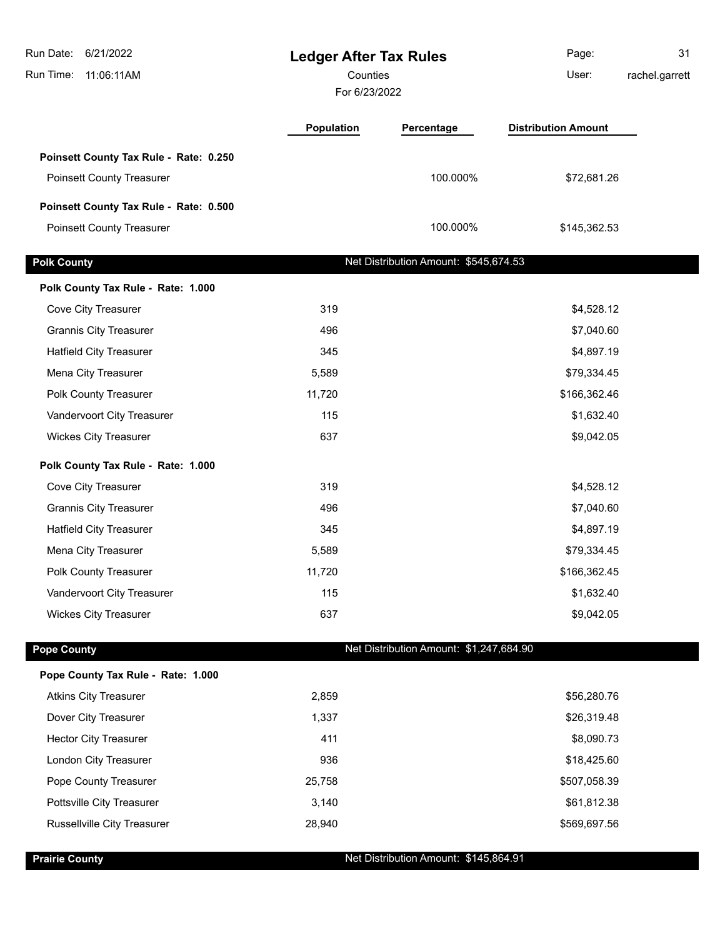| Run Date:<br>6/21/2022<br>11:06:11AM<br>Run Time: |            | <b>Ledger After Tax Rules</b><br>Counties<br>For 6/23/2022 |                            | 31<br>rachel.garrett |
|---------------------------------------------------|------------|------------------------------------------------------------|----------------------------|----------------------|
|                                                   | Population | Percentage                                                 | <b>Distribution Amount</b> |                      |
| Poinsett County Tax Rule - Rate: 0.250            |            |                                                            |                            |                      |
| <b>Poinsett County Treasurer</b>                  |            | 100.000%                                                   | \$72,681.26                |                      |
| Poinsett County Tax Rule - Rate: 0.500            |            |                                                            |                            |                      |
| <b>Poinsett County Treasurer</b>                  |            | 100.000%                                                   | \$145,362.53               |                      |
| <b>Polk County</b>                                |            | Net Distribution Amount: \$545,674.53                      |                            |                      |
|                                                   |            |                                                            |                            |                      |
| Polk County Tax Rule - Rate: 1.000                |            |                                                            |                            |                      |
| Cove City Treasurer                               | 319        |                                                            | \$4,528.12                 |                      |
| <b>Grannis City Treasurer</b>                     | 496        |                                                            | \$7,040.60                 |                      |
| <b>Hatfield City Treasurer</b>                    | 345        |                                                            | \$4,897.19                 |                      |
| Mena City Treasurer                               | 5,589      |                                                            | \$79,334.45                |                      |
| Polk County Treasurer                             | 11,720     |                                                            | \$166,362.46               |                      |
| Vandervoort City Treasurer                        | 115        |                                                            | \$1,632.40                 |                      |
| <b>Wickes City Treasurer</b>                      | 637        |                                                            | \$9,042.05                 |                      |
| Polk County Tax Rule - Rate: 1.000                |            |                                                            |                            |                      |
| Cove City Treasurer                               | 319        |                                                            | \$4,528.12                 |                      |
| <b>Grannis City Treasurer</b>                     | 496        |                                                            | \$7,040.60                 |                      |
| <b>Hatfield City Treasurer</b>                    | 345        |                                                            | \$4,897.19                 |                      |
| Mena City Treasurer                               | 5,589      |                                                            | \$79,334.45                |                      |
| <b>Polk County Treasurer</b>                      | 11,720     |                                                            | \$166,362.45               |                      |
| Vandervoort City Treasurer                        | 115        |                                                            | \$1,632.40                 |                      |
| <b>Wickes City Treasurer</b>                      | 637        |                                                            | \$9,042.05                 |                      |
| <b>Pope County</b>                                |            | Net Distribution Amount: \$1,247,684.90                    |                            |                      |
| Pope County Tax Rule - Rate: 1.000                |            |                                                            |                            |                      |
| <b>Atkins City Treasurer</b>                      | 2,859      |                                                            | \$56,280.76                |                      |
| Dover City Treasurer                              | 1,337      |                                                            | \$26,319.48                |                      |
| <b>Hector City Treasurer</b>                      | 411        |                                                            | \$8,090.73                 |                      |
| London City Treasurer                             | 936        |                                                            | \$18,425.60                |                      |
| Pope County Treasurer                             | 25,758     |                                                            | \$507,058.39               |                      |
| Pottsville City Treasurer                         | 3,140      |                                                            | \$61,812.38                |                      |
| Russellville City Treasurer                       | 28,940     |                                                            | \$569,697.56               |                      |
| <b>Prairie County</b>                             |            | Net Distribution Amount: \$145,864.91                      |                            |                      |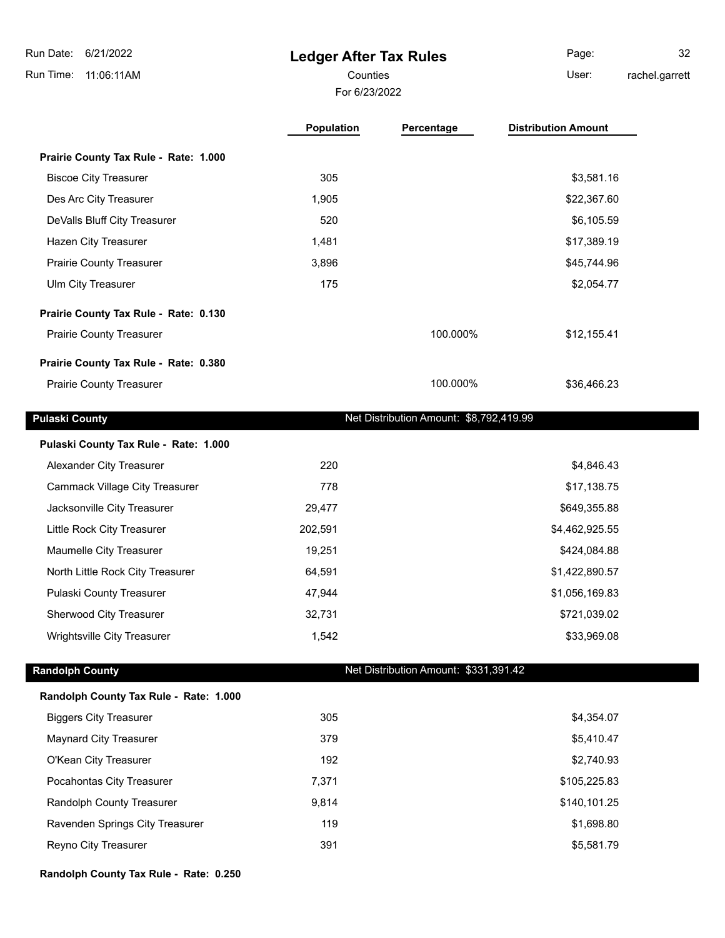**Ledger After Tax Rules** Run Time: 11:06:11AM 6/21/2022 Run Date: For 6/23/2022 Counties User: Page: 32 rachel.garrett **Population Percentage Distribution Amount**

| Prairie County Tax Rule - Rate: 1.000 |       |          |             |
|---------------------------------------|-------|----------|-------------|
| <b>Biscoe City Treasurer</b>          | 305   |          | \$3,581.16  |
| Des Arc City Treasurer                | 1,905 |          | \$22,367.60 |
| DeValls Bluff City Treasurer          | 520   |          | \$6,105.59  |
| Hazen City Treasurer                  | 1,481 |          | \$17,389.19 |
| <b>Prairie County Treasurer</b>       | 3,896 |          | \$45,744.96 |
| Ulm City Treasurer                    | 175   |          | \$2,054.77  |
| Prairie County Tax Rule - Rate: 0.130 |       |          |             |
| <b>Prairie County Treasurer</b>       |       | 100.000% | \$12,155.41 |
| Prairie County Tax Rule - Rate: 0.380 |       |          |             |
| <b>Prairie County Treasurer</b>       |       | 100.000% | \$36,466.23 |

**Pulaski County Pulaski County Net Distribution Amount: \$8,792,419.99** 

| Pulaski County Tax Rule - Rate: 1.000 |         |                |
|---------------------------------------|---------|----------------|
| Alexander City Treasurer              | 220     | \$4,846.43     |
| Cammack Village City Treasurer        | 778     | \$17,138.75    |
| Jacksonville City Treasurer           | 29.477  | \$649,355.88   |
| Little Rock City Treasurer            | 202,591 | \$4,462,925.55 |
| Maumelle City Treasurer               | 19.251  | \$424,084.88   |
| North Little Rock City Treasurer      | 64.591  | \$1,422,890.57 |
| <b>Pulaski County Treasurer</b>       | 47.944  | \$1,056,169.83 |
| <b>Sherwood City Treasurer</b>        | 32,731  | \$721,039.02   |
| <b>Wrightsville City Treasurer</b>    | 1.542   | \$33,969.08    |

### **Randolph County Net Distribution Amount: \$331,391.42**

| Randolph County Tax Rule - Rate: 1.000 |       |              |
|----------------------------------------|-------|--------------|
| <b>Biggers City Treasurer</b>          | 305   | \$4,354.07   |
| Maynard City Treasurer                 | 379   | \$5,410.47   |
| O'Kean City Treasurer                  | 192   | \$2,740.93   |
| Pocahontas City Treasurer              | 7.371 | \$105,225.83 |
| <b>Randolph County Treasurer</b>       | 9.814 | \$140,101.25 |
| Ravenden Springs City Treasurer        | 119   | \$1,698.80   |
| <b>Reyno City Treasurer</b>            | 391   | \$5,581.79   |

**Randolph County Tax Rule - Rate: 0.250**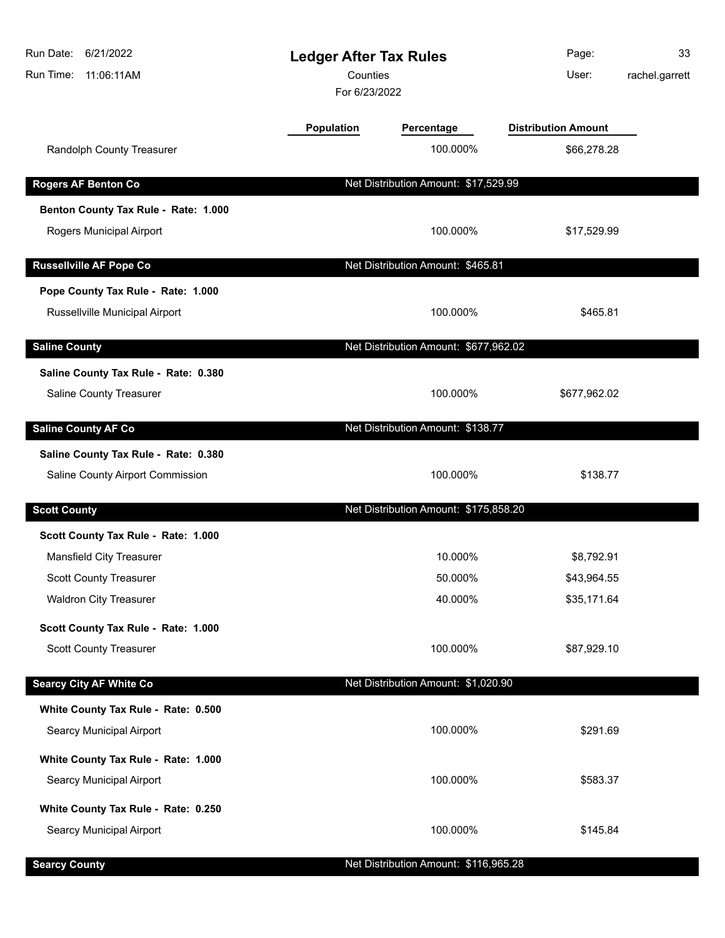| 6/21/2022<br>Run Date:<br>Run Time:<br>11:06:11AM | <b>Ledger After Tax Rules</b><br>Counties<br>For 6/23/2022 |                                       | Page:<br>User:             | 33<br>rachel.garrett |
|---------------------------------------------------|------------------------------------------------------------|---------------------------------------|----------------------------|----------------------|
|                                                   | <b>Population</b>                                          | Percentage                            | <b>Distribution Amount</b> |                      |
| Randolph County Treasurer                         |                                                            | 100.000%                              | \$66,278.28                |                      |
| <b>Rogers AF Benton Co</b>                        |                                                            | Net Distribution Amount: \$17,529.99  |                            |                      |
| Benton County Tax Rule - Rate: 1.000              |                                                            |                                       |                            |                      |
| Rogers Municipal Airport                          |                                                            | 100.000%                              | \$17,529.99                |                      |
| <b>Russellville AF Pope Co</b>                    |                                                            | Net Distribution Amount: \$465.81     |                            |                      |
| Pope County Tax Rule - Rate: 1.000                |                                                            |                                       |                            |                      |
| Russellville Municipal Airport                    |                                                            | 100.000%                              | \$465.81                   |                      |
| <b>Saline County</b>                              |                                                            | Net Distribution Amount: \$677,962.02 |                            |                      |
| Saline County Tax Rule - Rate: 0.380              |                                                            |                                       |                            |                      |
| Saline County Treasurer                           |                                                            | 100.000%                              | \$677,962.02               |                      |
| <b>Saline County AF Co</b>                        |                                                            | Net Distribution Amount: \$138.77     |                            |                      |
| Saline County Tax Rule - Rate: 0.380              |                                                            |                                       |                            |                      |
| Saline County Airport Commission                  |                                                            | 100.000%                              | \$138.77                   |                      |
| <b>Scott County</b>                               |                                                            | Net Distribution Amount: \$175,858.20 |                            |                      |
| Scott County Tax Rule - Rate: 1.000               |                                                            |                                       |                            |                      |
| Mansfield City Treasurer                          |                                                            | 10.000%                               | \$8,792.91                 |                      |
| Scott County Treasurer                            |                                                            | 50.000%                               | \$43,964.55                |                      |
| <b>Waldron City Treasurer</b>                     |                                                            | 40.000%                               | \$35,171.64                |                      |
| Scott County Tax Rule - Rate: 1.000               |                                                            |                                       |                            |                      |
| <b>Scott County Treasurer</b>                     |                                                            | 100.000%                              | \$87,929.10                |                      |
| <b>Searcy City AF White Co</b>                    |                                                            | Net Distribution Amount: \$1,020.90   |                            |                      |
| White County Tax Rule - Rate: 0.500               |                                                            |                                       |                            |                      |
| Searcy Municipal Airport                          |                                                            | 100.000%                              | \$291.69                   |                      |
| White County Tax Rule - Rate: 1.000               |                                                            |                                       |                            |                      |
| Searcy Municipal Airport                          |                                                            | 100.000%                              | \$583.37                   |                      |
| White County Tax Rule - Rate: 0.250               |                                                            |                                       |                            |                      |
| Searcy Municipal Airport                          |                                                            | 100.000%                              | \$145.84                   |                      |
| <b>Searcy County</b>                              |                                                            | Net Distribution Amount: \$116,965.28 |                            |                      |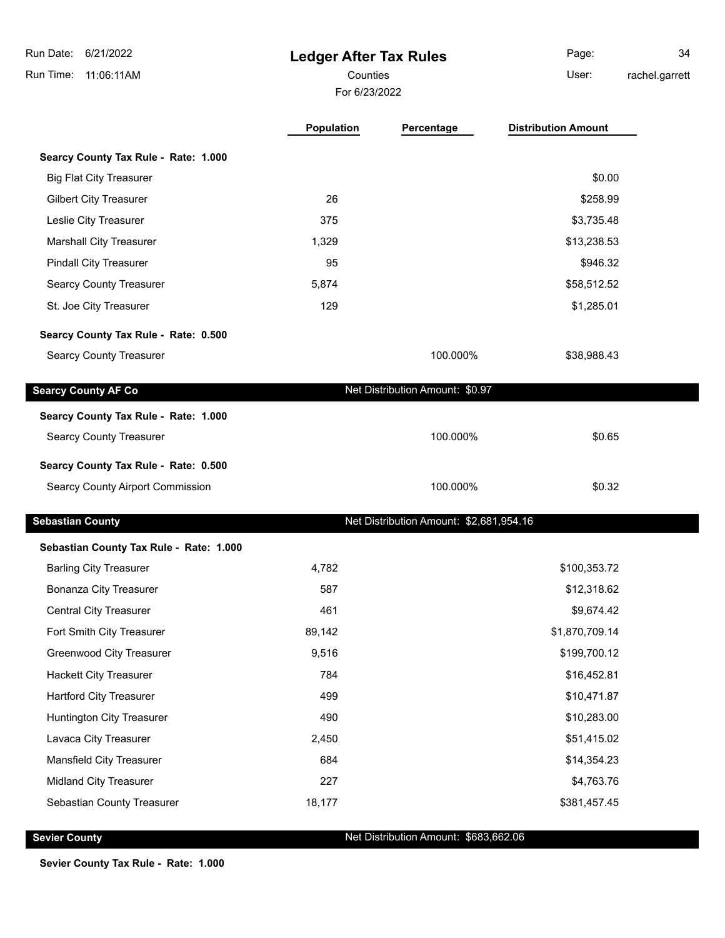| Run Date:<br>6/21/2022                  | <b>Ledger After Tax Rules</b> |                                         | Page:                      | 34             |
|-----------------------------------------|-------------------------------|-----------------------------------------|----------------------------|----------------|
| 11:06:11AM<br>Run Time:                 | Counties                      |                                         | User:                      | rachel.garrett |
|                                         | For 6/23/2022                 |                                         |                            |                |
|                                         | <b>Population</b>             | Percentage                              | <b>Distribution Amount</b> |                |
| Searcy County Tax Rule - Rate: 1.000    |                               |                                         |                            |                |
| <b>Big Flat City Treasurer</b>          |                               |                                         | \$0.00                     |                |
| <b>Gilbert City Treasurer</b>           | 26                            |                                         | \$258.99                   |                |
| Leslie City Treasurer                   | 375                           |                                         | \$3,735.48                 |                |
| <b>Marshall City Treasurer</b>          | 1,329                         |                                         | \$13,238.53                |                |
| <b>Pindall City Treasurer</b>           | 95                            |                                         | \$946.32                   |                |
| <b>Searcy County Treasurer</b>          | 5,874                         |                                         | \$58,512.52                |                |
| St. Joe City Treasurer                  | 129                           |                                         | \$1,285.01                 |                |
| Searcy County Tax Rule - Rate: 0.500    |                               |                                         |                            |                |
| <b>Searcy County Treasurer</b>          |                               | 100.000%                                | \$38,988.43                |                |
| <b>Searcy County AF Co</b>              |                               | Net Distribution Amount: \$0.97         |                            |                |
| Searcy County Tax Rule - Rate: 1.000    |                               |                                         |                            |                |
| <b>Searcy County Treasurer</b>          |                               | 100.000%                                | \$0.65                     |                |
| Searcy County Tax Rule - Rate: 0.500    |                               |                                         |                            |                |
| <b>Searcy County Airport Commission</b> |                               | 100.000%                                | \$0.32                     |                |
| <b>Sebastian County</b>                 |                               | Net Distribution Amount: \$2,681,954.16 |                            |                |
| Sebastian County Tax Rule - Rate: 1.000 |                               |                                         |                            |                |
| <b>Barling City Treasurer</b>           | 4,782                         |                                         | \$100,353.72               |                |
| <b>Bonanza City Treasurer</b>           | 587                           |                                         | \$12,318.62                |                |
| <b>Central City Treasurer</b>           | 461                           |                                         | \$9,674.42                 |                |
| Fort Smith City Treasurer               | 89,142                        |                                         | \$1,870,709.14             |                |
| <b>Greenwood City Treasurer</b>         | 9,516                         |                                         | \$199,700.12               |                |
| <b>Hackett City Treasurer</b>           | 784                           |                                         | \$16,452.81                |                |
| <b>Hartford City Treasurer</b>          | 499                           |                                         | \$10,471.87                |                |
| <b>Huntington City Treasurer</b>        | 490                           |                                         | \$10,283.00                |                |
| Lavaca City Treasurer                   | 2,450                         |                                         | \$51,415.02                |                |
| Mansfield City Treasurer                | 684                           |                                         | \$14,354.23                |                |
| <b>Midland City Treasurer</b>           | 227                           |                                         | \$4,763.76                 |                |
| Sebastian County Treasurer              | 18,177                        |                                         | \$381,457.45               |                |
|                                         |                               |                                         |                            |                |

**Sevier County Net Distribution Amount: \$683,662.06** 

**Sevier County Tax Rule - Rate: 1.000**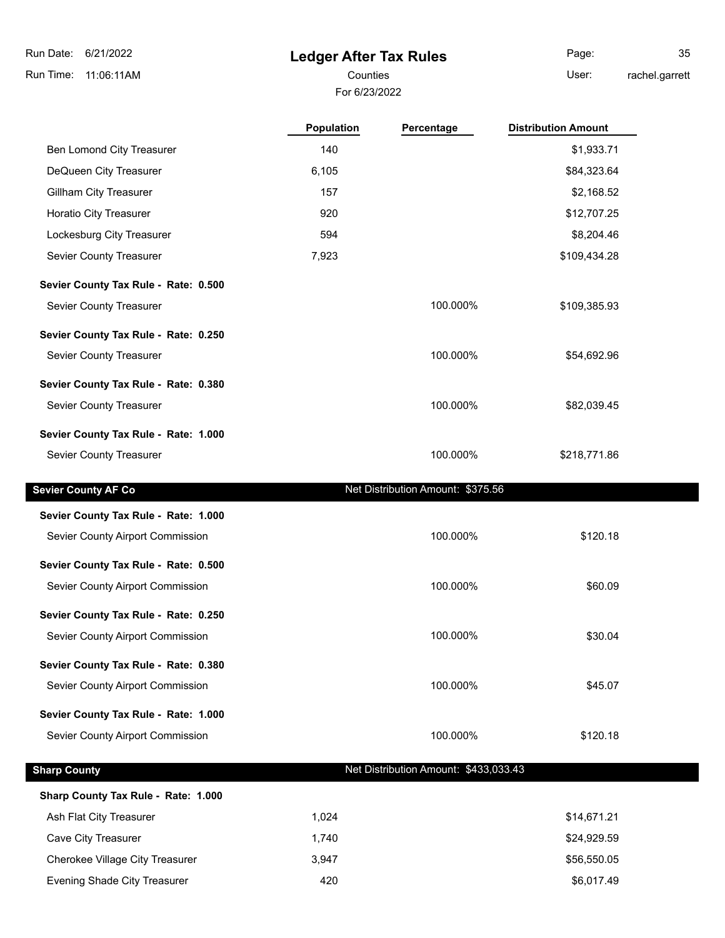# **Ledger After Tax Rules**

For 6/23/2022

Counties **User:** Page: 35

rachel.garrett

|                                      | Population | Percentage                            | <b>Distribution Amount</b> |
|--------------------------------------|------------|---------------------------------------|----------------------------|
| Ben Lomond City Treasurer            | 140        |                                       | \$1,933.71                 |
| DeQueen City Treasurer               | 6,105      |                                       | \$84,323.64                |
| <b>Gillham City Treasurer</b>        | 157        |                                       | \$2,168.52                 |
| Horatio City Treasurer               | 920        |                                       | \$12,707.25                |
| Lockesburg City Treasurer            | 594        |                                       | \$8,204.46                 |
| Sevier County Treasurer              | 7,923      |                                       | \$109,434.28               |
| Sevier County Tax Rule - Rate: 0.500 |            |                                       |                            |
| Sevier County Treasurer              |            | 100.000%                              | \$109,385.93               |
| Sevier County Tax Rule - Rate: 0.250 |            |                                       |                            |
| Sevier County Treasurer              |            | 100.000%                              | \$54,692.96                |
| Sevier County Tax Rule - Rate: 0.380 |            |                                       |                            |
| Sevier County Treasurer              |            | 100.000%                              | \$82,039.45                |
| Sevier County Tax Rule - Rate: 1.000 |            |                                       |                            |
| Sevier County Treasurer              |            | 100.000%                              | \$218,771.86               |
| <b>Sevier County AF Co</b>           |            | Net Distribution Amount: \$375.56     |                            |
| Sevier County Tax Rule - Rate: 1.000 |            |                                       |                            |
| Sevier County Airport Commission     |            | 100.000%                              | \$120.18                   |
| Sevier County Tax Rule - Rate: 0.500 |            |                                       |                            |
| Sevier County Airport Commission     |            | 100.000%                              | \$60.09                    |
| Sevier County Tax Rule - Rate: 0.250 |            |                                       |                            |
| Sevier County Airport Commission     |            | 100.000%                              | \$30.04                    |
| Sevier County Tax Rule - Rate: 0.380 |            |                                       |                            |
| Sevier County Airport Commission     |            | 100.000%                              | \$45.07                    |
| Sevier County Tax Rule - Rate: 1.000 |            |                                       |                            |
| Sevier County Airport Commission     |            | 100.000%                              | \$120.18                   |
| <b>Sharp County</b>                  |            | Net Distribution Amount: \$433,033.43 |                            |
| Sharp County Tax Rule - Rate: 1.000  |            |                                       |                            |
| Ash Flat City Treasurer              | 1,024      |                                       | \$14,671.21                |
| Cave City Treasurer                  | 1,740      |                                       | \$24,929.59                |
| Cherokee Village City Treasurer      | 3,947      |                                       | \$56,550.05                |
| Evening Shade City Treasurer         | 420        |                                       | \$6,017.49                 |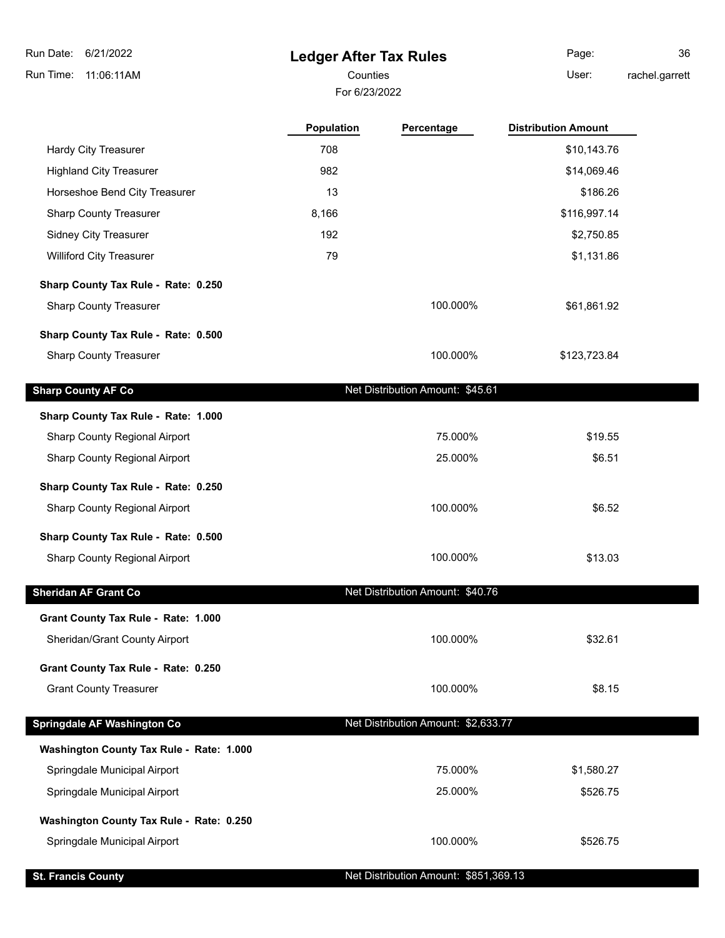**Ledger After Tax Rules** Run Time: 11:06:11AM 6/21/2022 Run Date: For 6/23/2022 Counties **Counties** User:

 $\overline{\phantom{a}}$ 

 $\overline{\phantom{a}}$ 

 $\overline{\phantom{a}}$ 

Page: 36 rachel.garrett

|                                          | Population | Percentage                            | <b>Distribution Amount</b> |  |
|------------------------------------------|------------|---------------------------------------|----------------------------|--|
| <b>Hardy City Treasurer</b>              | 708        |                                       | \$10,143.76                |  |
| <b>Highland City Treasurer</b>           | 982        |                                       | \$14,069.46                |  |
| Horseshoe Bend City Treasurer            | 13         |                                       | \$186.26                   |  |
| <b>Sharp County Treasurer</b>            | 8,166      |                                       | \$116,997.14               |  |
| Sidney City Treasurer                    | 192        |                                       | \$2,750.85                 |  |
| <b>Williford City Treasurer</b>          | 79         |                                       | \$1,131.86                 |  |
| Sharp County Tax Rule - Rate: 0.250      |            |                                       |                            |  |
| <b>Sharp County Treasurer</b>            |            | 100.000%                              | \$61,861.92                |  |
| Sharp County Tax Rule - Rate: 0.500      |            |                                       |                            |  |
| <b>Sharp County Treasurer</b>            |            | 100.000%                              | \$123,723.84               |  |
| <b>Sharp County AF Co</b>                |            | Net Distribution Amount: \$45.61      |                            |  |
| Sharp County Tax Rule - Rate: 1.000      |            |                                       |                            |  |
| Sharp County Regional Airport            |            | 75.000%                               | \$19.55                    |  |
| Sharp County Regional Airport            |            | 25.000%                               | \$6.51                     |  |
| Sharp County Tax Rule - Rate: 0.250      |            |                                       |                            |  |
| Sharp County Regional Airport            |            | 100.000%                              | \$6.52                     |  |
| Sharp County Tax Rule - Rate: 0.500      |            |                                       |                            |  |
| Sharp County Regional Airport            |            | 100.000%                              | \$13.03                    |  |
| <b>Sheridan AF Grant Co</b>              |            | Net Distribution Amount: \$40.76      |                            |  |
| Grant County Tax Rule - Rate: 1.000      |            |                                       |                            |  |
| Sheridan/Grant County Airport            |            | 100.000%                              | \$32.61                    |  |
| Grant County Tax Rule - Rate: 0.250      |            |                                       |                            |  |
| <b>Grant County Treasurer</b>            |            | 100.000%                              | \$8.15                     |  |
| Springdale AF Washington Co              |            | Net Distribution Amount: \$2,633.77   |                            |  |
| Washington County Tax Rule - Rate: 1.000 |            |                                       |                            |  |
| Springdale Municipal Airport             |            | 75.000%                               | \$1,580.27                 |  |
| Springdale Municipal Airport             |            | 25.000%                               | \$526.75                   |  |
| Washington County Tax Rule - Rate: 0.250 |            |                                       |                            |  |
| Springdale Municipal Airport             |            | 100.000%                              | \$526.75                   |  |
| <b>St. Francis County</b>                |            | Net Distribution Amount: \$851,369.13 |                            |  |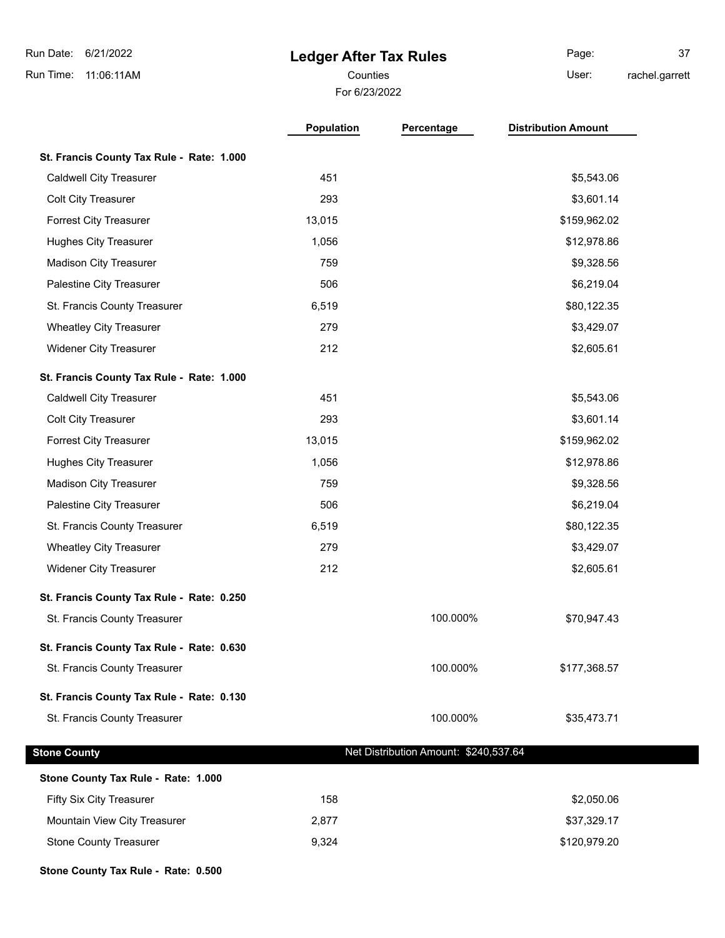**Ledger After Tax Rules** Run Time: 11:06:11AM 6/21/2022 Run Date: Counties **User:** Page: 37

For 6/23/2022

rachel.garrett

|                                           | <b>Population</b> | Percentage                            | <b>Distribution Amount</b> |
|-------------------------------------------|-------------------|---------------------------------------|----------------------------|
| St. Francis County Tax Rule - Rate: 1.000 |                   |                                       |                            |
| <b>Caldwell City Treasurer</b>            | 451               |                                       | \$5,543.06                 |
| Colt City Treasurer                       | 293               |                                       | \$3,601.14                 |
| Forrest City Treasurer                    | 13,015            |                                       | \$159,962.02               |
| <b>Hughes City Treasurer</b>              | 1,056             |                                       | \$12,978.86                |
| Madison City Treasurer                    | 759               |                                       | \$9,328.56                 |
| Palestine City Treasurer                  | 506               |                                       | \$6,219.04                 |
| St. Francis County Treasurer              | 6,519             |                                       | \$80,122.35                |
| <b>Wheatley City Treasurer</b>            | 279               |                                       | \$3,429.07                 |
| <b>Widener City Treasurer</b>             | 212               |                                       | \$2,605.61                 |
| St. Francis County Tax Rule - Rate: 1.000 |                   |                                       |                            |
| <b>Caldwell City Treasurer</b>            | 451               |                                       | \$5,543.06                 |
| <b>Colt City Treasurer</b>                | 293               |                                       | \$3,601.14                 |
| <b>Forrest City Treasurer</b>             | 13,015            |                                       | \$159,962.02               |
| <b>Hughes City Treasurer</b>              | 1,056             |                                       | \$12,978.86                |
| Madison City Treasurer                    | 759               |                                       | \$9,328.56                 |
| Palestine City Treasurer                  | 506               |                                       | \$6,219.04                 |
| St. Francis County Treasurer              | 6,519             |                                       | \$80,122.35                |
| <b>Wheatley City Treasurer</b>            | 279               |                                       | \$3,429.07                 |
| <b>Widener City Treasurer</b>             | 212               |                                       | \$2,605.61                 |
| St. Francis County Tax Rule - Rate: 0.250 |                   |                                       |                            |
| St. Francis County Treasurer              |                   | 100.000%                              | \$70,947.43                |
| St. Francis County Tax Rule - Rate: 0.630 |                   |                                       |                            |
| St. Francis County Treasurer              |                   | 100.000%                              | \$177,368.57               |
| St. Francis County Tax Rule - Rate: 0.130 |                   |                                       |                            |
| St. Francis County Treasurer              |                   | 100.000%                              | \$35,473.71                |
| <b>Stone County</b>                       |                   | Net Distribution Amount: \$240,537.64 |                            |
| Stone County Tax Rule - Rate: 1.000       |                   |                                       |                            |
| Fifty Six City Treasurer                  | 158               |                                       | \$2,050.06                 |
| Mountain View City Treasurer              | 2,877             |                                       | \$37,329.17                |
| <b>Stone County Treasurer</b>             | 9,324             |                                       | \$120,979.20               |
|                                           |                   |                                       |                            |

**Stone County Tax Rule - Rate: 0.500**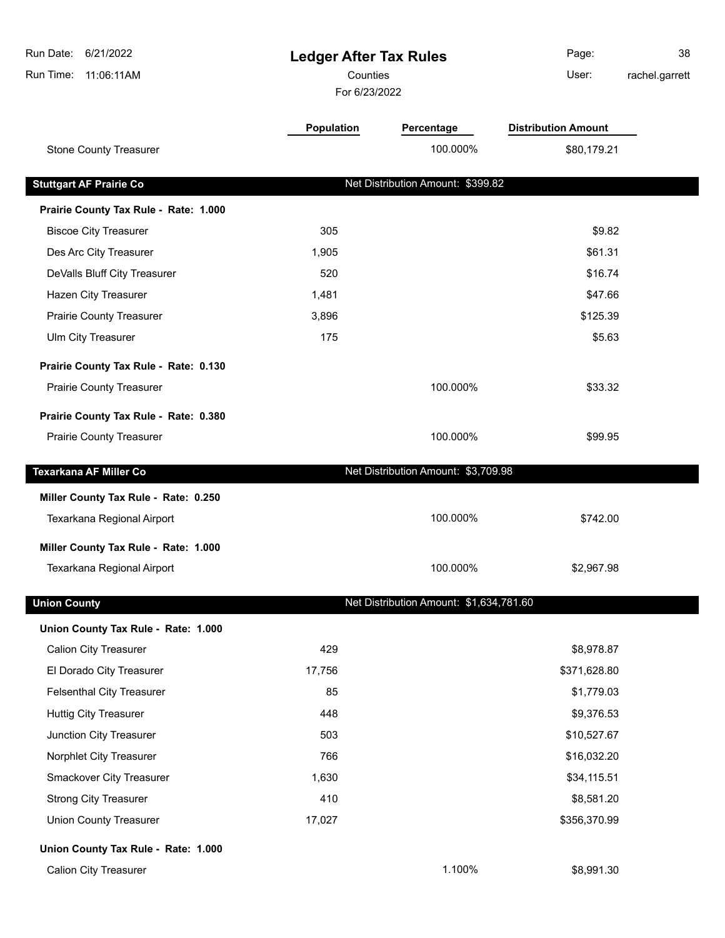| Run Date: 6/21/2022<br>Run Time: 11:06:11AM                  | <b>Ledger After Tax Rules</b><br>Counties<br>For 6/23/2022 |                                         | Page:<br>User:             | 38<br>rachel.garrett |
|--------------------------------------------------------------|------------------------------------------------------------|-----------------------------------------|----------------------------|----------------------|
|                                                              | <b>Population</b>                                          | Percentage                              | <b>Distribution Amount</b> |                      |
| <b>Stone County Treasurer</b>                                |                                                            | 100.000%                                | \$80,179.21                |                      |
| <b>Stuttgart AF Prairie Co</b>                               |                                                            | Net Distribution Amount: \$399.82       |                            |                      |
| Prairie County Tax Rule - Rate: 1.000                        |                                                            |                                         |                            |                      |
| <b>Biscoe City Treasurer</b>                                 | 305                                                        |                                         | \$9.82                     |                      |
| Des Arc City Treasurer                                       | 1,905                                                      |                                         | \$61.31                    |                      |
| DeValls Bluff City Treasurer                                 | 520                                                        |                                         | \$16.74                    |                      |
| Hazen City Treasurer                                         | 1,481                                                      |                                         | \$47.66                    |                      |
| <b>Prairie County Treasurer</b>                              | 3,896                                                      |                                         | \$125.39                   |                      |
| Ulm City Treasurer                                           | 175                                                        |                                         | \$5.63                     |                      |
| Prairie County Tax Rule - Rate: 0.130                        |                                                            |                                         |                            |                      |
| Prairie County Treasurer                                     |                                                            | 100.000%                                | \$33.32                    |                      |
| Prairie County Tax Rule - Rate: 0.380                        |                                                            |                                         |                            |                      |
| <b>Prairie County Treasurer</b>                              |                                                            | 100.000%                                | \$99.95                    |                      |
| <b>Texarkana AF Miller Co</b>                                |                                                            | Net Distribution Amount: \$3,709.98     |                            |                      |
| Miller County Tax Rule - Rate: 0.250                         |                                                            |                                         |                            |                      |
| Texarkana Regional Airport                                   |                                                            | 100.000%                                | \$742.00                   |                      |
| Miller County Tax Rule - Rate: 1.000                         |                                                            |                                         |                            |                      |
| Texarkana Regional Airport                                   |                                                            | 100.000%                                | \$2,967.98                 |                      |
| <b>Union County</b>                                          |                                                            | Net Distribution Amount: \$1,634,781.60 |                            |                      |
| Union County Tax Rule - Rate: 1.000                          |                                                            |                                         |                            |                      |
| Calion City Treasurer                                        | 429                                                        |                                         | \$8,978.87                 |                      |
| El Dorado City Treasurer                                     | 17,756                                                     |                                         | \$371,628.80               |                      |
| <b>Felsenthal City Treasurer</b>                             | 85                                                         |                                         | \$1,779.03                 |                      |
| <b>Huttig City Treasurer</b>                                 | 448                                                        |                                         | \$9,376.53                 |                      |
| Junction City Treasurer                                      | 503                                                        |                                         | \$10,527.67                |                      |
| Norphlet City Treasurer                                      | 766                                                        |                                         | \$16,032.20                |                      |
| Smackover City Treasurer                                     | 1,630                                                      |                                         | \$34,115.51                |                      |
| <b>Strong City Treasurer</b>                                 | 410                                                        |                                         | \$8,581.20                 |                      |
| <b>Union County Treasurer</b>                                | 17,027                                                     |                                         | \$356,370.99               |                      |
|                                                              |                                                            |                                         |                            |                      |
| Union County Tax Rule - Rate: 1.000<br>Calion City Treasurer |                                                            | 1.100%                                  | \$8,991.30                 |                      |
|                                                              |                                                            |                                         |                            |                      |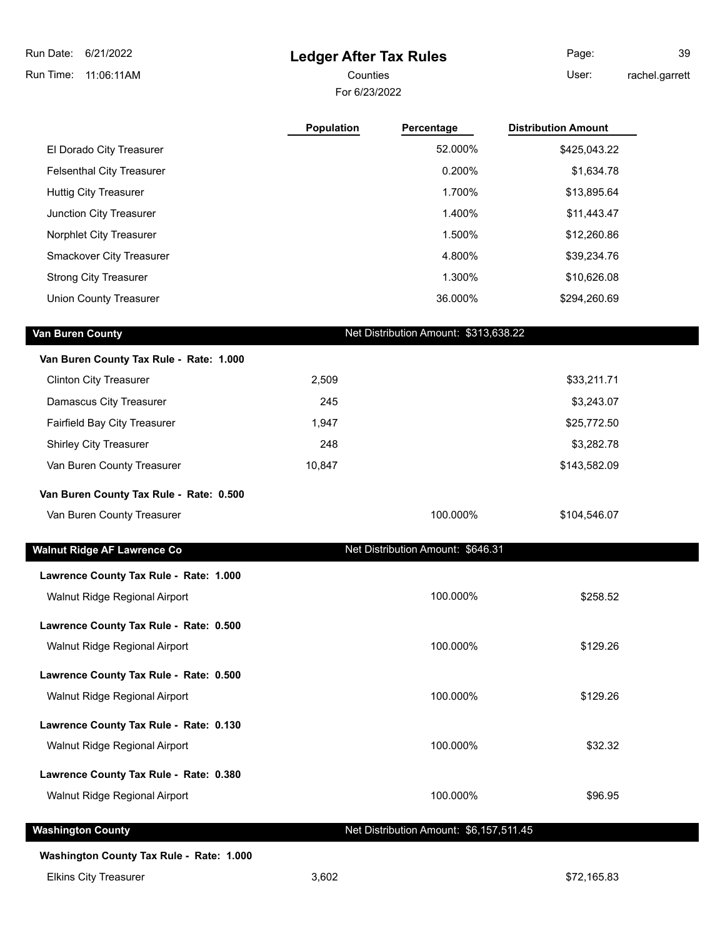**Ledger After Tax Rules** Run Time: 11:06:11AM 6/21/2022 Run Date: For 6/23/2022 Counties User: Page: 39 rachel.garrett **Population Percentage Distribution Amount** El Dorado City Treasurer 62.000% \$425,043.22 Felsenthal City Treasurer 6. The set of the set of the set of the set of the set of the set of the set of the set of the set of the set of the set of the set of the set of the set of the set of the set of the set of the se Huttig City Treasurer **1.700%** \$13,895.64 Junction City Treasurer **1.400%** \$11,443.47 Norphlet City Treasurer **1.500%** \$12,260.86 Smackover City Treasurer 6. The state of the state of the state of the 4.800% \$39,234.76 Strong City Treasurer **1.300%** \$10,626.08

Union County Treasurer 36.000% \$294,260.69

**Van Buren County Van Buren County Net Distribution Amount: \$313,638.22** 

| Van Buren County Tax Rule - Rate: 1.000 |        |              |
|-----------------------------------------|--------|--------------|
| <b>Clinton City Treasurer</b>           | 2.509  | \$33,211.71  |
| Damascus City Treasurer                 | 245    | \$3,243.07   |
| Fairfield Bay City Treasurer            | 1.947  | \$25,772.50  |
| <b>Shirley City Treasurer</b>           | 248    | \$3,282.78   |
| Van Buren County Treasurer              | 10.847 | \$143,582.09 |
| Van Buren County Tax Rule - Rate: 0.500 |        |              |

Van Buren County Treasurer and the state of the state of the 100.000% \$104,546.07

| <b>Walnut Ridge AF Lawrence Co</b>                                      | Net Distribution Amount: \$646.31       |          |
|-------------------------------------------------------------------------|-----------------------------------------|----------|
| Lawrence County Tax Rule - Rate: 1.000<br>Walnut Ridge Regional Airport | 100.000%                                | \$258.52 |
| Lawrence County Tax Rule - Rate: 0.500<br>Walnut Ridge Regional Airport | 100.000%                                | \$129.26 |
| Lawrence County Tax Rule - Rate: 0.500<br>Walnut Ridge Regional Airport | 100.000%                                | \$129.26 |
| Lawrence County Tax Rule - Rate: 0.130<br>Walnut Ridge Regional Airport | 100.000%                                | \$32.32  |
| Lawrence County Tax Rule - Rate: 0.380<br>Walnut Ridge Regional Airport | 100.000%                                | \$96.95  |
| <b>Washington County</b>                                                | Net Distribution Amount: \$6,157,511.45 |          |

### **Washington County Tax Rule - Rate: 1.000**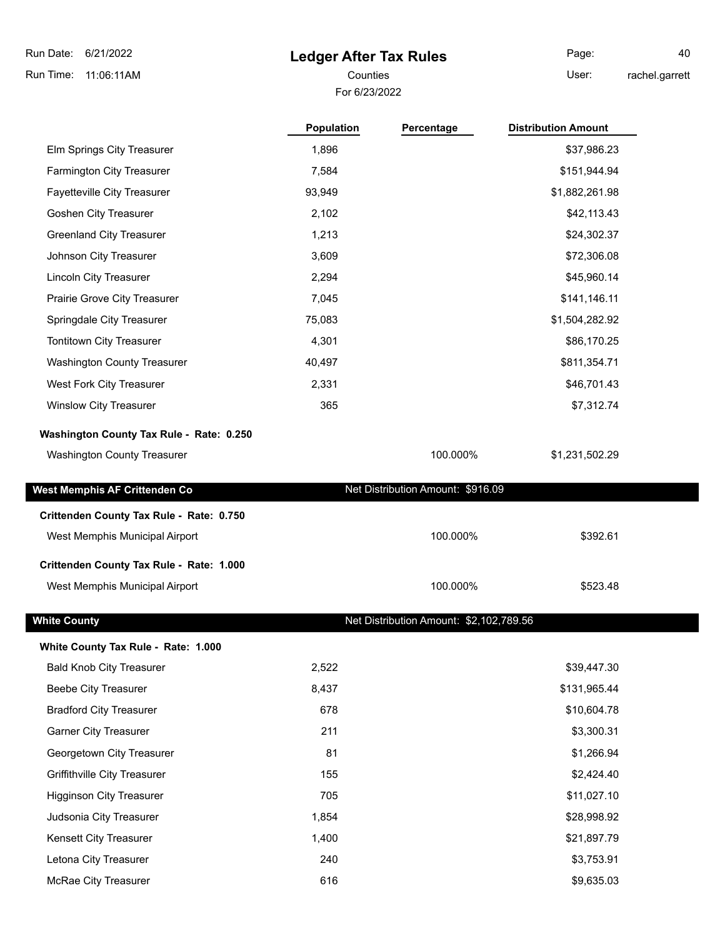# **Ledger After Tax Rules**

For 6/23/2022

Page: 40

Counties **User:** 

rachel.garrett

|                                                               | Population | Percentage                              | <b>Distribution Amount</b>  |
|---------------------------------------------------------------|------------|-----------------------------------------|-----------------------------|
| Elm Springs City Treasurer                                    | 1,896      |                                         | \$37,986.23                 |
| Farmington City Treasurer                                     | 7,584      |                                         | \$151,944.94                |
| Fayetteville City Treasurer                                   | 93,949     |                                         | \$1,882,261.98              |
| Goshen City Treasurer                                         | 2,102      |                                         | \$42,113.43                 |
| <b>Greenland City Treasurer</b>                               | 1,213      |                                         | \$24,302.37                 |
| Johnson City Treasurer                                        | 3,609      |                                         | \$72,306.08                 |
| <b>Lincoln City Treasurer</b>                                 | 2,294      |                                         | \$45,960.14                 |
| Prairie Grove City Treasurer                                  | 7,045      |                                         | \$141,146.11                |
| Springdale City Treasurer                                     | 75,083     |                                         | \$1,504,282.92              |
| Tontitown City Treasurer                                      | 4,301      |                                         | \$86,170.25                 |
| <b>Washington County Treasurer</b>                            | 40,497     |                                         | \$811,354.71                |
| West Fork City Treasurer                                      | 2,331      |                                         | \$46,701.43                 |
| Winslow City Treasurer                                        | 365        |                                         | \$7,312.74                  |
| Washington County Tax Rule - Rate: 0.250                      |            |                                         |                             |
| <b>Washington County Treasurer</b>                            |            | 100.000%                                | \$1,231,502.29              |
| <b>West Memphis AF Crittenden Co</b>                          |            | Net Distribution Amount: \$916.09       |                             |
| Crittenden County Tax Rule - Rate: 0.750                      |            |                                         |                             |
| West Memphis Municipal Airport                                |            | 100.000%                                | \$392.61                    |
| Crittenden County Tax Rule - Rate: 1.000                      |            |                                         |                             |
| West Memphis Municipal Airport                                |            | 100.000%                                | \$523.48                    |
| <b>White County</b>                                           |            |                                         |                             |
|                                                               |            | Net Distribution Amount: \$2,102,789.56 |                             |
|                                                               |            |                                         |                             |
| <b>Bald Knob City Treasurer</b>                               | 2,522      |                                         | \$39,447.30                 |
| <b>Beebe City Treasurer</b>                                   | 8,437      |                                         |                             |
| <b>Bradford City Treasurer</b>                                | 678        |                                         | \$131,965.44<br>\$10,604.78 |
| <b>Garner City Treasurer</b>                                  | 211        |                                         | \$3,300.31                  |
| Georgetown City Treasurer                                     | 81         |                                         |                             |
| Griffithville City Treasurer                                  | 155        |                                         | \$1,266.94<br>\$2,424.40    |
| <b>Higginson City Treasurer</b>                               | 705        |                                         | \$11,027.10                 |
| Judsonia City Treasurer                                       | 1,854      |                                         | \$28,998.92                 |
| White County Tax Rule - Rate: 1.000<br>Kensett City Treasurer | 1,400      |                                         | \$21,897.79                 |
| Letona City Treasurer                                         | 240        |                                         | \$3,753.91                  |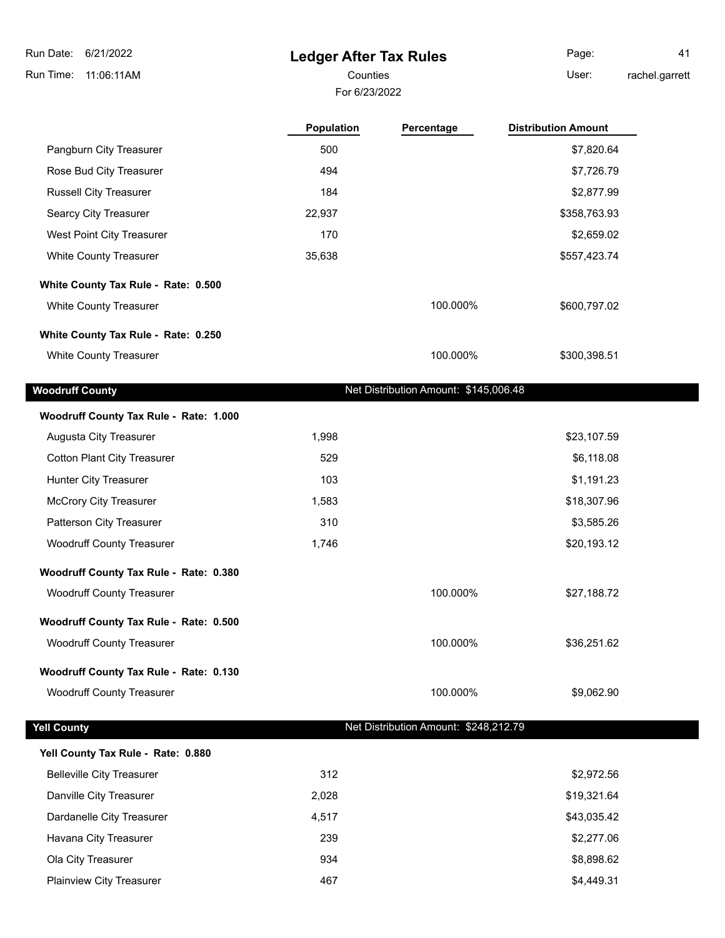| Run Date:<br>6/21/2022                 | <b>Ledger After Tax Rules</b> |                                       | Page:                      | 41             |
|----------------------------------------|-------------------------------|---------------------------------------|----------------------------|----------------|
| Run Time:<br>11:06:11AM                | Counties                      |                                       | User:                      | rachel.garrett |
|                                        | For 6/23/2022                 |                                       |                            |                |
|                                        | Population                    | Percentage                            | <b>Distribution Amount</b> |                |
| Pangburn City Treasurer                | 500                           |                                       | \$7,820.64                 |                |
| Rose Bud City Treasurer                | 494                           |                                       | \$7,726.79                 |                |
| <b>Russell City Treasurer</b>          | 184                           |                                       | \$2,877.99                 |                |
| <b>Searcy City Treasurer</b>           | 22,937                        |                                       | \$358,763.93               |                |
| West Point City Treasurer              | 170                           |                                       | \$2,659.02                 |                |
| White County Treasurer                 | 35,638                        |                                       | \$557,423.74               |                |
| White County Tax Rule - Rate: 0.500    |                               |                                       |                            |                |
| White County Treasurer                 |                               | 100.000%                              | \$600,797.02               |                |
| White County Tax Rule - Rate: 0.250    |                               |                                       |                            |                |
| White County Treasurer                 |                               | 100.000%                              | \$300,398.51               |                |
| <b>Woodruff County</b>                 |                               | Net Distribution Amount: \$145,006.48 |                            |                |
| Woodruff County Tax Rule - Rate: 1.000 |                               |                                       |                            |                |
| Augusta City Treasurer                 | 1,998                         |                                       | \$23,107.59                |                |
| <b>Cotton Plant City Treasurer</b>     | 529                           |                                       | \$6,118.08                 |                |
| Hunter City Treasurer                  | 103                           |                                       | \$1,191.23                 |                |
| <b>McCrory City Treasurer</b>          | 1,583                         |                                       | \$18,307.96                |                |
| Patterson City Treasurer               | 310                           |                                       | \$3,585.26                 |                |
| <b>Woodruff County Treasurer</b>       | 1,746                         |                                       | \$20,193.12                |                |
| Woodruff County Tax Rule - Rate: 0.380 |                               |                                       |                            |                |
| <b>Woodruff County Treasurer</b>       |                               | 100.000%                              | \$27,188.72                |                |
| Woodruff County Tax Rule - Rate: 0.500 |                               |                                       |                            |                |
| <b>Woodruff County Treasurer</b>       |                               | 100.000%                              | \$36,251.62                |                |
| Woodruff County Tax Rule - Rate: 0.130 |                               |                                       |                            |                |
| <b>Woodruff County Treasurer</b>       |                               | 100.000%                              | \$9,062.90                 |                |
| <b>Yell County</b>                     |                               | Net Distribution Amount: \$248,212.79 |                            |                |
| Yell County Tax Rule - Rate: 0.880     |                               |                                       |                            |                |
| <b>Belleville City Treasurer</b>       | 312                           |                                       | \$2,972.56                 |                |
| Danville City Treasurer                | 2,028                         |                                       | \$19,321.64                |                |
| Dardanelle City Treasurer              | 4,517                         |                                       | \$43,035.42                |                |
| Havana City Treasurer                  | 239                           |                                       | \$2,277.06                 |                |
| Ola City Treasurer                     | 934                           |                                       | \$8,898.62                 |                |
| Plainview City Treasurer               | 467                           |                                       | \$4,449.31                 |                |